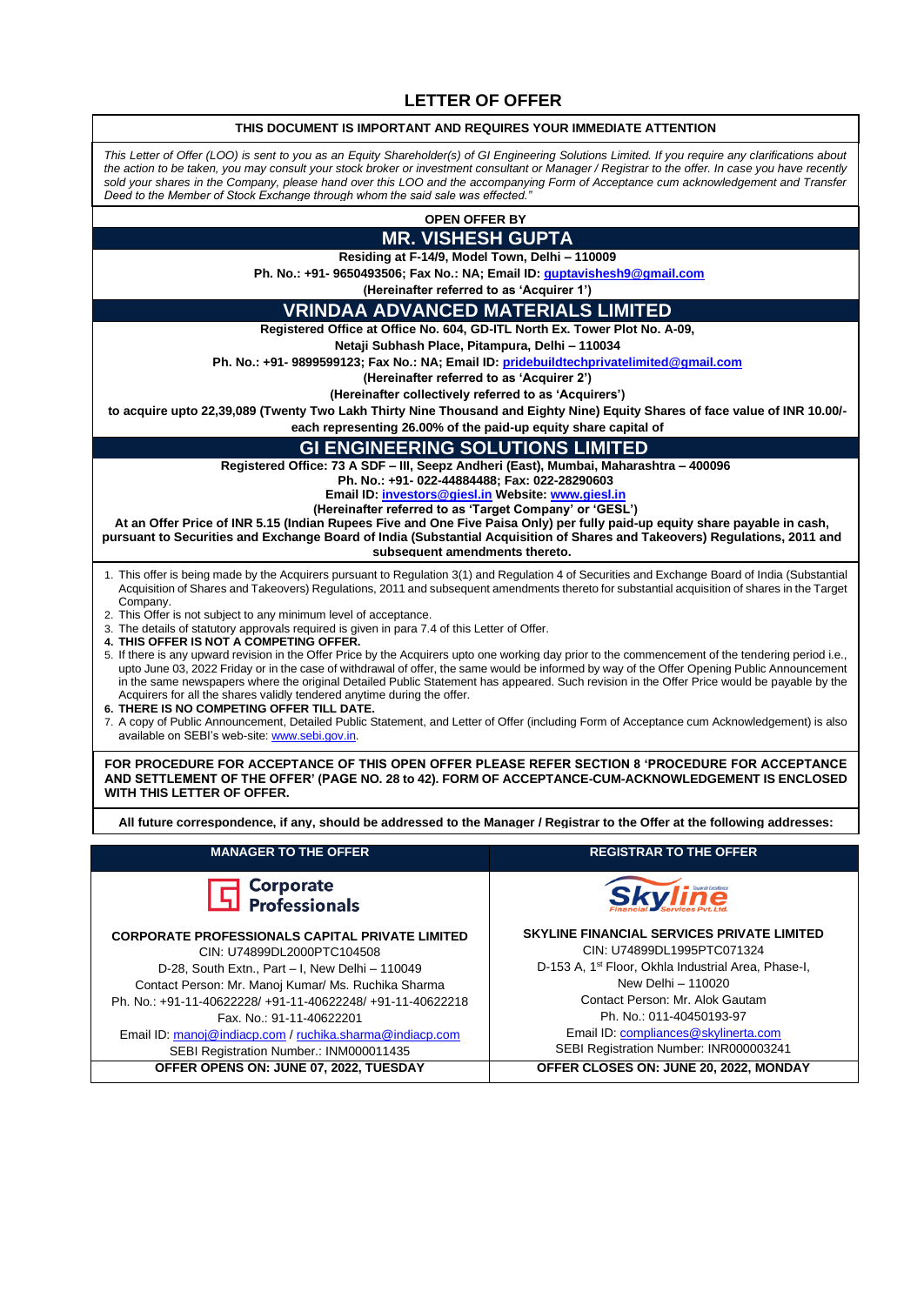#### **LETTER OF OFFER**

#### **THIS DOCUMENT IS IMPORTANT AND REQUIRES YOUR IMMEDIATE ATTENTION**

*This Letter of Offer (LOO) is sent to you as an Equity Shareholder(s) of GI Engineering Solutions Limited. If you require any clarifications about the action to be taken, you may consult your stock broker or investment consultant or Manager / Registrar to the offer. In case you have recently sold your shares in the Company, please hand over this LOO and the accompanying Form of Acceptance cum acknowledgement and Transfer Deed to the Member of Stock Exchange through whom the said sale was effected."*

# **OPEN OFFER BY**

# **MR. VISHESH GUPTA**

**Residing at F-14/9, Model Town, Delhi – 110009**

**Ph. No.: +91- 9650493506; Fax No.: NA; Email ID: [guptavishesh9@gmail.com](mailto:guptavishesh9@gmail.com)**

**(Hereinafter referred to as 'Acquirer 1')**

#### **VRINDAA ADVANCED MATERIALS LIMITED**

**Registered Office at Office No. 604, GD-ITL North Ex. Tower Plot No. A-09,** 

**Netaji Subhash Place, Pitampura, Delhi – 110034**

**Ph. No.: +91- 9899599123; Fax No.: NA; Email ID[: pridebuildtechprivatelimited@gmail.com](file:///C:/Users/RUCHIKA%20SHARMA/Downloads/pridebuildtechprivatelimited@gmail.com)**

**(Hereinafter referred to as 'Acquirer 2')**

**(Hereinafter collectively referred to as 'Acquirers')**

**to acquire upto 22,39,089 (Twenty Two Lakh Thirty Nine Thousand and Eighty Nine) Equity Shares of face value of INR 10.00/-**

**each representing 26.00% of the paid-up equity share capital of**

#### **GI ENGINEERING SOLUTIONS LIMITED**

**Registered Office: 73 A SDF – III, Seepz Andheri (East), Mumbai, Maharashtra – 400096**

**Ph. No.: +91- 022-44884488; Fax: 022-28290603** 

**Email ID[: investors@giesl.in](file:///D:/Nitin%20Khera/Takeover/Kintech%20Renewables%20Limited/investors@giesl.in) Website: [www.giesl.in](http://www.giesl.in/)**

**(Hereinafter referred to as 'Target Company' or 'GESL')**

**At an Offer Price of INR 5.15 (Indian Rupees Five and One Five Paisa Only) per fully paid-up equity share payable in cash, pursuant to Securities and Exchange Board of India (Substantial Acquisition of Shares and Takeovers) Regulations, 2011 and subsequent amendments thereto.**

- 1. This offer is being made by the Acquirers pursuant to Regulation 3(1) and Regulation 4 of Securities and Exchange Board of India (Substantial Acquisition of Shares and Takeovers) Regulations, 2011 and subsequent amendments thereto for substantial acquisition of shares in the Target Company.
- 2. This Offer is not subject to any minimum level of acceptance.
- 3. The details of statutory approvals required is given in para 7.4 of this Letter of Offer.
- **4. THIS OFFER IS NOT A COMPETING OFFER.**

5. If there is any upward revision in the Offer Price by the Acquirers upto one working day prior to the commencement of the tendering period i.e., upto June 03, 2022 Friday or in the case of withdrawal of offer, the same would be informed by way of the Offer Opening Public Announcement in the same newspapers where the original Detailed Public Statement has appeared. Such revision in the Offer Price would be payable by the Acquirers for all the shares validly tendered anytime during the offer.

- **6. THERE IS NO COMPETING OFFER TILL DATE.**
- 7. A copy of Public Announcement, Detailed Public Statement, and Letter of Offer (including Form of Acceptance cum Acknowledgement) is also available on SEBI's web-site[: www.sebi.gov.in.](http://www.sebi.gov.in/)

**FOR PROCEDURE FOR ACCEPTANCE OF THIS OPEN OFFER PLEASE REFER SECTION 8 'PROCEDURE FOR ACCEPTANCE AND SETTLEMENT OF THE OFFER' (PAGE NO. 28 to 42). FORM OF ACCEPTANCE-CUM-ACKNOWLEDGEMENT IS ENCLOSED WITH THIS LETTER OF OFFER.**

**All future correspondence, if any, should be addressed to the Manager / Registrar to the Offer at the following addresses:**

| <b>MANAGER TO THE OFFER</b>                                                                                                                                                                                                                                                                                                                                                                     | <b>REGISTRAR TO THE OFFER</b>                                                                                                                                                                                                                                                                                             |
|-------------------------------------------------------------------------------------------------------------------------------------------------------------------------------------------------------------------------------------------------------------------------------------------------------------------------------------------------------------------------------------------------|---------------------------------------------------------------------------------------------------------------------------------------------------------------------------------------------------------------------------------------------------------------------------------------------------------------------------|
| $\Box$ Corporate<br>$\Box$ Professionals                                                                                                                                                                                                                                                                                                                                                        | <b>Skyline</b>                                                                                                                                                                                                                                                                                                            |
| <b>CORPORATE PROFESSIONALS CAPITAL PRIVATE LIMITED</b><br>CIN: U74899DL2000PTC104508<br>D-28. South Extn., Part - I. New Delhi - 110049<br>Contact Person: Mr. Manoj Kumar/ Ms. Ruchika Sharma<br>Ph. No.: +91-11-40622228/ +91-11-40622248/ +91-11-40622218<br>Fax. No.: 91-11-40622201<br>Email ID: manoj@indiacp.com / ruchika.sharma@indiacp.com<br>SEBI Registration Number.: INM000011435 | <b>SKYLINE FINANCIAL SERVICES PRIVATE LIMITED</b><br>CIN: U74899DL1995PTC071324<br>D-153 A, 1 <sup>st</sup> Floor, Okhla Industrial Area, Phase-I,<br>New Delhi - 110020<br>Contact Person: Mr. Alok Gautam<br>Ph. No.: 011-40450193-97<br>Email ID: compliances@skylinerta.com<br>SEBI Registration Number: INR000003241 |
| OFFER OPENS ON: JUNE 07, 2022, TUESDAY                                                                                                                                                                                                                                                                                                                                                          | OFFER CLOSES ON: JUNE 20, 2022, MONDAY                                                                                                                                                                                                                                                                                    |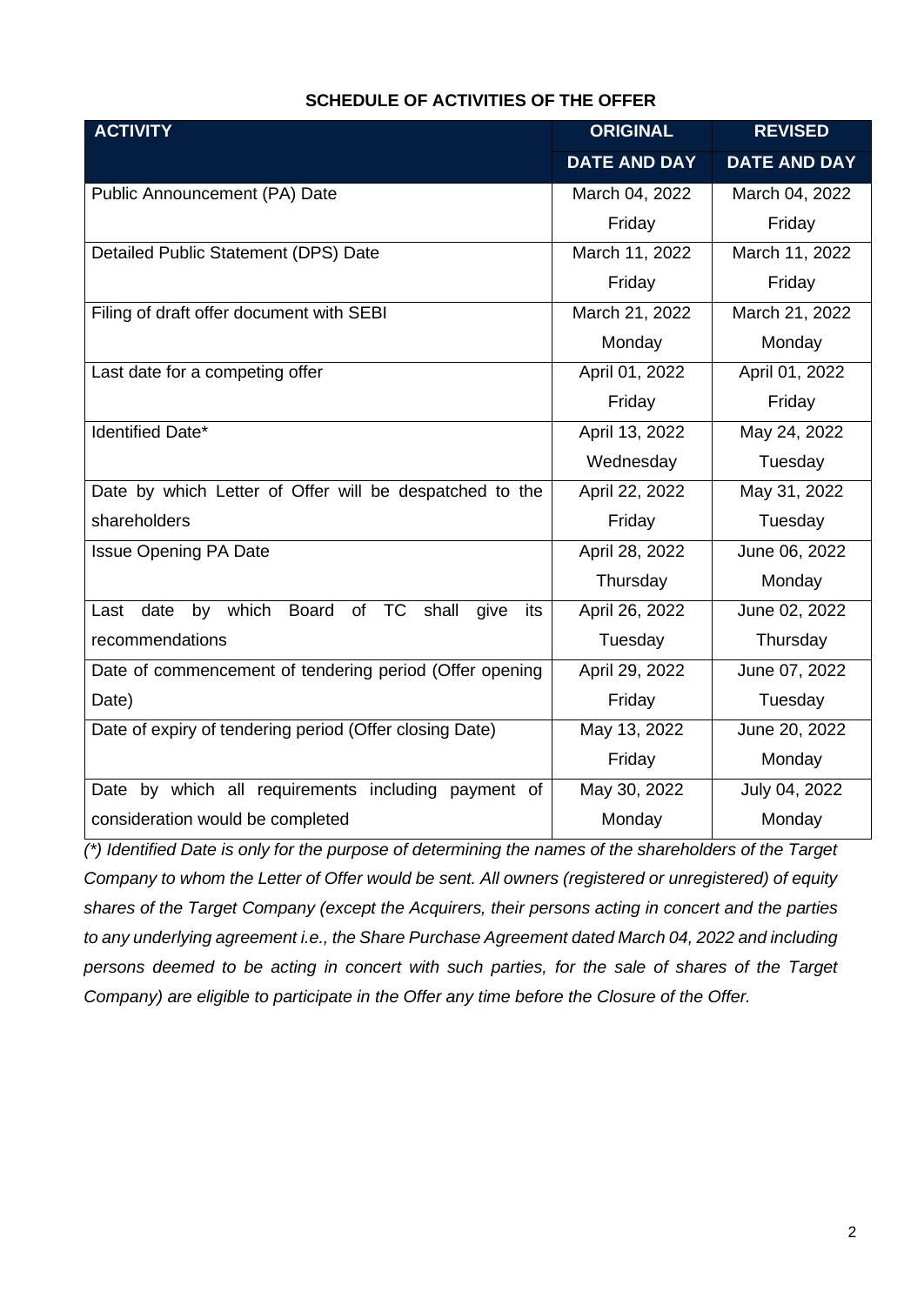## **SCHEDULE OF ACTIVITIES OF THE OFFER**

| <b>ACTIVITY</b>                                                           | <b>ORIGINAL</b>     | <b>REVISED</b>      |
|---------------------------------------------------------------------------|---------------------|---------------------|
|                                                                           | <b>DATE AND DAY</b> | <b>DATE AND DAY</b> |
| Public Announcement (PA) Date                                             | March 04, 2022      | March 04, 2022      |
|                                                                           | Friday              | Friday              |
| Detailed Public Statement (DPS) Date                                      | March 11, 2022      | March 11, 2022      |
|                                                                           | Friday              | Friday              |
| Filing of draft offer document with SEBI                                  | March 21, 2022      | March 21, 2022      |
|                                                                           | Monday              | Monday              |
| Last date for a competing offer                                           | April 01, 2022      | April 01, 2022      |
|                                                                           | Friday              | Friday              |
| Identified Date*                                                          | April 13, 2022      | May 24, 2022        |
|                                                                           | Wednesday           | Tuesday             |
| Date by which Letter of Offer will be despatched to the                   | April 22, 2022      | May 31, 2022        |
| shareholders                                                              | Friday              | Tuesday             |
| <b>Issue Opening PA Date</b>                                              | April 28, 2022      | June 06, 2022       |
|                                                                           | Thursday            | Monday              |
| by which Board<br>of<br><b>TC</b><br>shall<br>date<br>give<br>Last<br>its | April 26, 2022      | June 02, 2022       |
| recommendations                                                           | Tuesday             | Thursday            |
| Date of commencement of tendering period (Offer opening                   | April 29, 2022      | June 07, 2022       |
| Date)                                                                     | Friday              | Tuesday             |
| Date of expiry of tendering period (Offer closing Date)                   | May 13, 2022        | June 20, 2022       |
|                                                                           | Friday              | Monday              |
| Date by which all requirements including payment of                       | May 30, 2022        | July 04, 2022       |
| consideration would be completed                                          | Monday              | Monday              |

*(\*) Identified Date is only for the purpose of determining the names of the shareholders of the Target Company to whom the Letter of Offer would be sent. All owners (registered or unregistered) of equity shares of the Target Company (except the Acquirers, their persons acting in concert and the parties to any underlying agreement i.e., the Share Purchase Agreement dated March 04, 2022 and including persons deemed to be acting in concert with such parties, for the sale of shares of the Target Company) are eligible to participate in the Offer any time before the Closure of the Offer.*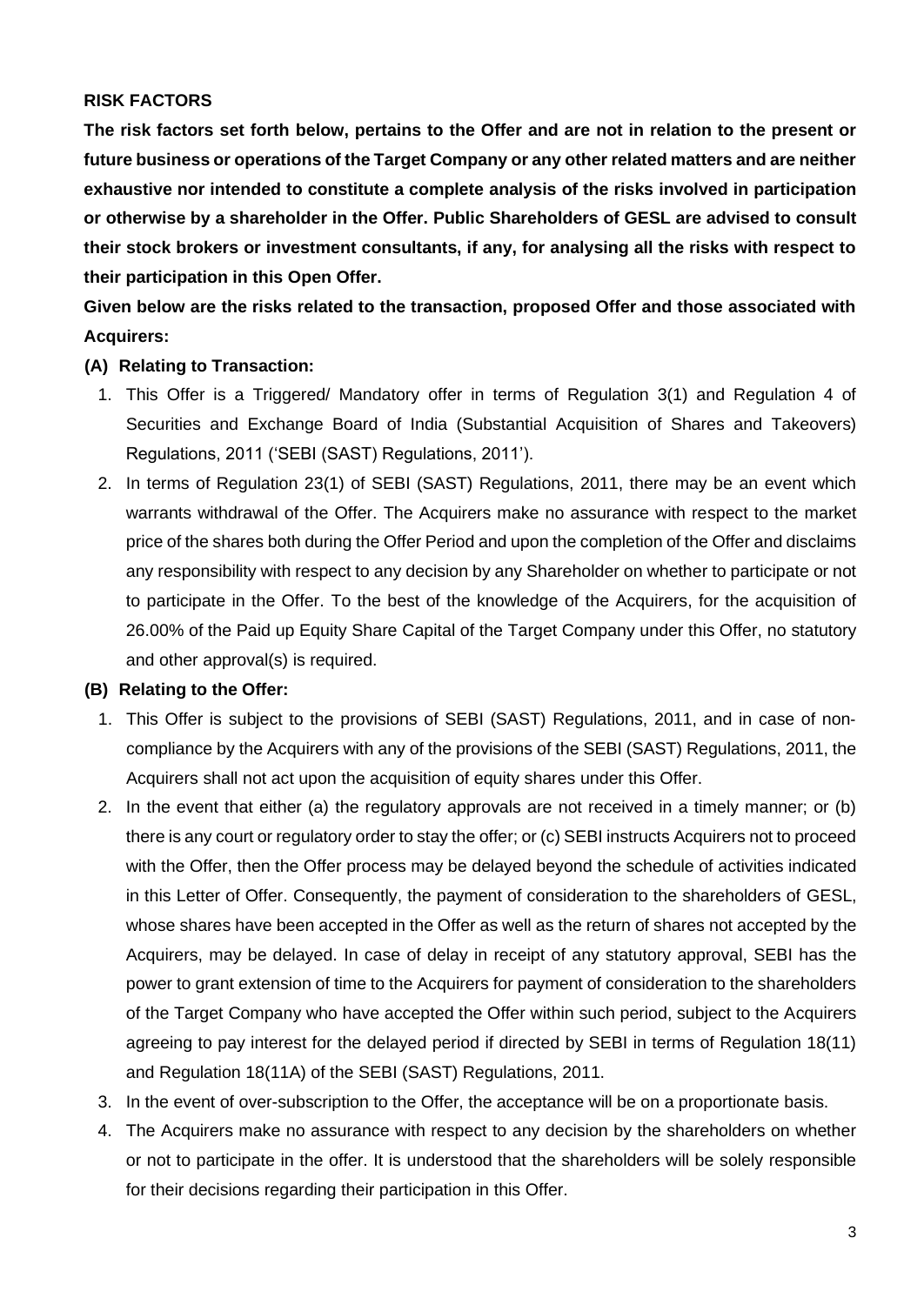## **RISK FACTORS**

**The risk factors set forth below, pertains to the Offer and are not in relation to the present or future business or operations of the Target Company or any other related matters and are neither exhaustive nor intended to constitute a complete analysis of the risks involved in participation or otherwise by a shareholder in the Offer. Public Shareholders of GESL are advised to consult their stock brokers or investment consultants, if any, for analysing all the risks with respect to their participation in this Open Offer.**

**Given below are the risks related to the transaction, proposed Offer and those associated with Acquirers:**

#### **(A) Relating to Transaction:**

- 1. This Offer is a Triggered/ Mandatory offer in terms of Regulation 3(1) and Regulation 4 of Securities and Exchange Board of India (Substantial Acquisition of Shares and Takeovers) Regulations, 2011 ('SEBI (SAST) Regulations, 2011').
- 2. In terms of Regulation 23(1) of SEBI (SAST) Regulations, 2011, there may be an event which warrants withdrawal of the Offer. The Acquirers make no assurance with respect to the market price of the shares both during the Offer Period and upon the completion of the Offer and disclaims any responsibility with respect to any decision by any Shareholder on whether to participate or not to participate in the Offer. To the best of the knowledge of the Acquirers, for the acquisition of 26.00% of the Paid up Equity Share Capital of the Target Company under this Offer, no statutory and other approval(s) is required.

#### **(B) Relating to the Offer:**

- 1. This Offer is subject to the provisions of SEBI (SAST) Regulations, 2011, and in case of non‐ compliance by the Acquirers with any of the provisions of the SEBI (SAST) Regulations, 2011, the Acquirers shall not act upon the acquisition of equity shares under this Offer.
- 2. In the event that either (a) the regulatory approvals are not received in a timely manner; or (b) there is any court or regulatory order to stay the offer; or (c) SEBI instructs Acquirers not to proceed with the Offer, then the Offer process may be delayed beyond the schedule of activities indicated in this Letter of Offer. Consequently, the payment of consideration to the shareholders of GESL, whose shares have been accepted in the Offer as well as the return of shares not accepted by the Acquirers, may be delayed. In case of delay in receipt of any statutory approval, SEBI has the power to grant extension of time to the Acquirers for payment of consideration to the shareholders of the Target Company who have accepted the Offer within such period, subject to the Acquirers agreeing to pay interest for the delayed period if directed by SEBI in terms of Regulation 18(11) and Regulation 18(11A) of the SEBI (SAST) Regulations, 2011.
- 3. In the event of over-subscription to the Offer, the acceptance will be on a proportionate basis.
- 4. The Acquirers make no assurance with respect to any decision by the shareholders on whether or not to participate in the offer. It is understood that the shareholders will be solely responsible for their decisions regarding their participation in this Offer.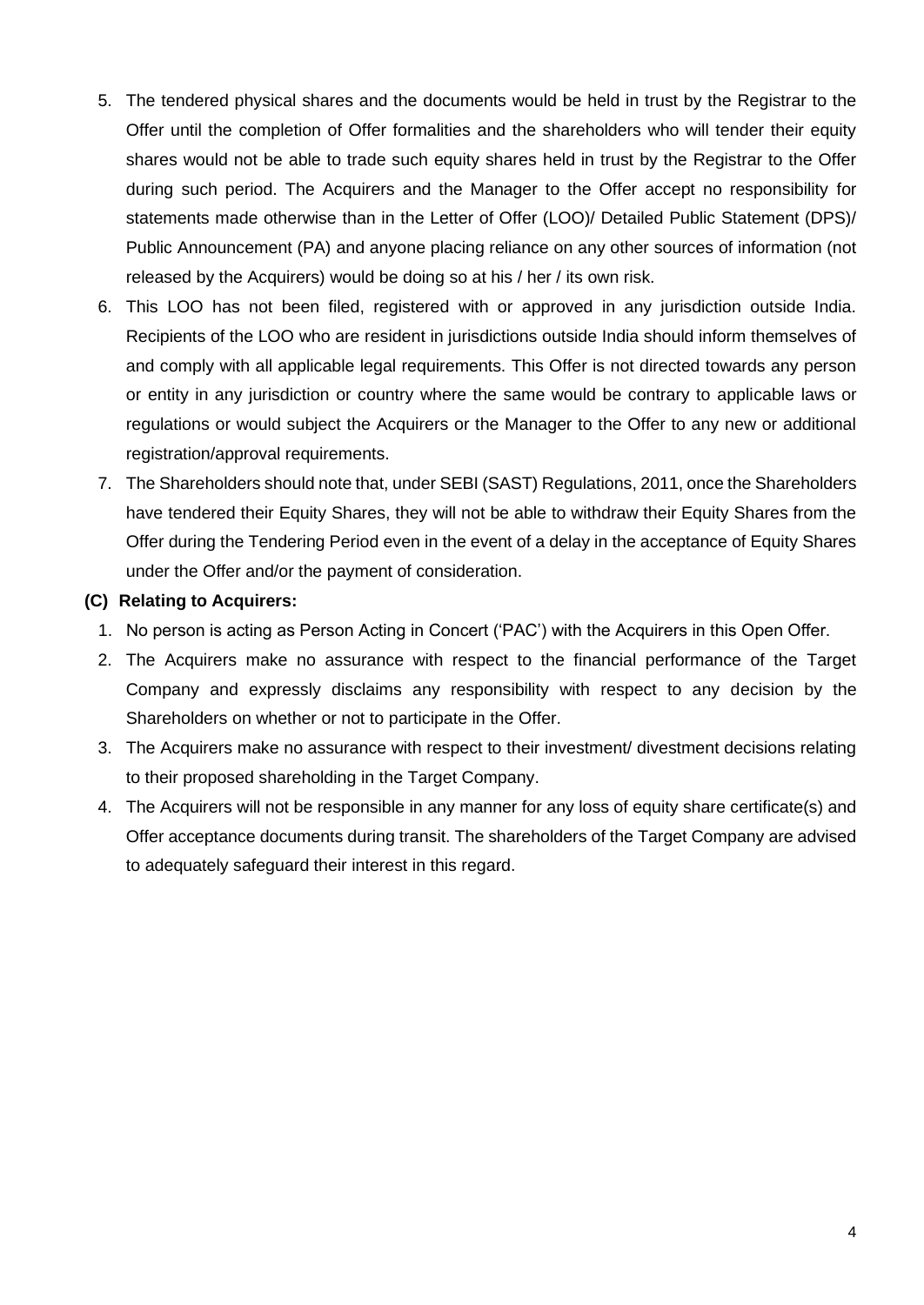- 5. The tendered physical shares and the documents would be held in trust by the Registrar to the Offer until the completion of Offer formalities and the shareholders who will tender their equity shares would not be able to trade such equity shares held in trust by the Registrar to the Offer during such period. The Acquirers and the Manager to the Offer accept no responsibility for statements made otherwise than in the Letter of Offer (LOO)/ Detailed Public Statement (DPS)/ Public Announcement (PA) and anyone placing reliance on any other sources of information (not released by the Acquirers) would be doing so at his / her / its own risk.
- 6. This LOO has not been filed, registered with or approved in any jurisdiction outside India. Recipients of the LOO who are resident in jurisdictions outside India should inform themselves of and comply with all applicable legal requirements. This Offer is not directed towards any person or entity in any jurisdiction or country where the same would be contrary to applicable laws or regulations or would subject the Acquirers or the Manager to the Offer to any new or additional registration/approval requirements.
- 7. The Shareholders should note that, under SEBI (SAST) Regulations, 2011, once the Shareholders have tendered their Equity Shares, they will not be able to withdraw their Equity Shares from the Offer during the Tendering Period even in the event of a delay in the acceptance of Equity Shares under the Offer and/or the payment of consideration.

#### **(C) Relating to Acquirers:**

- 1. No person is acting as Person Acting in Concert ('PAC') with the Acquirers in this Open Offer.
- 2. The Acquirers make no assurance with respect to the financial performance of the Target Company and expressly disclaims any responsibility with respect to any decision by the Shareholders on whether or not to participate in the Offer.
- 3. The Acquirers make no assurance with respect to their investment/ divestment decisions relating to their proposed shareholding in the Target Company.
- 4. The Acquirers will not be responsible in any manner for any loss of equity share certificate(s) and Offer acceptance documents during transit. The shareholders of the Target Company are advised to adequately safeguard their interest in this regard.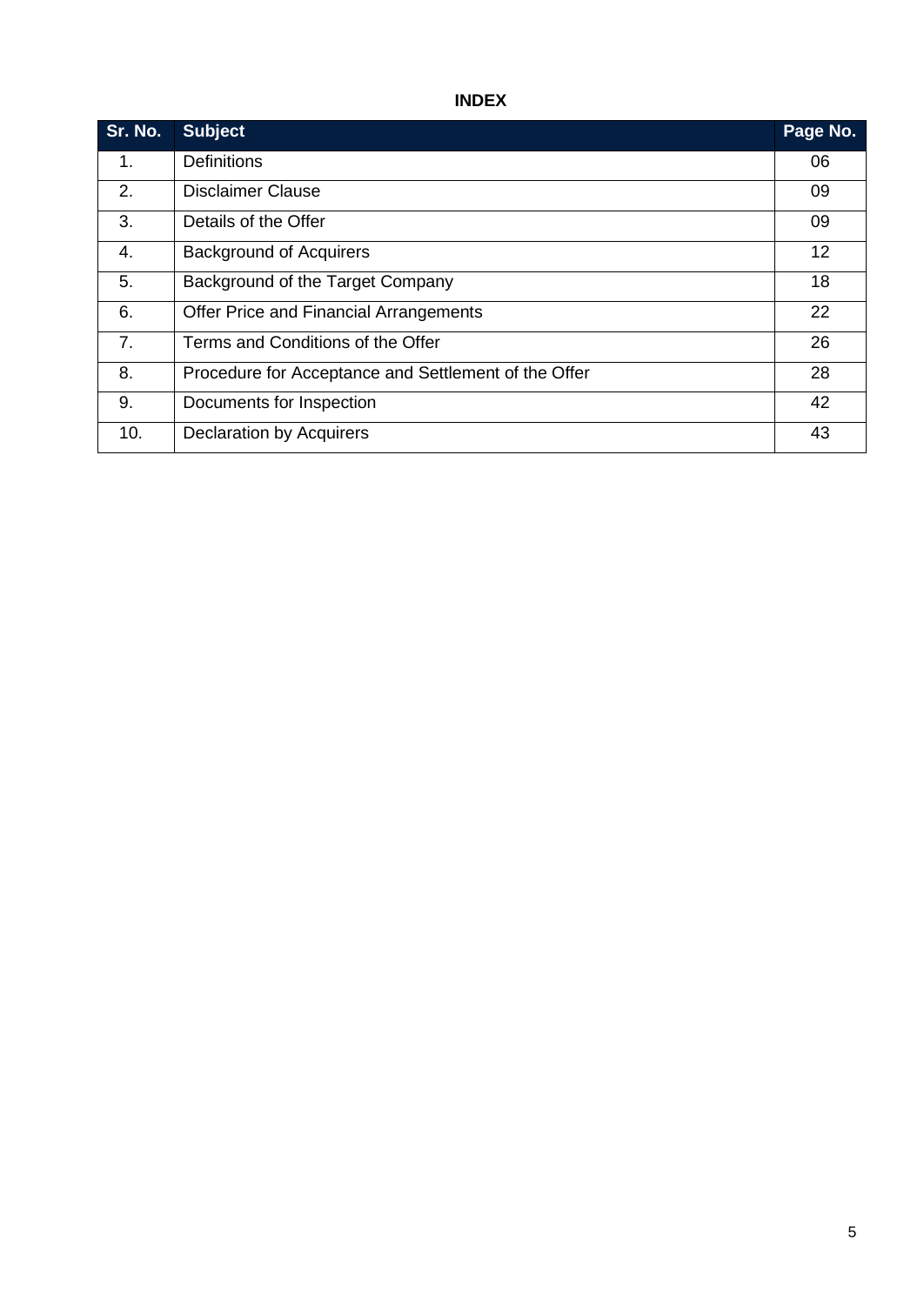# **INDEX**

| Sr. No. | <b>Subject</b>                                       | Page No. |
|---------|------------------------------------------------------|----------|
| 1.      | <b>Definitions</b>                                   | 06       |
| 2.      | <b>Disclaimer Clause</b>                             | 09       |
| 3.      | Details of the Offer                                 | 09       |
| 4.      | <b>Background of Acquirers</b>                       | 12       |
| 5.      | Background of the Target Company                     | 18       |
| 6.      | Offer Price and Financial Arrangements               | 22       |
| 7.      | Terms and Conditions of the Offer                    | 26       |
| 8.      | Procedure for Acceptance and Settlement of the Offer | 28       |
| 9.      | Documents for Inspection                             | 42       |
| 10.     | <b>Declaration by Acquirers</b>                      | 43       |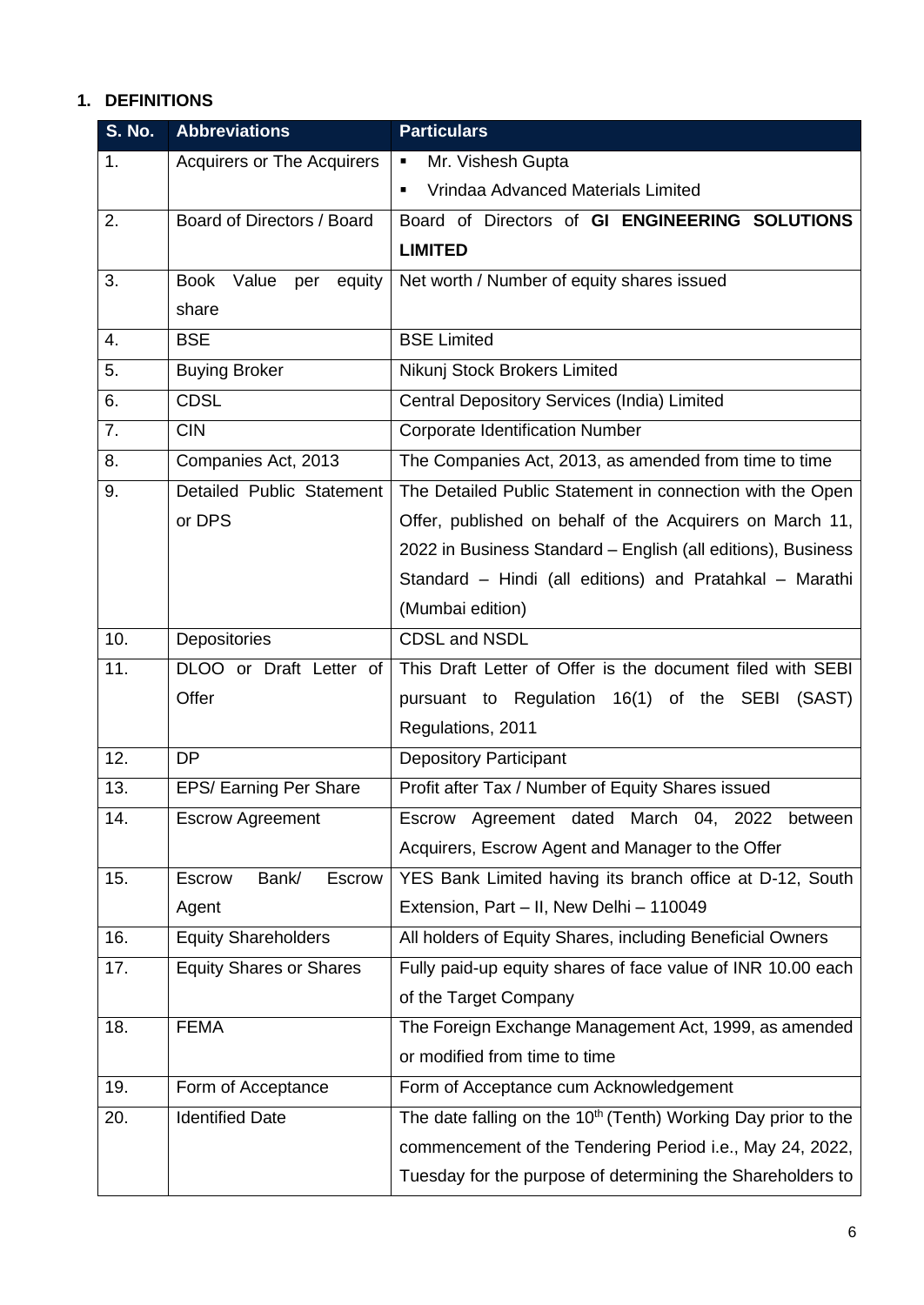## **1. DEFINITIONS**

| <b>S. No.</b> | <b>Abbreviations</b>              | <b>Particulars</b>                                                        |  |
|---------------|-----------------------------------|---------------------------------------------------------------------------|--|
| 1.            | <b>Acquirers or The Acquirers</b> | Mr. Vishesh Gupta<br>٠                                                    |  |
|               |                                   | Vrindaa Advanced Materials Limited<br>٠                                   |  |
| 2.            | Board of Directors / Board        | Board of Directors of GI ENGINEERING SOLUTIONS                            |  |
|               |                                   | <b>LIMITED</b>                                                            |  |
| 3.            | Book Value<br>equity<br>per       | Net worth / Number of equity shares issued                                |  |
|               | share                             |                                                                           |  |
| 4.            | <b>BSE</b>                        | <b>BSE Limited</b>                                                        |  |
| 5.            | <b>Buying Broker</b>              | Nikunj Stock Brokers Limited                                              |  |
| 6.            | <b>CDSL</b>                       | Central Depository Services (India) Limited                               |  |
| 7.            | <b>CIN</b>                        | <b>Corporate Identification Number</b>                                    |  |
| 8.            | Companies Act, 2013               | The Companies Act, 2013, as amended from time to time                     |  |
| 9.            | Detailed Public Statement         | The Detailed Public Statement in connection with the Open                 |  |
|               | or DPS                            | Offer, published on behalf of the Acquirers on March 11,                  |  |
|               |                                   | 2022 in Business Standard - English (all editions), Business              |  |
|               |                                   | Standard – Hindi (all editions) and Pratahkal – Marathi                   |  |
|               |                                   | (Mumbai edition)                                                          |  |
| 10.           | Depositories                      | CDSL and NSDL                                                             |  |
| 11.           | DLOO or Draft Letter of           | This Draft Letter of Offer is the document filed with SEBI                |  |
|               | Offer                             | pursuant to Regulation 16(1) of the SEBI (SAST)                           |  |
|               |                                   | Regulations, 2011                                                         |  |
| 12.           | <b>DP</b>                         | <b>Depository Participant</b>                                             |  |
| 13.           | <b>EPS/ Earning Per Share</b>     | Profit after Tax / Number of Equity Shares issued                         |  |
| 14.           | <b>Escrow Agreement</b>           | Escrow Agreement dated March 04, 2022 between                             |  |
|               |                                   | Acquirers, Escrow Agent and Manager to the Offer                          |  |
| 15.           | Bank/<br>Escrow<br>Escrow         | YES Bank Limited having its branch office at D-12, South                  |  |
|               | Agent                             | Extension, Part - II, New Delhi - 110049                                  |  |
| 16.           | <b>Equity Shareholders</b>        | All holders of Equity Shares, including Beneficial Owners                 |  |
| 17.           | <b>Equity Shares or Shares</b>    | Fully paid-up equity shares of face value of INR 10.00 each               |  |
|               |                                   | of the Target Company                                                     |  |
| 18.           | <b>FEMA</b>                       | The Foreign Exchange Management Act, 1999, as amended                     |  |
|               |                                   | or modified from time to time                                             |  |
| 19.           | Form of Acceptance                | Form of Acceptance cum Acknowledgement                                    |  |
| 20.           | <b>Identified Date</b>            | The date falling on the 10 <sup>th</sup> (Tenth) Working Day prior to the |  |
|               |                                   | commencement of the Tendering Period i.e., May 24, 2022,                  |  |
|               |                                   | Tuesday for the purpose of determining the Shareholders to                |  |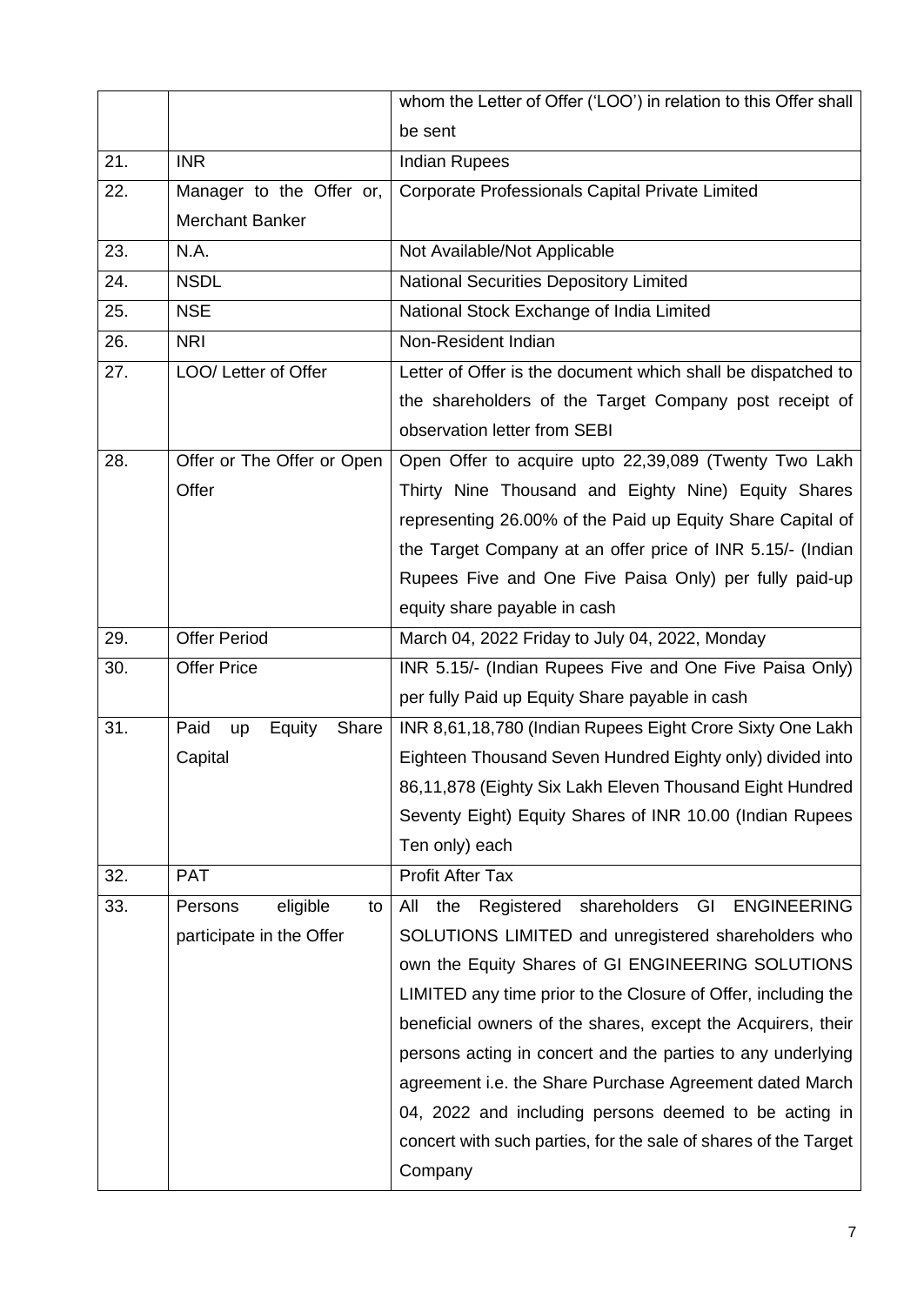|     |                               | whom the Letter of Offer ('LOO') in relation to this Offer shall     |  |  |
|-----|-------------------------------|----------------------------------------------------------------------|--|--|
|     |                               | be sent                                                              |  |  |
| 21. | <b>INR</b>                    | <b>Indian Rupees</b>                                                 |  |  |
| 22. | Manager to the Offer or,      | Corporate Professionals Capital Private Limited                      |  |  |
|     | <b>Merchant Banker</b>        |                                                                      |  |  |
| 23. | N.A.                          | Not Available/Not Applicable                                         |  |  |
| 24. | <b>NSDL</b>                   | National Securities Depository Limited                               |  |  |
| 25. | <b>NSE</b>                    | National Stock Exchange of India Limited                             |  |  |
| 26. | <b>NRI</b>                    | Non-Resident Indian                                                  |  |  |
| 27. | LOO/ Letter of Offer          | Letter of Offer is the document which shall be dispatched to         |  |  |
|     |                               | the shareholders of the Target Company post receipt of               |  |  |
|     |                               | observation letter from SEBI                                         |  |  |
| 28. | Offer or The Offer or Open    | Open Offer to acquire upto 22,39,089 (Twenty Two Lakh                |  |  |
|     | Offer                         | Thirty Nine Thousand and Eighty Nine) Equity Shares                  |  |  |
|     |                               | representing 26.00% of the Paid up Equity Share Capital of           |  |  |
|     |                               | the Target Company at an offer price of INR 5.15/- (Indian           |  |  |
|     |                               | Rupees Five and One Five Paisa Only) per fully paid-up               |  |  |
|     |                               | equity share payable in cash                                         |  |  |
| 29. | <b>Offer Period</b>           | March 04, 2022 Friday to July 04, 2022, Monday                       |  |  |
| 30. | <b>Offer Price</b>            | INR 5.15/- (Indian Rupees Five and One Five Paisa Only)              |  |  |
|     |                               | per fully Paid up Equity Share payable in cash                       |  |  |
| 31. | Paid<br>Equity<br>Share<br>up | INR 8,61,18,780 (Indian Rupees Eight Crore Sixty One Lakh            |  |  |
|     | Capital                       | Eighteen Thousand Seven Hundred Eighty only) divided into            |  |  |
|     |                               | 86,11,878 (Eighty Six Lakh Eleven Thousand Eight Hundred             |  |  |
|     |                               | Seventy Eight) Equity Shares of INR 10.00 (Indian Rupees             |  |  |
|     |                               | Ten only) each                                                       |  |  |
| 32. | <b>PAT</b>                    | <b>Profit After Tax</b>                                              |  |  |
| 33. | Persons<br>eligible<br>to     | shareholders<br>GI<br><b>ENGINEERING</b><br>the<br>All<br>Registered |  |  |
|     | participate in the Offer      | SOLUTIONS LIMITED and unregistered shareholders who                  |  |  |
|     |                               | own the Equity Shares of GI ENGINEERING SOLUTIONS                    |  |  |
|     |                               | LIMITED any time prior to the Closure of Offer, including the        |  |  |
|     |                               | beneficial owners of the shares, except the Acquirers, their         |  |  |
|     |                               | persons acting in concert and the parties to any underlying          |  |  |
|     |                               | agreement i.e. the Share Purchase Agreement dated March              |  |  |
|     |                               | 04, 2022 and including persons deemed to be acting in                |  |  |
|     |                               | concert with such parties, for the sale of shares of the Target      |  |  |
|     |                               | Company                                                              |  |  |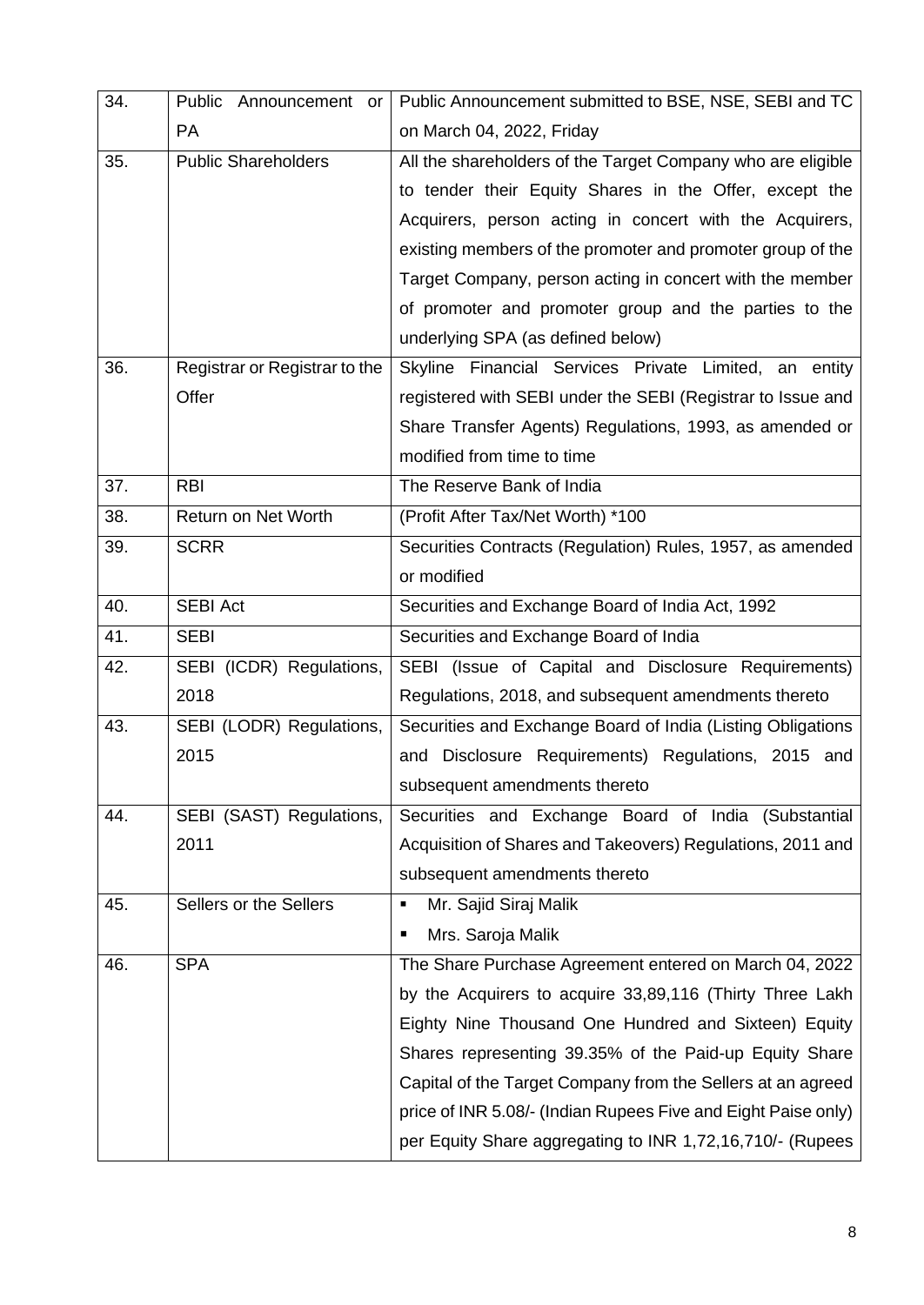| 34. | Public Announcement or        | Public Announcement submitted to BSE, NSE, SEBI and TC        |  |  |
|-----|-------------------------------|---------------------------------------------------------------|--|--|
|     | <b>PA</b>                     | on March 04, 2022, Friday                                     |  |  |
| 35. | <b>Public Shareholders</b>    | All the shareholders of the Target Company who are eligible   |  |  |
|     |                               | to tender their Equity Shares in the Offer, except the        |  |  |
|     |                               | Acquirers, person acting in concert with the Acquirers,       |  |  |
|     |                               | existing members of the promoter and promoter group of the    |  |  |
|     |                               | Target Company, person acting in concert with the member      |  |  |
|     |                               | of promoter and promoter group and the parties to the         |  |  |
|     |                               | underlying SPA (as defined below)                             |  |  |
| 36. | Registrar or Registrar to the | Skyline Financial Services Private Limited,<br>an<br>entity   |  |  |
|     | Offer                         | registered with SEBI under the SEBI (Registrar to Issue and   |  |  |
|     |                               | Share Transfer Agents) Regulations, 1993, as amended or       |  |  |
|     |                               | modified from time to time                                    |  |  |
| 37. | <b>RBI</b>                    | The Reserve Bank of India                                     |  |  |
| 38. | Return on Net Worth           | (Profit After Tax/Net Worth) *100                             |  |  |
| 39. | <b>SCRR</b>                   | Securities Contracts (Regulation) Rules, 1957, as amended     |  |  |
|     |                               | or modified                                                   |  |  |
| 40. | <b>SEBI Act</b>               | Securities and Exchange Board of India Act, 1992              |  |  |
| 41. | <b>SEBI</b>                   | Securities and Exchange Board of India                        |  |  |
| 42. | SEBI (ICDR) Regulations,      | SEBI (Issue of Capital and Disclosure Requirements)           |  |  |
|     | 2018                          | Regulations, 2018, and subsequent amendments thereto          |  |  |
| 43. | SEBI (LODR) Regulations,      | Securities and Exchange Board of India (Listing Obligations   |  |  |
|     | 2015                          | and Disclosure Requirements) Regulations, 2015 and            |  |  |
|     |                               | subsequent amendments thereto                                 |  |  |
| 44. | SEBI (SAST) Regulations,      | Securities and Exchange Board of India (Substantial           |  |  |
|     | 2011                          | Acquisition of Shares and Takeovers) Regulations, 2011 and    |  |  |
|     |                               | subsequent amendments thereto                                 |  |  |
| 45. | Sellers or the Sellers        | Mr. Sajid Siraj Malik<br>٠                                    |  |  |
|     |                               | Mrs. Saroja Malik<br>п                                        |  |  |
| 46. | <b>SPA</b>                    | The Share Purchase Agreement entered on March 04, 2022        |  |  |
|     |                               | by the Acquirers to acquire 33,89,116 (Thirty Three Lakh      |  |  |
|     |                               | Eighty Nine Thousand One Hundred and Sixteen) Equity          |  |  |
|     |                               | Shares representing 39.35% of the Paid-up Equity Share        |  |  |
|     |                               | Capital of the Target Company from the Sellers at an agreed   |  |  |
|     |                               | price of INR 5.08/- (Indian Rupees Five and Eight Paise only) |  |  |
|     |                               | per Equity Share aggregating to INR 1,72,16,710/- (Rupees     |  |  |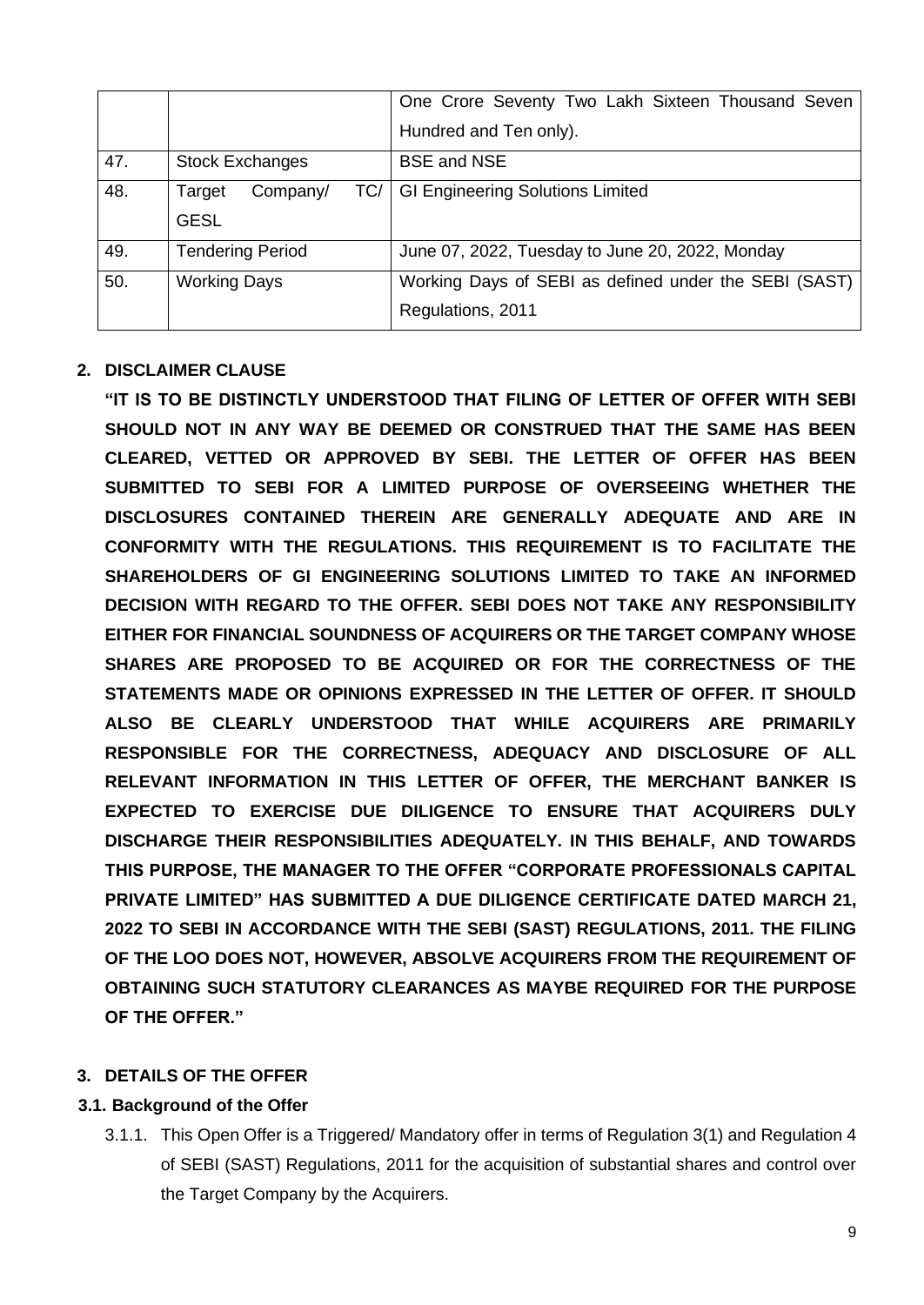|     |                           | One Crore Seventy Two Lakh Sixteen Thousand Seven     |
|-----|---------------------------|-------------------------------------------------------|
|     |                           | Hundred and Ten only).                                |
| 47. | <b>Stock Exchanges</b>    | <b>BSE and NSE</b>                                    |
| 48. | TC/<br>Company/<br>Target | <b>GI Engineering Solutions Limited</b>               |
|     | <b>GESL</b>               |                                                       |
| 49. | <b>Tendering Period</b>   | June 07, 2022, Tuesday to June 20, 2022, Monday       |
| 50. | <b>Working Days</b>       | Working Days of SEBI as defined under the SEBI (SAST) |
|     |                           | Regulations, 2011                                     |

## **2. DISCLAIMER CLAUSE**

**"IT IS TO BE DISTINCTLY UNDERSTOOD THAT FILING OF LETTER OF OFFER WITH SEBI SHOULD NOT IN ANY WAY BE DEEMED OR CONSTRUED THAT THE SAME HAS BEEN CLEARED, VETTED OR APPROVED BY SEBI. THE LETTER OF OFFER HAS BEEN SUBMITTED TO SEBI FOR A LIMITED PURPOSE OF OVERSEEING WHETHER THE DISCLOSURES CONTAINED THEREIN ARE GENERALLY ADEQUATE AND ARE IN CONFORMITY WITH THE REGULATIONS. THIS REQUIREMENT IS TO FACILITATE THE SHAREHOLDERS OF GI ENGINEERING SOLUTIONS LIMITED TO TAKE AN INFORMED DECISION WITH REGARD TO THE OFFER. SEBI DOES NOT TAKE ANY RESPONSIBILITY EITHER FOR FINANCIAL SOUNDNESS OF ACQUIRERS OR THE TARGET COMPANY WHOSE SHARES ARE PROPOSED TO BE ACQUIRED OR FOR THE CORRECTNESS OF THE STATEMENTS MADE OR OPINIONS EXPRESSED IN THE LETTER OF OFFER. IT SHOULD ALSO BE CLEARLY UNDERSTOOD THAT WHILE ACQUIRERS ARE PRIMARILY RESPONSIBLE FOR THE CORRECTNESS, ADEQUACY AND DISCLOSURE OF ALL RELEVANT INFORMATION IN THIS LETTER OF OFFER, THE MERCHANT BANKER IS EXPECTED TO EXERCISE DUE DILIGENCE TO ENSURE THAT ACQUIRERS DULY DISCHARGE THEIR RESPONSIBILITIES ADEQUATELY. IN THIS BEHALF, AND TOWARDS THIS PURPOSE, THE MANAGER TO THE OFFER "CORPORATE PROFESSIONALS CAPITAL PRIVATE LIMITED" HAS SUBMITTED A DUE DILIGENCE CERTIFICATE DATED MARCH 21, 2022 TO SEBI IN ACCORDANCE WITH THE SEBI (SAST) REGULATIONS, 2011. THE FILING OF THE LOO DOES NOT, HOWEVER, ABSOLVE ACQUIRERS FROM THE REQUIREMENT OF OBTAINING SUCH STATUTORY CLEARANCES AS MAYBE REQUIRED FOR THE PURPOSE OF THE OFFER."**

## **3. DETAILS OF THE OFFER**

## **3.1. Background of the Offer**

3.1.1. This Open Offer is a Triggered/ Mandatory offer in terms of Regulation 3(1) and Regulation 4 of SEBI (SAST) Regulations, 2011 for the acquisition of substantial shares and control over the Target Company by the Acquirers.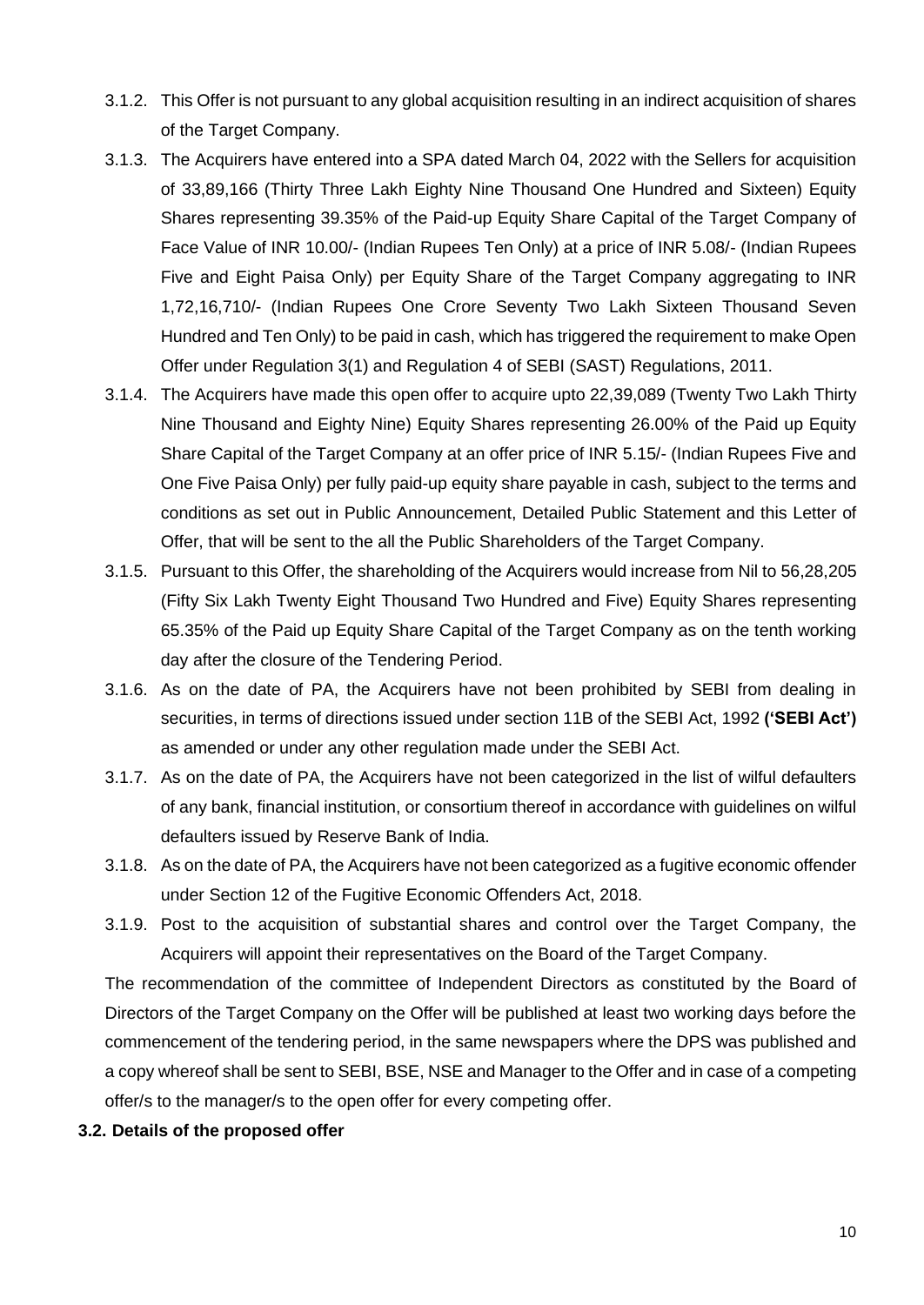- 3.1.2. This Offer is not pursuant to any global acquisition resulting in an indirect acquisition of shares of the Target Company.
- 3.1.3. The Acquirers have entered into a SPA dated March 04, 2022 with the Sellers for acquisition of 33,89,166 (Thirty Three Lakh Eighty Nine Thousand One Hundred and Sixteen) Equity Shares representing 39.35% of the Paid-up Equity Share Capital of the Target Company of Face Value of INR 10.00/- (Indian Rupees Ten Only) at a price of INR 5.08/- (Indian Rupees Five and Eight Paisa Only) per Equity Share of the Target Company aggregating to INR 1,72,16,710/- (Indian Rupees One Crore Seventy Two Lakh Sixteen Thousand Seven Hundred and Ten Only) to be paid in cash, which has triggered the requirement to make Open Offer under Regulation 3(1) and Regulation 4 of SEBI (SAST) Regulations, 2011.
- 3.1.4. The Acquirers have made this open offer to acquire upto 22,39,089 (Twenty Two Lakh Thirty Nine Thousand and Eighty Nine) Equity Shares representing 26.00% of the Paid up Equity Share Capital of the Target Company at an offer price of INR 5.15/- (Indian Rupees Five and One Five Paisa Only) per fully paid-up equity share payable in cash, subject to the terms and conditions as set out in Public Announcement, Detailed Public Statement and this Letter of Offer, that will be sent to the all the Public Shareholders of the Target Company.
- 3.1.5. Pursuant to this Offer, the shareholding of the Acquirers would increase from Nil to 56,28,205 (Fifty Six Lakh Twenty Eight Thousand Two Hundred and Five) Equity Shares representing 65.35% of the Paid up Equity Share Capital of the Target Company as on the tenth working day after the closure of the Tendering Period.
- 3.1.6. As on the date of PA, the Acquirers have not been prohibited by SEBI from dealing in securities, in terms of directions issued under section 11B of the SEBI Act, 1992 **('SEBI Act')** as amended or under any other regulation made under the SEBI Act.
- 3.1.7. As on the date of PA, the Acquirers have not been categorized in the list of wilful defaulters of any bank, financial institution, or consortium thereof in accordance with guidelines on wilful defaulters issued by Reserve Bank of India.
- 3.1.8. As on the date of PA, the Acquirers have not been categorized as a fugitive economic offender under Section 12 of the Fugitive Economic Offenders Act, 2018.
- 3.1.9. Post to the acquisition of substantial shares and control over the Target Company, the Acquirers will appoint their representatives on the Board of the Target Company.

The recommendation of the committee of Independent Directors as constituted by the Board of Directors of the Target Company on the Offer will be published at least two working days before the commencement of the tendering period, in the same newspapers where the DPS was published and a copy whereof shall be sent to SEBI, BSE, NSE and Manager to the Offer and in case of a competing offer/s to the manager/s to the open offer for every competing offer.

**3.2. Details of the proposed offer**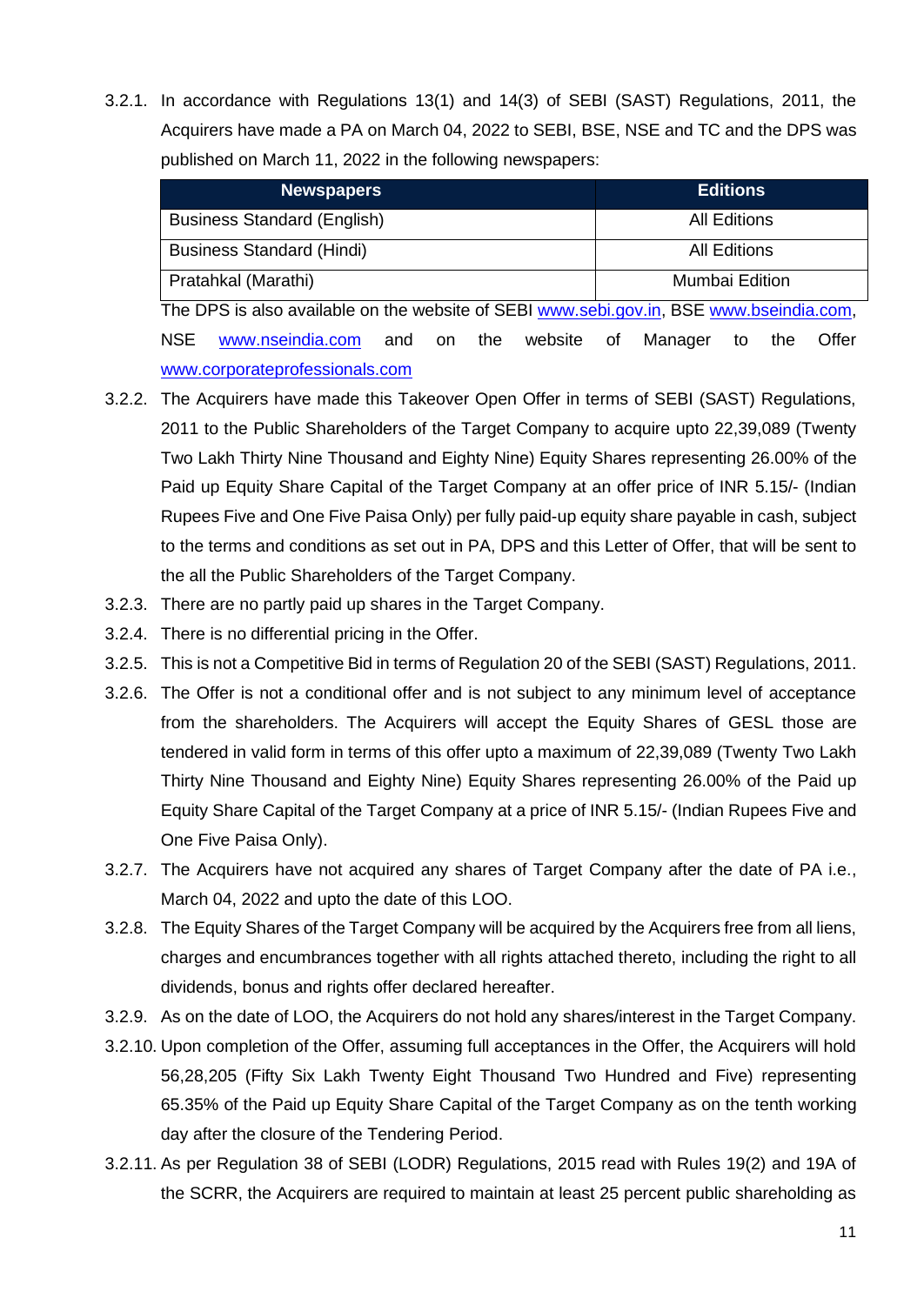3.2.1. In accordance with Regulations 13(1) and 14(3) of SEBI (SAST) Regulations, 2011, the Acquirers have made a PA on March 04, 2022 to SEBI, BSE, NSE and TC and the DPS was published on March 11, 2022 in the following newspapers:

| <b>Newspapers</b>                                                                       | <b>Editions</b>                     |  |  |
|-----------------------------------------------------------------------------------------|-------------------------------------|--|--|
| <b>Business Standard (English)</b>                                                      | <b>All Editions</b>                 |  |  |
| <b>Business Standard (Hindi)</b>                                                        | <b>All Editions</b>                 |  |  |
| Pratahkal (Marathi)                                                                     | Mumbai Edition                      |  |  |
| The DPS is also available on the website of SEBI www.sebi.gov.in, BSE www.bseindia.com, |                                     |  |  |
| NSE<br>www.nseindia.com<br>website<br>the<br>and<br>on on                               | Offer<br>Manager<br>0f<br>the<br>to |  |  |

[www.corporateprofessionals.com](http://www.corporateprofessionals.com/)

- 3.2.2. The Acquirers have made this Takeover Open Offer in terms of SEBI (SAST) Regulations, 2011 to the Public Shareholders of the Target Company to acquire upto 22,39,089 (Twenty Two Lakh Thirty Nine Thousand and Eighty Nine) Equity Shares representing 26.00% of the Paid up Equity Share Capital of the Target Company at an offer price of INR 5.15/- (Indian Rupees Five and One Five Paisa Only) per fully paid-up equity share payable in cash, subject to the terms and conditions as set out in PA, DPS and this Letter of Offer, that will be sent to the all the Public Shareholders of the Target Company.
- 3.2.3. There are no partly paid up shares in the Target Company.
- 3.2.4. There is no differential pricing in the Offer.
- 3.2.5. This is not a Competitive Bid in terms of Regulation 20 of the SEBI (SAST) Regulations, 2011.
- 3.2.6. The Offer is not a conditional offer and is not subject to any minimum level of acceptance from the shareholders. The Acquirers will accept the Equity Shares of GESL those are tendered in valid form in terms of this offer upto a maximum of 22,39,089 (Twenty Two Lakh Thirty Nine Thousand and Eighty Nine) Equity Shares representing 26.00% of the Paid up Equity Share Capital of the Target Company at a price of INR 5.15/- (Indian Rupees Five and One Five Paisa Only).
- 3.2.7. The Acquirers have not acquired any shares of Target Company after the date of PA i.e., March 04, 2022 and upto the date of this LOO.
- 3.2.8. The Equity Shares of the Target Company will be acquired by the Acquirers free from all liens, charges and encumbrances together with all rights attached thereto, including the right to all dividends, bonus and rights offer declared hereafter.
- 3.2.9. As on the date of LOO, the Acquirers do not hold any shares/interest in the Target Company.
- 3.2.10. Upon completion of the Offer, assuming full acceptances in the Offer, the Acquirers will hold 56,28,205 (Fifty Six Lakh Twenty Eight Thousand Two Hundred and Five) representing 65.35% of the Paid up Equity Share Capital of the Target Company as on the tenth working day after the closure of the Tendering Period.
- 3.2.11. As per Regulation 38 of SEBI (LODR) Regulations, 2015 read with Rules 19(2) and 19A of the SCRR, the Acquirers are required to maintain at least 25 percent public shareholding as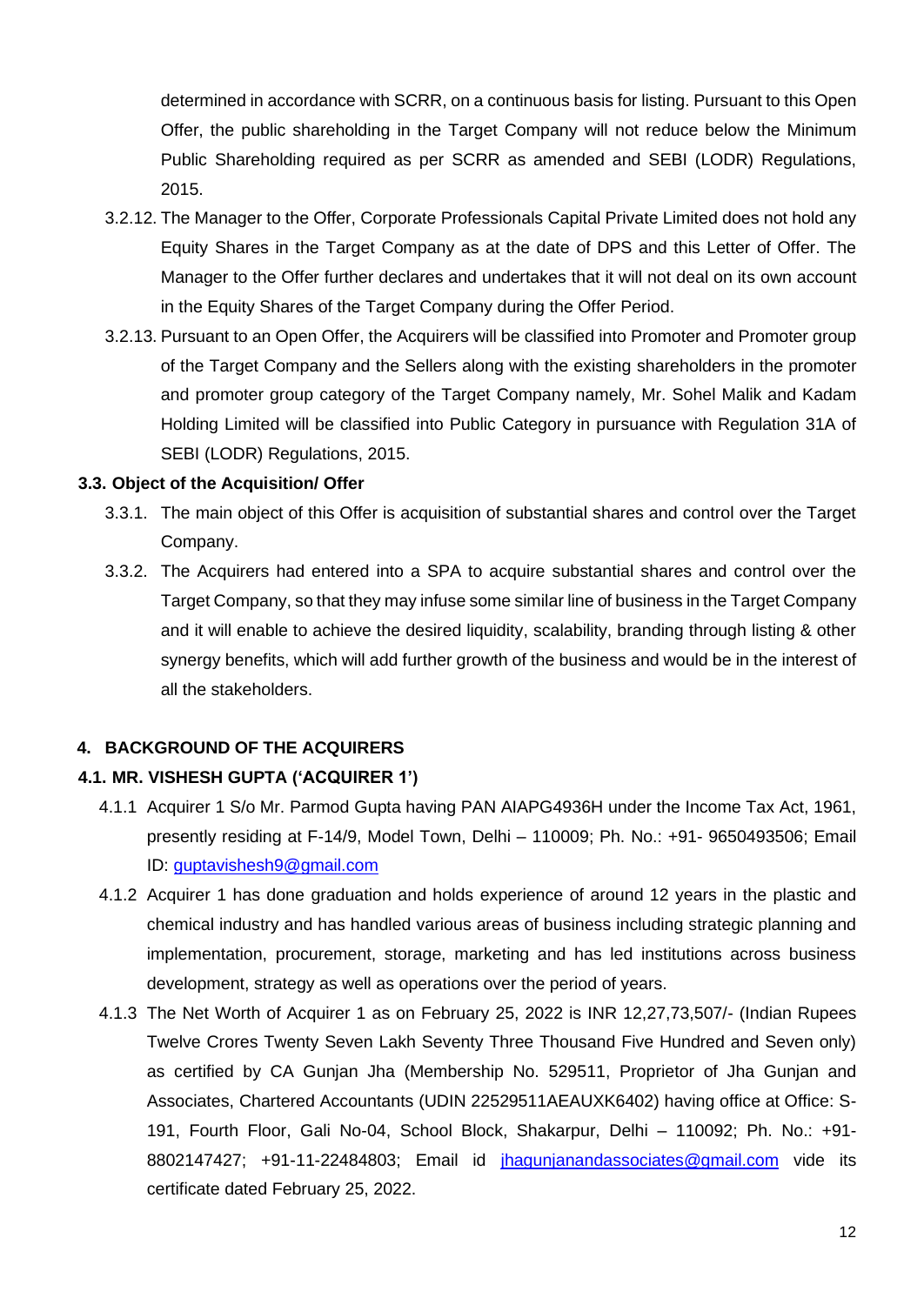determined in accordance with SCRR, on a continuous basis for listing. Pursuant to this Open Offer, the public shareholding in the Target Company will not reduce below the Minimum Public Shareholding required as per SCRR as amended and SEBI (LODR) Regulations, 2015.

- 3.2.12. The Manager to the Offer, Corporate Professionals Capital Private Limited does not hold any Equity Shares in the Target Company as at the date of DPS and this Letter of Offer. The Manager to the Offer further declares and undertakes that it will not deal on its own account in the Equity Shares of the Target Company during the Offer Period.
- 3.2.13. Pursuant to an Open Offer, the Acquirers will be classified into Promoter and Promoter group of the Target Company and the Sellers along with the existing shareholders in the promoter and promoter group category of the Target Company namely, Mr. Sohel Malik and Kadam Holding Limited will be classified into Public Category in pursuance with Regulation 31A of SEBI (LODR) Regulations, 2015.

#### **3.3. Object of the Acquisition/ Offer**

- 3.3.1. The main object of this Offer is acquisition of substantial shares and control over the Target Company.
- 3.3.2. The Acquirers had entered into a SPA to acquire substantial shares and control over the Target Company, so that they may infuse some similar line of business in the Target Company and it will enable to achieve the desired liquidity, scalability, branding through listing & other synergy benefits, which will add further growth of the business and would be in the interest of all the stakeholders.

#### **4. BACKGROUND OF THE ACQUIRERS**

#### **4.1. MR. VISHESH GUPTA ('ACQUIRER 1')**

- 4.1.1 Acquirer 1 S/o Mr. Parmod Gupta having PAN AIAPG4936H under the Income Tax Act, 1961, presently residing at F-14/9, Model Town, Delhi – 110009; Ph. No.: +91- 9650493506; Email ID: [guptavishesh9@gmail.com](mailto:guptavishesh9@gmail.com)
- 4.1.2 Acquirer 1 has done graduation and holds experience of around 12 years in the plastic and chemical industry and has handled various areas of business including strategic planning and implementation, procurement, storage, marketing and has led institutions across business development, strategy as well as operations over the period of years.
- 4.1.3 The Net Worth of Acquirer 1 as on February 25, 2022 is INR 12,27,73,507/- (Indian Rupees Twelve Crores Twenty Seven Lakh Seventy Three Thousand Five Hundred and Seven only) as certified by CA Gunjan Jha (Membership No. 529511, Proprietor of Jha Gunjan and Associates, Chartered Accountants (UDIN 22529511AEAUXK6402) having office at Office: S-191, Fourth Floor, Gali No-04, School Block, Shakarpur, Delhi – 110092; Ph. No.: +91- 8802147427; +91-11-22484803; Email id [jhagunjanandassociates@gmail.com](mailto:jhagunjanandassociates@gmail.com) vide its certificate dated February 25, 2022.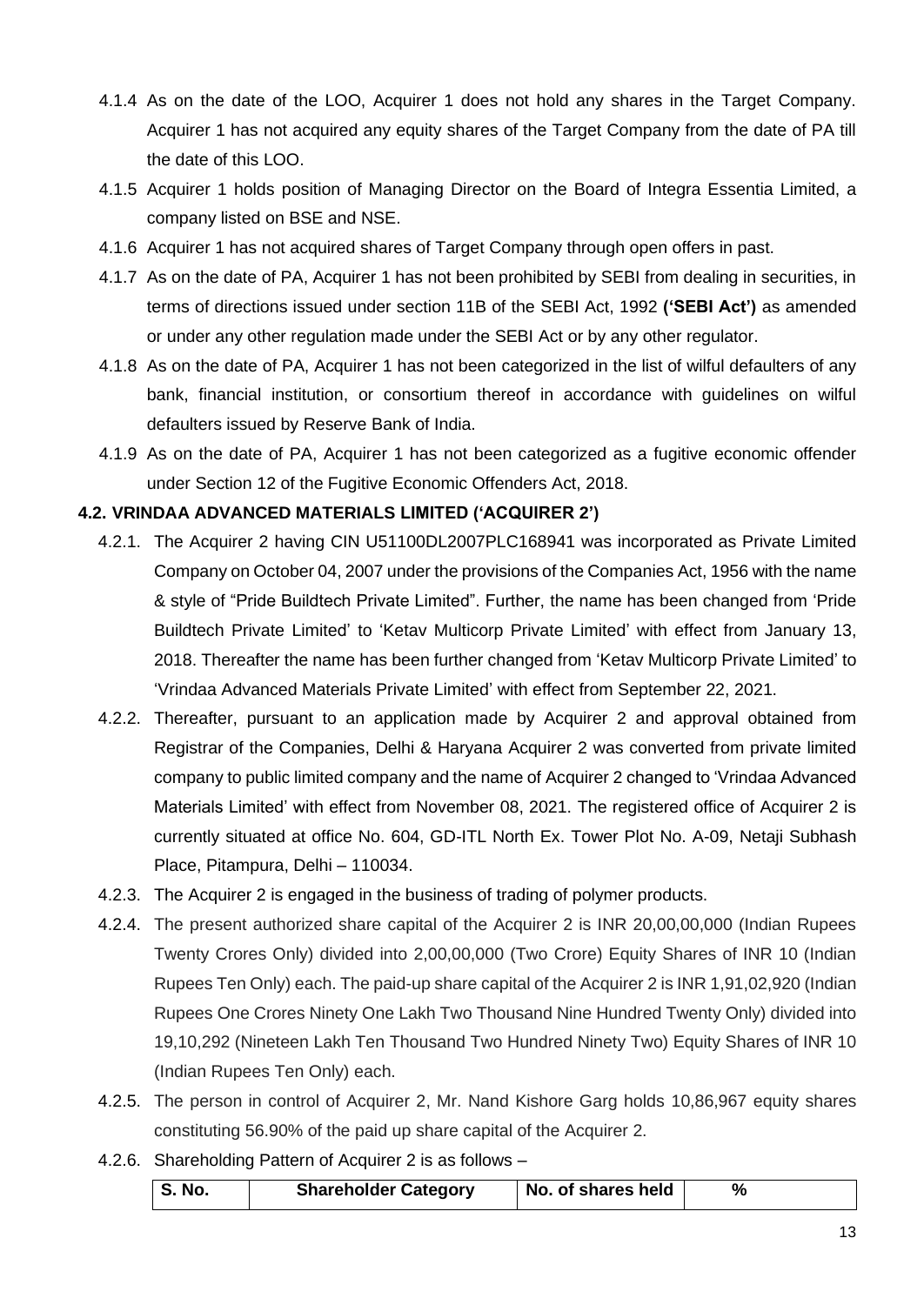- 4.1.4 As on the date of the LOO, Acquirer 1 does not hold any shares in the Target Company. Acquirer 1 has not acquired any equity shares of the Target Company from the date of PA till the date of this LOO.
- 4.1.5 Acquirer 1 holds position of Managing Director on the Board of Integra Essentia Limited, a company listed on BSE and NSE.
- 4.1.6 Acquirer 1 has not acquired shares of Target Company through open offers in past.
- 4.1.7 As on the date of PA, Acquirer 1 has not been prohibited by SEBI from dealing in securities, in terms of directions issued under section 11B of the SEBI Act, 1992 **('SEBI Act')** as amended or under any other regulation made under the SEBI Act or by any other regulator.
- 4.1.8 As on the date of PA, Acquirer 1 has not been categorized in the list of wilful defaulters of any bank, financial institution, or consortium thereof in accordance with guidelines on wilful defaulters issued by Reserve Bank of India.
- 4.1.9 As on the date of PA, Acquirer 1 has not been categorized as a fugitive economic offender under Section 12 of the Fugitive Economic Offenders Act, 2018.

#### **4.2. VRINDAA ADVANCED MATERIALS LIMITED ('ACQUIRER 2')**

- 4.2.1. The Acquirer 2 having CIN U51100DL2007PLC168941 was incorporated as Private Limited Company on October 04, 2007 under the provisions of the Companies Act, 1956 with the name & style of "Pride Buildtech Private Limited". Further, the name has been changed from 'Pride Buildtech Private Limited' to 'Ketav Multicorp Private Limited' with effect from January 13, 2018. Thereafter the name has been further changed from 'Ketav Multicorp Private Limited' to 'Vrindaa Advanced Materials Private Limited' with effect from September 22, 2021.
- 4.2.2. Thereafter, pursuant to an application made by Acquirer 2 and approval obtained from Registrar of the Companies, Delhi & Haryana Acquirer 2 was converted from private limited company to public limited company and the name of Acquirer 2 changed to 'Vrindaa Advanced Materials Limited' with effect from November 08, 2021. The registered office of Acquirer 2 is currently situated at office No. 604, GD-ITL North Ex. Tower Plot No. A-09, Netaji Subhash Place, Pitampura, Delhi – 110034.
- 4.2.3. The Acquirer 2 is engaged in the business of trading of polymer products.
- 4.2.4. The present authorized share capital of the Acquirer 2 is INR 20,00,00,000 (Indian Rupees Twenty Crores Only) divided into 2,00,00,000 (Two Crore) Equity Shares of INR 10 (Indian Rupees Ten Only) each. The paid-up share capital of the Acquirer 2 is INR 1,91,02,920 (Indian Rupees One Crores Ninety One Lakh Two Thousand Nine Hundred Twenty Only) divided into 19,10,292 (Nineteen Lakh Ten Thousand Two Hundred Ninety Two) Equity Shares of INR 10 (Indian Rupees Ten Only) each.
- 4.2.5. The person in control of Acquirer 2, Mr. Nand Kishore Garg holds 10,86,967 equity shares constituting 56.90% of the paid up share capital of the Acquirer 2.
- 4.2.6. Shareholding Pattern of Acquirer 2 is as follows –

| <b>Shareholder Category</b><br>S. No.<br>No. of shares held |  |
|-------------------------------------------------------------|--|
|-------------------------------------------------------------|--|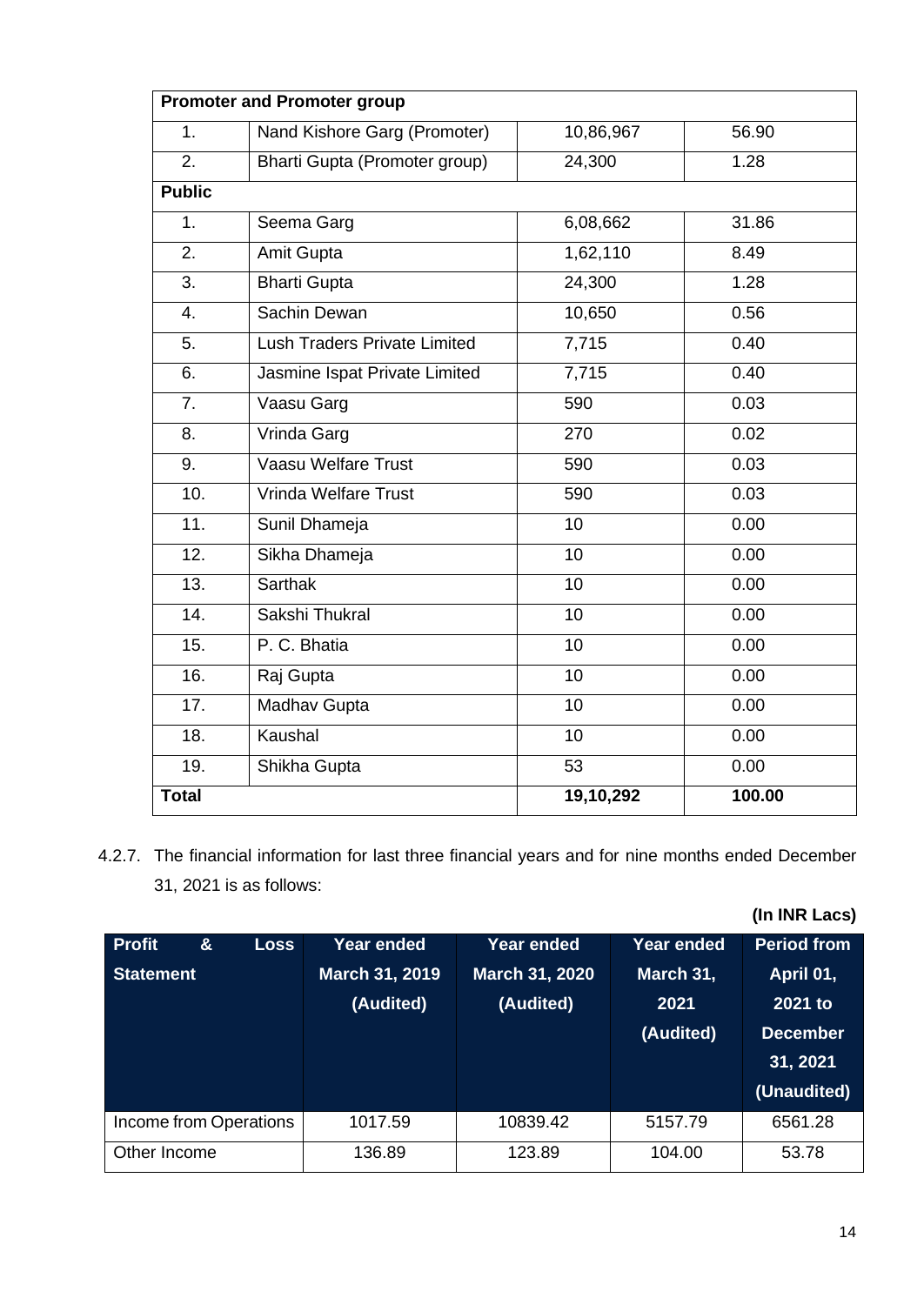| <b>Promoter and Promoter group</b> |                                     |                 |        |  |
|------------------------------------|-------------------------------------|-----------------|--------|--|
| 1.                                 | Nand Kishore Garg (Promoter)        | 10,86,967       | 56.90  |  |
| 2.                                 | Bharti Gupta (Promoter group)       | 24,300          | 1.28   |  |
| <b>Public</b>                      |                                     |                 |        |  |
| 1.                                 | Seema Garg                          | 6,08,662        | 31.86  |  |
| 2.                                 | Amit Gupta                          | 1,62,110        | 8.49   |  |
| 3.                                 | <b>Bharti Gupta</b>                 | 24,300          | 1.28   |  |
| 4.                                 | Sachin Dewan                        | 10,650          | 0.56   |  |
| 5.                                 | <b>Lush Traders Private Limited</b> | 7,715           | 0.40   |  |
| 6.                                 | Jasmine Ispat Private Limited       | 7,715           | 0.40   |  |
| $\overline{7}$ .                   | Vaasu Garg                          | 590             | 0.03   |  |
| 8.                                 | Vrinda Garg                         | 270             | 0.02   |  |
| 9.                                 | Vaasu Welfare Trust                 | 590             | 0.03   |  |
| 10.                                | Vrinda Welfare Trust                | 590             | 0.03   |  |
| $\overline{11}$ .                  | Sunil Dhameja                       | 10              | 0.00   |  |
| 12.                                | Sikha Dhameja                       | 10              | 0.00   |  |
| 13.                                | <b>Sarthak</b>                      | 10              | 0.00   |  |
| 14.                                | Sakshi Thukral                      | 10              | 0.00   |  |
| 15.                                | P. C. Bhatia                        | $\overline{10}$ | 0.00   |  |
| $\overline{16}$ .                  | Raj Gupta                           | $\overline{10}$ | 0.00   |  |
| 17.                                | <b>Madhav Gupta</b>                 | 10              | 0.00   |  |
| 18.                                | Kaushal                             | 10              | 0.00   |  |
| 19.                                | Shikha Gupta                        | 53              | 0.00   |  |
| <b>Total</b>                       |                                     | 19,10,292       | 100.00 |  |

4.2.7. The financial information for last three financial years and for nine months ended December 31, 2021 is as follows:

**(In INR Lacs)**

| <b>Profit</b><br>$\boldsymbol{\alpha}$<br><b>Loss</b><br><b>Statement</b> | Year ended<br>March 31, 2019<br>(Audited) | <b>Year ended</b><br><b>March 31, 2020</b><br>(Audited) | Year ended<br>March 31,<br>2021<br>(Audited) | <b>Period from</b><br>April 01,<br>2021 to<br><b>December</b><br>31, 2021<br>(Unaudited) |
|---------------------------------------------------------------------------|-------------------------------------------|---------------------------------------------------------|----------------------------------------------|------------------------------------------------------------------------------------------|
| Income from Operations                                                    | 1017.59                                   | 10839.42                                                | 5157.79                                      | 6561.28                                                                                  |
| Other Income                                                              | 136.89                                    | 123.89                                                  | 104.00                                       | 53.78                                                                                    |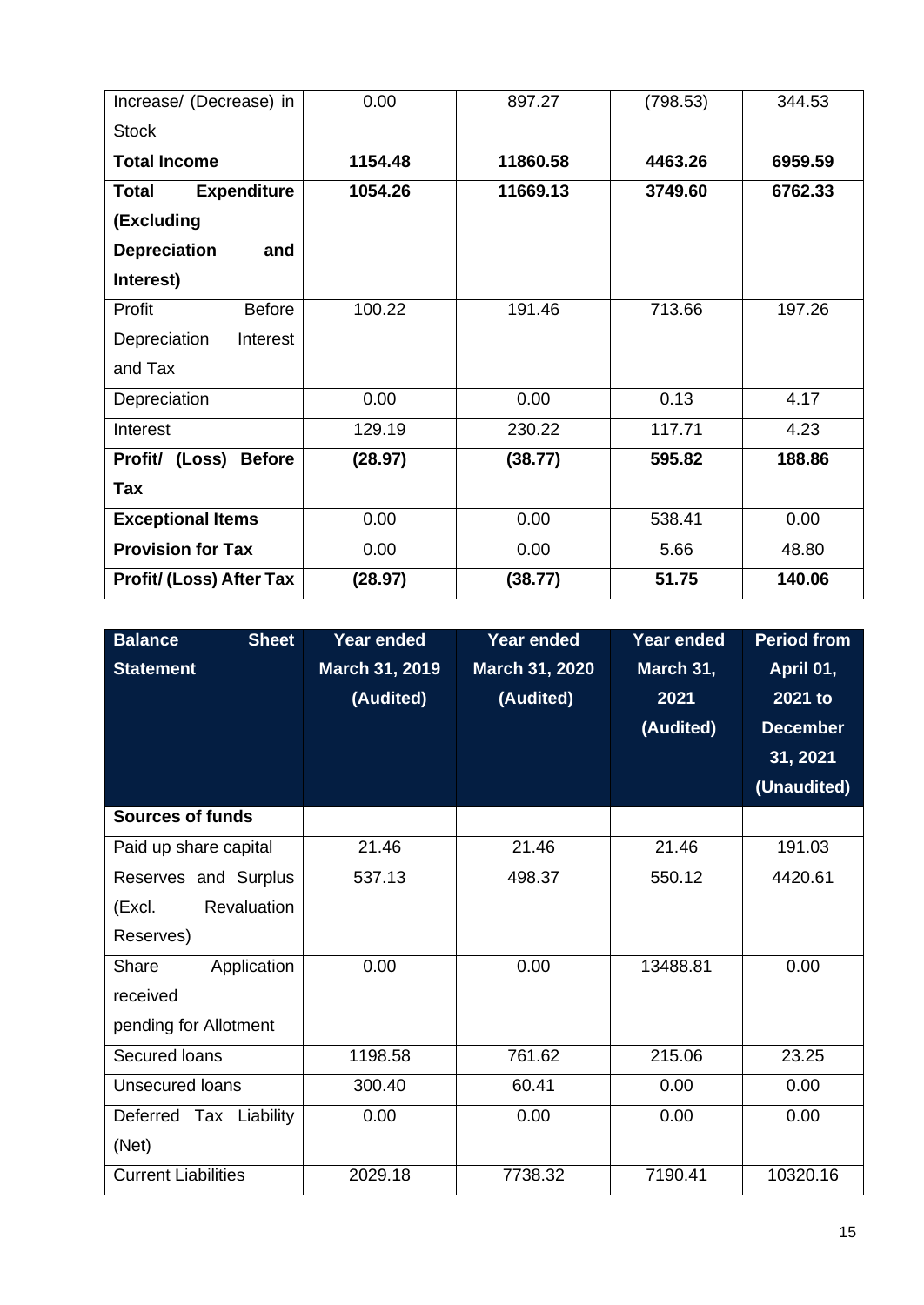| Increase/ (Decrease) in            | 0.00    | 897.27   | (798.53) | 344.53  |
|------------------------------------|---------|----------|----------|---------|
| <b>Stock</b>                       |         |          |          |         |
| <b>Total Income</b>                | 1154.48 | 11860.58 | 4463.26  | 6959.59 |
| <b>Expenditure</b><br><b>Total</b> | 1054.26 | 11669.13 | 3749.60  | 6762.33 |
| (Excluding                         |         |          |          |         |
| <b>Depreciation</b><br>and         |         |          |          |         |
| Interest)                          |         |          |          |         |
| Profit<br><b>Before</b>            | 100.22  | 191.46   | 713.66   | 197.26  |
| Depreciation<br>Interest           |         |          |          |         |
| and Tax                            |         |          |          |         |
| Depreciation                       | 0.00    | 0.00     | 0.13     | 4.17    |
| Interest                           | 129.19  | 230.22   | 117.71   | 4.23    |
| Profit/ (Loss)<br><b>Before</b>    | (28.97) | (38.77)  | 595.82   | 188.86  |
| Tax                                |         |          |          |         |
| <b>Exceptional Items</b>           | 0.00    | 0.00     | 538.41   | 0.00    |
| <b>Provision for Tax</b>           | 0.00    | 0.00     | 5.66     | 48.80   |
| <b>Profit/ (Loss) After Tax</b>    | (28.97) | (38.77)  | 51.75    | 140.06  |

| <b>Balance</b><br><b>Sheet</b><br><b>Statement</b> | <b>Year ended</b><br>March 31, 2019<br>(Audited) | <b>Year ended</b><br>March 31, 2020<br>(Audited) | Year ended<br>March 31,<br>2021<br>(Audited) | <b>Period from</b><br>April 01,<br>2021 to<br><b>December</b><br>31, 2021 |
|----------------------------------------------------|--------------------------------------------------|--------------------------------------------------|----------------------------------------------|---------------------------------------------------------------------------|
|                                                    |                                                  |                                                  |                                              | (Unaudited)                                                               |
| <b>Sources of funds</b>                            |                                                  |                                                  |                                              |                                                                           |
| Paid up share capital                              | 21.46                                            | 21.46                                            | 21.46                                        | 191.03                                                                    |
| Reserves and Surplus                               | 537.13                                           | 498.37                                           | 550.12                                       | 4420.61                                                                   |
| Revaluation<br>(Excl.                              |                                                  |                                                  |                                              |                                                                           |
| Reserves)                                          |                                                  |                                                  |                                              |                                                                           |
| Application<br>Share                               | 0.00                                             | 0.00                                             | 13488.81                                     | 0.00                                                                      |
| received                                           |                                                  |                                                  |                                              |                                                                           |
| pending for Allotment                              |                                                  |                                                  |                                              |                                                                           |
| Secured Ioans                                      | 1198.58                                          | 761.62                                           | 215.06                                       | 23.25                                                                     |
| <b>Unsecured loans</b>                             | 300.40                                           | 60.41                                            | 0.00                                         | 0.00                                                                      |
| Deferred Tax Liability                             | 0.00                                             | 0.00                                             | 0.00                                         | 0.00                                                                      |
| (Net)                                              |                                                  |                                                  |                                              |                                                                           |
| <b>Current Liabilities</b>                         | 2029.18                                          | 7738.32                                          | 7190.41                                      | 10320.16                                                                  |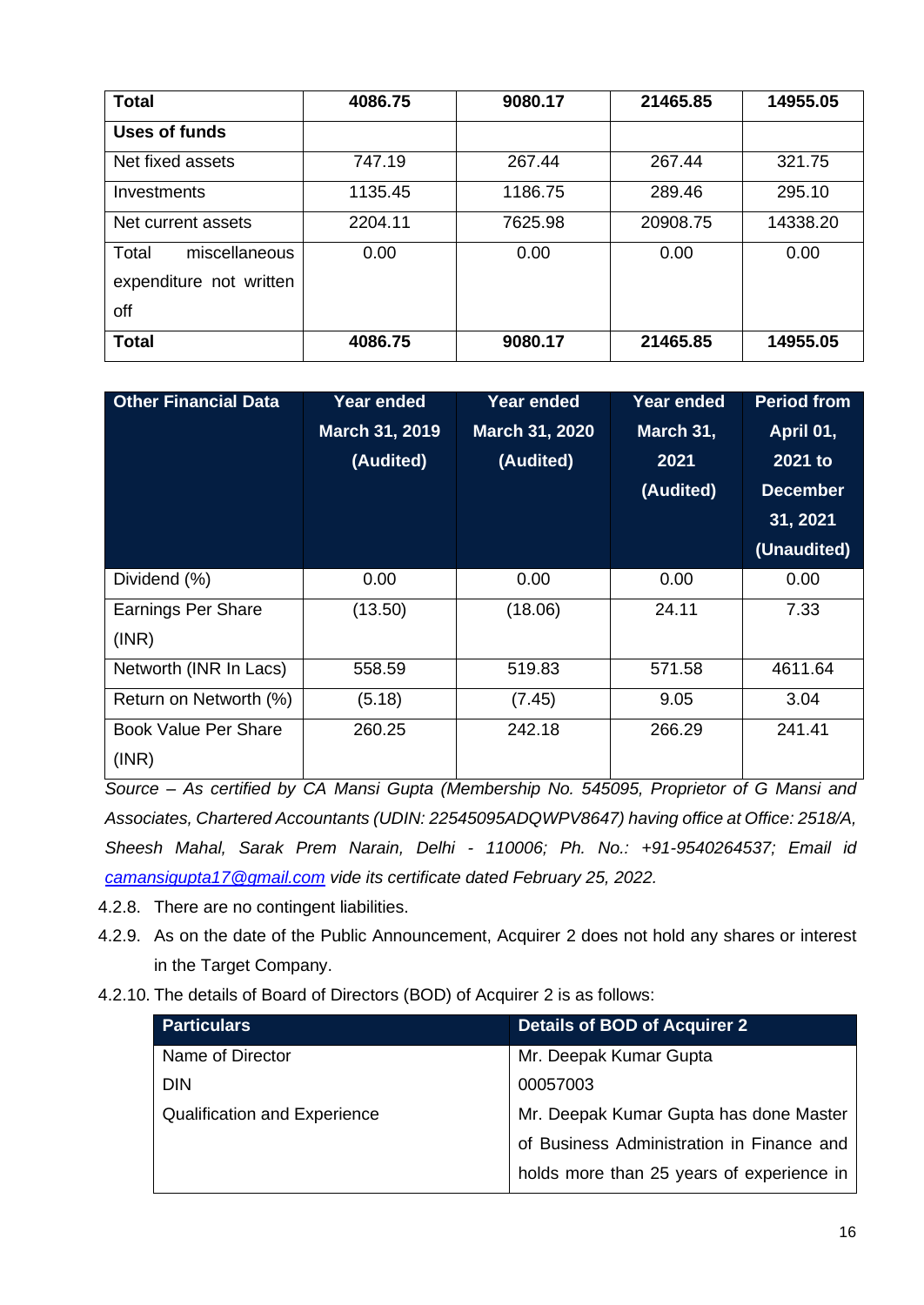| <b>Total</b>                                             | 4086.75 | 9080.17 | 21465.85 | 14955.05 |
|----------------------------------------------------------|---------|---------|----------|----------|
| <b>Uses of funds</b>                                     |         |         |          |          |
| Net fixed assets                                         | 747.19  | 267.44  | 267.44   | 321.75   |
| Investments                                              | 1135.45 | 1186.75 | 289.46   | 295.10   |
| Net current assets                                       | 2204.11 | 7625.98 | 20908.75 | 14338.20 |
| Total<br>miscellaneous<br>expenditure not written<br>off | 0.00    | 0.00    | 0.00     | 0.00     |
| <b>Total</b>                                             | 4086.75 | 9080.17 | 21465.85 | 14955.05 |

| <b>Other Financial Data</b>          | <b>Year ended</b><br>March 31, 2019<br>(Audited) | <b>Year ended</b><br>March 31, 2020<br>(Audited) | <b>Year ended</b><br>March 31,<br>2021<br>(Audited) | <b>Period from</b><br>April 01,<br>2021 to<br><b>December</b><br>31, 2021<br>(Unaudited) |
|--------------------------------------|--------------------------------------------------|--------------------------------------------------|-----------------------------------------------------|------------------------------------------------------------------------------------------|
| Dividend (%)                         | 0.00                                             | 0.00                                             | 0.00                                                | 0.00                                                                                     |
| <b>Earnings Per Share</b><br>(INR)   | (13.50)                                          | (18.06)                                          | 24.11                                               | 7.33                                                                                     |
| Networth (INR In Lacs)               | 558.59                                           | 519.83                                           | 571.58                                              | 4611.64                                                                                  |
| Return on Networth (%)               | (5.18)                                           | (7.45)                                           | 9.05                                                | 3.04                                                                                     |
| <b>Book Value Per Share</b><br>(INR) | 260.25                                           | 242.18                                           | 266.29                                              | 241.41                                                                                   |

*Source – As certified by CA Mansi Gupta (Membership No. 545095, Proprietor of G Mansi and Associates, Chartered Accountants (UDIN: 22545095ADQWPV8647) having office at Office: 2518/A, Sheesh Mahal, Sarak Prem Narain, Delhi - 110006; Ph. No.: +91-9540264537; Email id [camansigupta17@gmail.com](mailto:camansigupta17@gmail.com) vide its certificate dated February 25, 2022.*

4.2.8. There are no contingent liabilities.

- 4.2.9. As on the date of the Public Announcement, Acquirer 2 does not hold any shares or interest in the Target Company.
- 4.2.10. The details of Board of Directors (BOD) of Acquirer 2 is as follows:

| <b>Particulars</b>                  | <b>Details of BOD of Acquirer 2</b>       |
|-------------------------------------|-------------------------------------------|
| Name of Director                    | Mr. Deepak Kumar Gupta                    |
| <b>DIN</b>                          | 00057003                                  |
| <b>Qualification and Experience</b> | Mr. Deepak Kumar Gupta has done Master    |
|                                     | of Business Administration in Finance and |
|                                     | holds more than 25 years of experience in |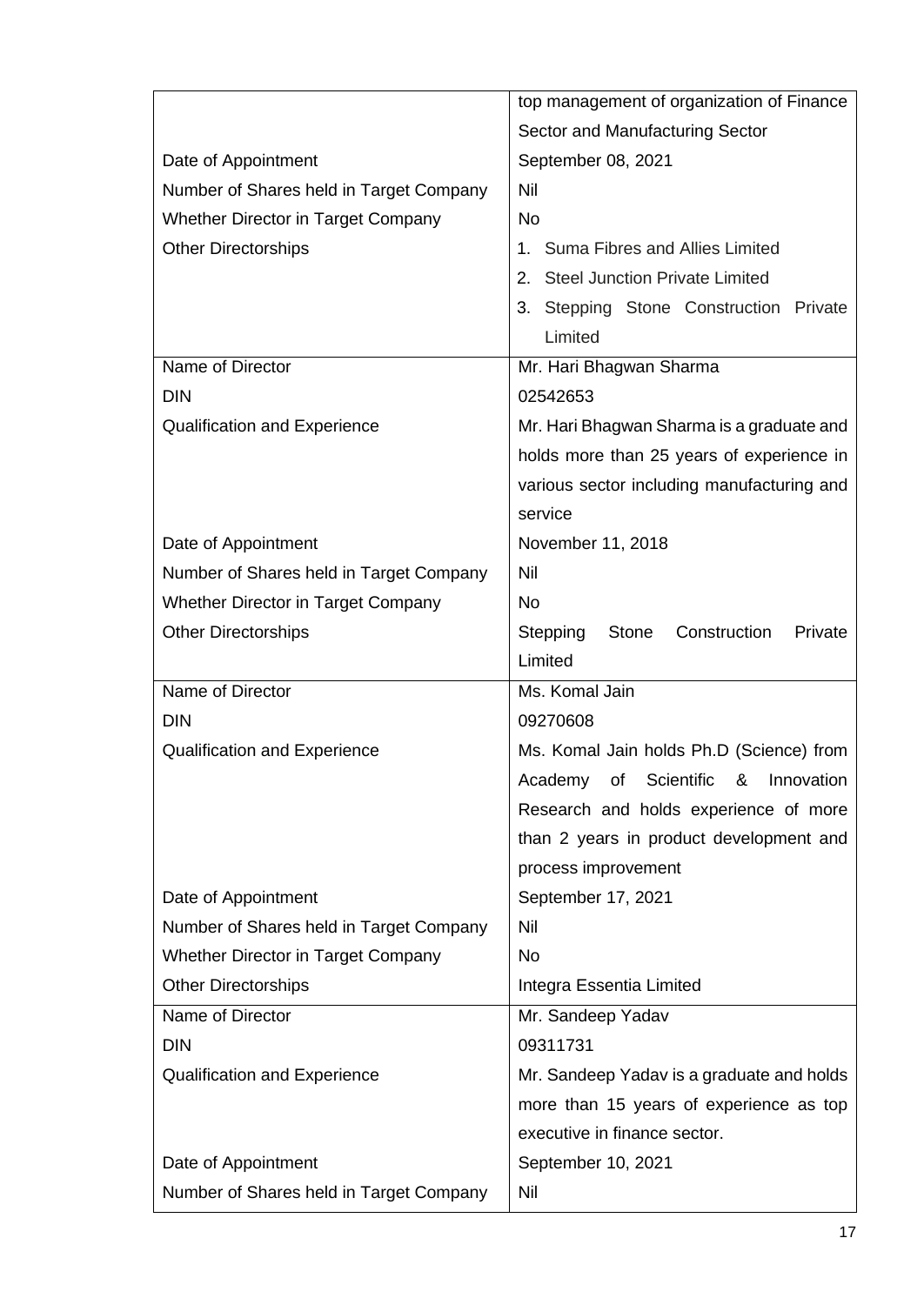|                                           | top management of organization of Finance           |
|-------------------------------------------|-----------------------------------------------------|
|                                           | Sector and Manufacturing Sector                     |
| Date of Appointment                       | September 08, 2021                                  |
| Number of Shares held in Target Company   | Nil                                                 |
| Whether Director in Target Company        | <b>No</b>                                           |
| <b>Other Directorships</b>                | Suma Fibres and Allies Limited                      |
|                                           | 2. Steel Junction Private Limited                   |
|                                           | 3. Stepping Stone Construction Private              |
|                                           | Limited                                             |
| Name of Director                          | Mr. Hari Bhagwan Sharma                             |
| <b>DIN</b>                                | 02542653                                            |
| <b>Qualification and Experience</b>       | Mr. Hari Bhagwan Sharma is a graduate and           |
|                                           | holds more than 25 years of experience in           |
|                                           | various sector including manufacturing and          |
|                                           | service                                             |
| Date of Appointment                       | November 11, 2018                                   |
| Number of Shares held in Target Company   | Nil                                                 |
| <b>Whether Director in Target Company</b> | <b>No</b>                                           |
| <b>Other Directorships</b>                | Construction<br>Stepping<br><b>Stone</b><br>Private |
|                                           | Limited                                             |
|                                           |                                                     |
| Name of Director                          | Ms. Komal Jain                                      |
| <b>DIN</b>                                | 09270608                                            |
| <b>Qualification and Experience</b>       | Ms. Komal Jain holds Ph.D (Science) from            |
|                                           | Academy of Scientific & Innovation                  |
|                                           | Research and holds experience of more               |
|                                           | than 2 years in product development and             |
|                                           | process improvement                                 |
| Date of Appointment                       | September 17, 2021                                  |
| Number of Shares held in Target Company   | Nil                                                 |
| <b>Whether Director in Target Company</b> | <b>No</b>                                           |
| <b>Other Directorships</b>                | Integra Essentia Limited                            |
| Name of Director                          | Mr. Sandeep Yadav                                   |
| <b>DIN</b>                                | 09311731                                            |
| <b>Qualification and Experience</b>       | Mr. Sandeep Yadav is a graduate and holds           |
|                                           | more than 15 years of experience as top             |
|                                           | executive in finance sector.                        |
| Date of Appointment                       | September 10, 2021                                  |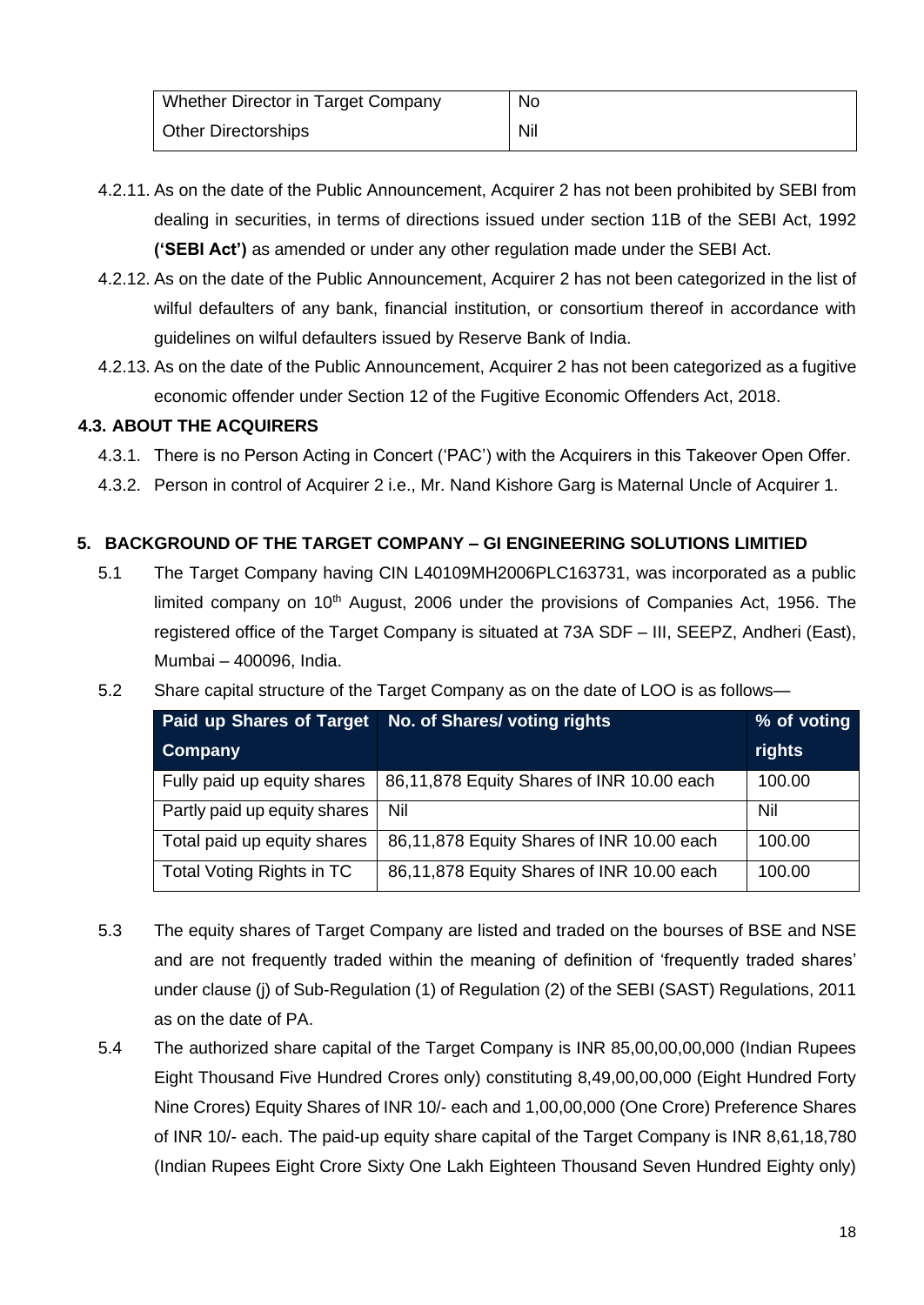| Whether Director in Target Company | No  |
|------------------------------------|-----|
| <b>Other Directorships</b>         | Nil |

- 4.2.11. As on the date of the Public Announcement, Acquirer 2 has not been prohibited by SEBI from dealing in securities, in terms of directions issued under section 11B of the SEBI Act, 1992 **('SEBI Act')** as amended or under any other regulation made under the SEBI Act.
- 4.2.12. As on the date of the Public Announcement, Acquirer 2 has not been categorized in the list of wilful defaulters of any bank, financial institution, or consortium thereof in accordance with guidelines on wilful defaulters issued by Reserve Bank of India.
- 4.2.13. As on the date of the Public Announcement, Acquirer 2 has not been categorized as a fugitive economic offender under Section 12 of the Fugitive Economic Offenders Act, 2018.

## **4.3. ABOUT THE ACQUIRERS**

- 4.3.1. There is no Person Acting in Concert ('PAC') with the Acquirers in this Takeover Open Offer.
- 4.3.2. Person in control of Acquirer 2 i.e., Mr. Nand Kishore Garg is Maternal Uncle of Acquirer 1.

## **5. BACKGROUND OF THE TARGET COMPANY – GI ENGINEERING SOLUTIONS LIMITIED**

- 5.1 The Target Company having CIN L40109MH2006PLC163731, was incorporated as a public limited company on  $10<sup>th</sup>$  August, 2006 under the provisions of Companies Act, 1956. The registered office of the Target Company is situated at 73A SDF – III, SEEPZ, Andheri (East), Mumbai – 400096, India.
- 5.2 Share capital structure of the Target Company as on the date of LOO is as follows—

| <b>Paid up Shares of Target</b> | No. of Shares/voting rights               | % of voting |
|---------------------------------|-------------------------------------------|-------------|
| Company                         |                                           | rights      |
| Fully paid up equity shares     | 86,11,878 Equity Shares of INR 10.00 each | 100.00      |
| Partly paid up equity shares    | Nil                                       | Nil         |
| Total paid up equity shares     | 86,11,878 Equity Shares of INR 10.00 each | 100.00      |
| Total Voting Rights in TC       | 86,11,878 Equity Shares of INR 10.00 each | 100.00      |

- 5.3 The equity shares of Target Company are listed and traded on the bourses of BSE and NSE and are not frequently traded within the meaning of definition of 'frequently traded shares' under clause (j) of Sub-Regulation (1) of Regulation (2) of the SEBI (SAST) Regulations, 2011 as on the date of PA.
- 5.4 The authorized share capital of the Target Company is INR 85,00,00,00,000 (Indian Rupees Eight Thousand Five Hundred Crores only) constituting 8,49,00,00,000 (Eight Hundred Forty Nine Crores) Equity Shares of INR 10/- each and 1,00,00,000 (One Crore) Preference Shares of INR 10/- each. The paid-up equity share capital of the Target Company is INR 8,61,18,780 (Indian Rupees Eight Crore Sixty One Lakh Eighteen Thousand Seven Hundred Eighty only)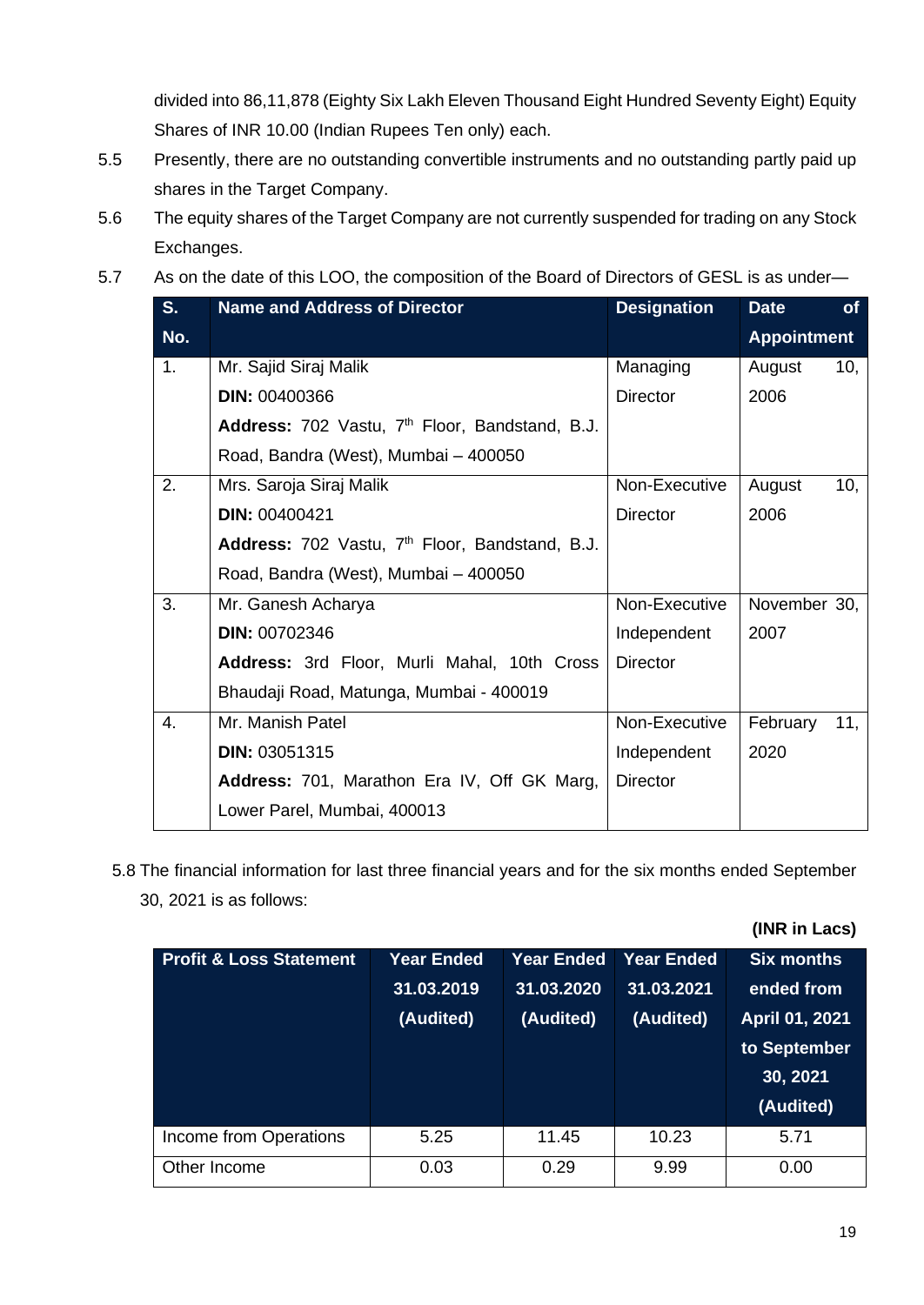divided into 86,11,878 (Eighty Six Lakh Eleven Thousand Eight Hundred Seventy Eight) Equity Shares of INR 10.00 (Indian Rupees Ten only) each.

- 5.5 Presently, there are no outstanding convertible instruments and no outstanding partly paid up shares in the Target Company.
- 5.6 The equity shares of the Target Company are not currently suspended for trading on any Stock Exchanges.
- 5.7 As on the date of this LOO, the composition of the Board of Directors of GESL is as under-

| S <sub>1</sub> | <b>Name and Address of Director</b>                        | <b>Designation</b> | <b>Date</b>        | <b>of</b> |
|----------------|------------------------------------------------------------|--------------------|--------------------|-----------|
| No.            |                                                            |                    | <b>Appointment</b> |           |
| 1.             | Mr. Sajid Siraj Malik                                      | Managing           | August             | 10,       |
|                | <b>DIN: 00400366</b>                                       | <b>Director</b>    | 2006               |           |
|                | Address: 702 Vastu, 7 <sup>th</sup> Floor, Bandstand, B.J. |                    |                    |           |
|                | Road, Bandra (West), Mumbai - 400050                       |                    |                    |           |
| 2.             | Mrs. Saroja Siraj Malik                                    | Non-Executive      | August             | 10,       |
|                | <b>DIN: 00400421</b>                                       | <b>Director</b>    | 2006               |           |
|                | Address: 702 Vastu, 7 <sup>th</sup> Floor, Bandstand, B.J. |                    |                    |           |
|                | Road, Bandra (West), Mumbai - 400050                       |                    |                    |           |
| 3.             | Mr. Ganesh Acharya                                         | Non-Executive      | November 30,       |           |
|                | <b>DIN: 00702346</b>                                       | Independent        | 2007               |           |
|                | Address: 3rd Floor, Murli Mahal, 10th Cross                | <b>Director</b>    |                    |           |
|                | Bhaudaji Road, Matunga, Mumbai - 400019                    |                    |                    |           |
| 4.             | Mr. Manish Patel                                           | Non-Executive      | February           | 11,       |
|                | <b>DIN: 03051315</b>                                       | Independent        | 2020               |           |
|                | Address: 701, Marathon Era IV, Off GK Marg,                | <b>Director</b>    |                    |           |
|                | Lower Parel, Mumbai, 400013                                |                    |                    |           |

5.8 The financial information for last three financial years and for the six months ended September 30, 2021 is as follows:

**(INR in Lacs)**

| <b>Profit &amp; Loss Statement</b> | <b>Year Ended</b><br>31.03.2019<br>(Audited) | <b>Year Ended</b><br>31.03.2020<br>(Audited) | <b>Year Ended</b><br>31.03.2021<br>(Audited) | <b>Six months</b><br>ended from<br>April 01, 2021<br>to September<br>30, 2021<br>(Audited) |
|------------------------------------|----------------------------------------------|----------------------------------------------|----------------------------------------------|--------------------------------------------------------------------------------------------|
| Income from Operations             | 5.25                                         | 11.45                                        | 10.23                                        | 5.71                                                                                       |
| Other Income                       | 0.03                                         | 0.29                                         | 9.99                                         | 0.00                                                                                       |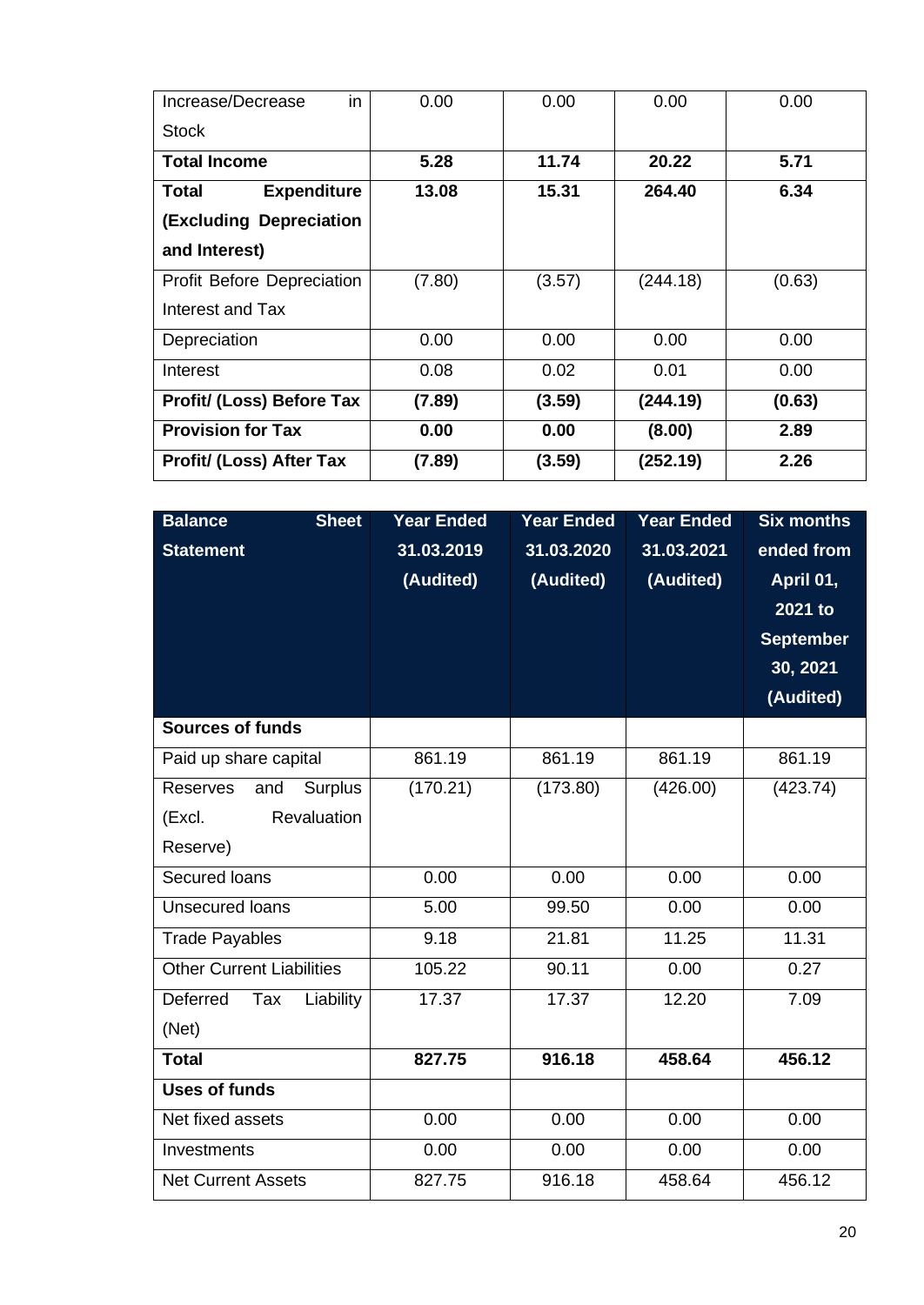| in<br>Increase/Decrease           | 0.00   | 0.00   | 0.00     | 0.00   |
|-----------------------------------|--------|--------|----------|--------|
| <b>Stock</b>                      |        |        |          |        |
| <b>Total Income</b>               | 5.28   | 11.74  | 20.22    | 5.71   |
| <b>Expenditure</b><br>Total       | 13.08  | 15.31  | 264.40   | 6.34   |
| (Excluding Depreciation           |        |        |          |        |
| and Interest)                     |        |        |          |        |
| <b>Profit Before Depreciation</b> | (7.80) | (3.57) | (244.18) | (0.63) |
| Interest and Tax                  |        |        |          |        |
| Depreciation                      | 0.00   | 0.00   | 0.00     | 0.00   |
| Interest                          | 0.08   | 0.02   | 0.01     | 0.00   |
| Profit/ (Loss) Before Tax         | (7.89) | (3.59) | (244.19) | (0.63) |
| <b>Provision for Tax</b>          | 0.00   | 0.00   | (8.00)   | 2.89   |
| <b>Profit/ (Loss) After Tax</b>   | (7.89) | (3.59) | (252.19) | 2.26   |

| <b>Balance</b><br><b>Sheet</b>    | <b>Year Ended</b> | <b>Year Ended</b> | <b>Year Ended</b> | <b>Six months</b> |
|-----------------------------------|-------------------|-------------------|-------------------|-------------------|
| <b>Statement</b>                  | 31.03.2019        | 31.03.2020        | 31.03.2021        | ended from        |
|                                   | (Audited)         | (Audited)         | (Audited)         | April 01,         |
|                                   |                   |                   |                   | 2021 to           |
|                                   |                   |                   |                   | <b>September</b>  |
|                                   |                   |                   |                   | 30, 2021          |
|                                   |                   |                   |                   | (Audited)         |
| <b>Sources of funds</b>           |                   |                   |                   |                   |
| Paid up share capital             | 861.19            | 861.19            | 861.19            | 861.19            |
| Reserves<br><b>Surplus</b><br>and | (170.21)          | (173.80)          | (426.00)          | (423.74)          |
| Revaluation<br>(Excl.             |                   |                   |                   |                   |
| Reserve)                          |                   |                   |                   |                   |
| Secured Ioans                     | 0.00              | 0.00              | 0.00              | 0.00              |
| <b>Unsecured loans</b>            | 5.00              | 99.50             | 0.00              | 0.00              |
| <b>Trade Payables</b>             | 9.18              | 21.81             | 11.25             | 11.31             |
| <b>Other Current Liabilities</b>  | 105.22            | 90.11             | 0.00              | 0.27              |
| Deferred<br>Liability<br>Tax      | 17.37             | 17.37             | 12.20             | 7.09              |
| (Net)                             |                   |                   |                   |                   |
| <b>Total</b>                      | 827.75            | 916.18            | 458.64            | 456.12            |
| <b>Uses of funds</b>              |                   |                   |                   |                   |
| Net fixed assets                  | 0.00              | 0.00              | 0.00              | 0.00              |
| Investments                       | 0.00              | 0.00              | 0.00              | 0.00              |
| <b>Net Current Assets</b>         | 827.75            | 916.18            | 458.64            | 456.12            |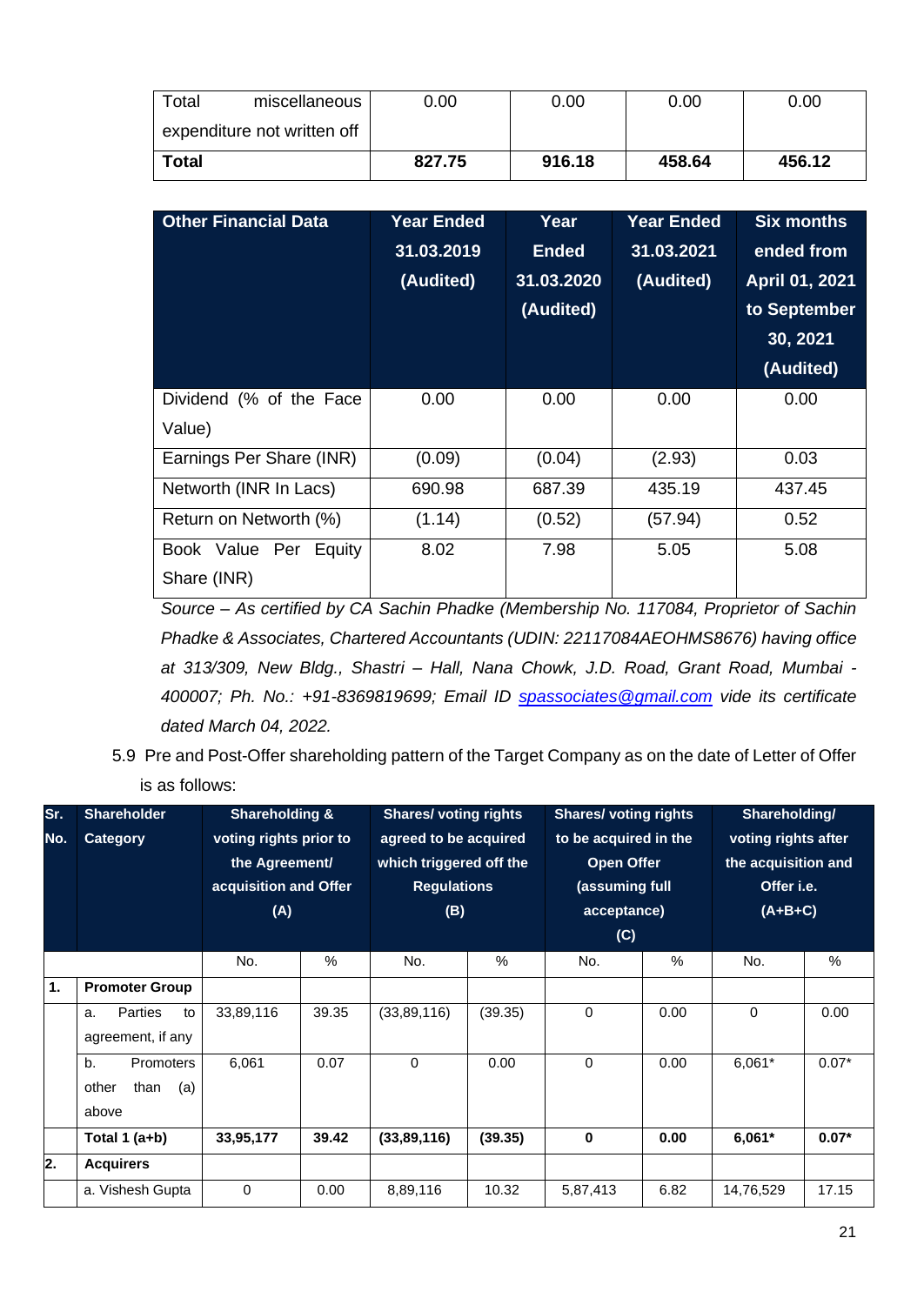| Total<br>miscellaneous      | 0.00   | 0.00   | 0.00   | 0.00   |
|-----------------------------|--------|--------|--------|--------|
| expenditure not written off |        |        |        |        |
| Total                       | 827.75 | 916.18 | 458.64 | 456.12 |

| <b>Other Financial Data</b> | <b>Year Ended</b> | Year         | <b>Year Ended</b> | <b>Six months</b> |
|-----------------------------|-------------------|--------------|-------------------|-------------------|
|                             | 31.03.2019        | <b>Ended</b> | 31.03.2021        | ended from        |
|                             | (Audited)         | 31.03.2020   | (Audited)         | April 01, 2021    |
|                             |                   | (Audited)    |                   | to September      |
|                             |                   |              |                   | 30, 2021          |
|                             |                   |              |                   | (Audited)         |
| Dividend (% of the Face     | 0.00              | 0.00         | 0.00              | 0.00              |
| Value)                      |                   |              |                   |                   |
| Earnings Per Share (INR)    | (0.09)            | (0.04)       | (2.93)            | 0.03              |
| Networth (INR In Lacs)      | 690.98            | 687.39       | 435.19            | 437.45            |
| Return on Networth (%)      | (1.14)            | (0.52)       | (57.94)           | 0.52              |
| Book Value Per<br>Equity    | 8.02              | 7.98         | 5.05              | 5.08              |
| Share (INR)                 |                   |              |                   |                   |

*Source – As certified by CA Sachin Phadke (Membership No. 117084, Proprietor of Sachin Phadke & Associates, Chartered Accountants (UDIN: 22117084AEOHMS8676) having office at 313/309, New Bldg., Shastri – Hall, Nana Chowk, J.D. Road, Grant Road, Mumbai - 400007; Ph. No.: +91-8369819699; Email ID [spassociates@gmail.com](mailto:spassociates@gmail.com) vide its certificate dated March 04, 2022.*

<sup>5.9</sup> Pre and Post-Offer shareholding pattern of the Target Company as on the date of Letter of Offer is as follows:

| Sr.<br>No. | <b>Shareholder</b><br>Category                          | <b>Shareholding &amp;</b><br>voting rights prior to<br>the Agreement/<br>acquisition and Offer<br>(A) |       | <b>Shares/ voting rights</b><br>agreed to be acquired<br>which triggered off the<br><b>Regulations</b><br>(B) |         | <b>Shares/ voting rights</b><br>to be acquired in the<br><b>Open Offer</b><br>(assuming full<br>acceptance)<br>(C) |      | Shareholding/<br>voting rights after<br>the acquisition and<br>Offer i.e.<br>$(A+B+C)$ |         |
|------------|---------------------------------------------------------|-------------------------------------------------------------------------------------------------------|-------|---------------------------------------------------------------------------------------------------------------|---------|--------------------------------------------------------------------------------------------------------------------|------|----------------------------------------------------------------------------------------|---------|
|            |                                                         | No.                                                                                                   | %     | No.                                                                                                           | $\%$    | No.                                                                                                                | $\%$ | No.                                                                                    | %       |
| 1.         | <b>Promoter Group</b>                                   |                                                                                                       |       |                                                                                                               |         |                                                                                                                    |      |                                                                                        |         |
|            | <b>Parties</b><br>to<br>a.<br>agreement, if any         | 33,89,116                                                                                             | 39.35 | (33, 89, 116)                                                                                                 | (39.35) | $\Omega$                                                                                                           | 0.00 | $\Omega$                                                                               | 0.00    |
|            | b.<br><b>Promoters</b><br>other<br>than<br>(a)<br>above | 6,061                                                                                                 | 0.07  | 0                                                                                                             | 0.00    | 0                                                                                                                  | 0.00 | 6,061*                                                                                 | $0.07*$ |
|            | Total 1 (a+b)                                           | 33,95,177                                                                                             | 39.42 | (33,89,116)                                                                                                   | (39.35) | 0                                                                                                                  | 0.00 | $6,061*$                                                                               | $0.07*$ |
| 2.         | <b>Acquirers</b>                                        |                                                                                                       |       |                                                                                                               |         |                                                                                                                    |      |                                                                                        |         |
|            | a. Vishesh Gupta                                        | 0                                                                                                     | 0.00  | 8,89,116                                                                                                      | 10.32   | 5,87,413                                                                                                           | 6.82 | 14,76,529                                                                              | 17.15   |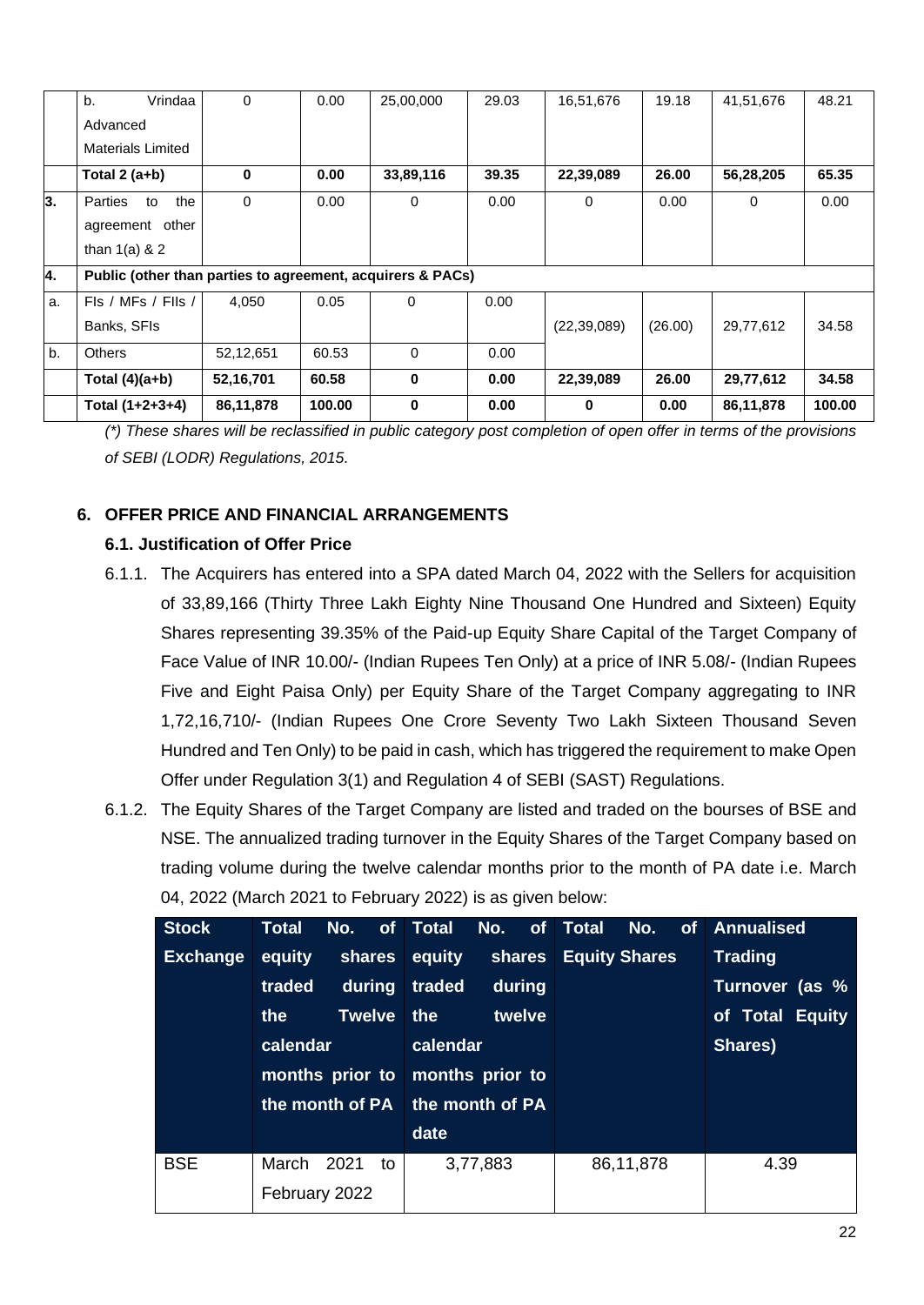|    | Total (1+2+3+4)                                            | 86,11,878 | 100.00 | 0            | 0.00  | 0             | 0.00    | 86,11,878 | 100.00 |
|----|------------------------------------------------------------|-----------|--------|--------------|-------|---------------|---------|-----------|--------|
|    | Total $(4)(a+b)$                                           | 52,16,701 | 60.58  | 0            | 0.00  | 22,39,089     | 26.00   | 29,77,612 | 34.58  |
| b. | Others                                                     | 52,12,651 | 60.53  | $\Omega$     | 0.00  |               |         |           |        |
|    | Banks, SFIs                                                |           |        |              |       | (22, 39, 089) | (26.00) | 29,77,612 | 34.58  |
| a. | FIs / MFs / FIIs /                                         | 4,050     | 0.05   | 0            | 0.00  |               |         |           |        |
| 4. | Public (other than parties to agreement, acquirers & PACs) |           |        |              |       |               |         |           |        |
|    | agreement other<br>than $1(a)$ & 2                         |           |        |              |       |               |         |           |        |
| 3. | the<br>Parties<br>to                                       | $\Omega$  | 0.00   | $\mathbf{0}$ | 0.00  | 0             | 0.00    | $\Omega$  | 0.00   |
|    | Total $2(a+b)$                                             | 0         | 0.00   | 33,89,116    | 39.35 | 22,39,089     | 26.00   | 56,28,205 | 65.35  |
|    | Materials Limited                                          |           |        |              |       |               |         |           |        |
|    | Advanced                                                   |           |        |              |       |               |         |           |        |
|    | Vrindaa<br>b.                                              | $\Omega$  | 0.00   | 25,00,000    | 29.03 | 16,51,676     | 19.18   | 41,51,676 | 48.21  |

*(\*) These shares will be reclassified in public category post completion of open offer in terms of the provisions of SEBI (LODR) Regulations, 2015.*

## **6. OFFER PRICE AND FINANCIAL ARRANGEMENTS**

## **6.1. Justification of Offer Price**

- 6.1.1. The Acquirers has entered into a SPA dated March 04, 2022 with the Sellers for acquisition of 33,89,166 (Thirty Three Lakh Eighty Nine Thousand One Hundred and Sixteen) Equity Shares representing 39.35% of the Paid-up Equity Share Capital of the Target Company of Face Value of INR 10.00/- (Indian Rupees Ten Only) at a price of INR 5.08/- (Indian Rupees Five and Eight Paisa Only) per Equity Share of the Target Company aggregating to INR 1,72,16,710/- (Indian Rupees One Crore Seventy Two Lakh Sixteen Thousand Seven Hundred and Ten Only) to be paid in cash, which has triggered the requirement to make Open Offer under Regulation 3(1) and Regulation 4 of SEBI (SAST) Regulations.
- 6.1.2. The Equity Shares of the Target Company are listed and traded on the bourses of BSE and NSE. The annualized trading turnover in the Equity Shares of the Target Company based on trading volume during the twelve calendar months prior to the month of PA date i.e. March 04, 2022 (March 2021 to February 2022) is as given below:

| <b>Stock</b>    | <b>Total</b>    | No.  |                 | of Total | No.      |  | of Total | No.                  | of Annualised   |
|-----------------|-----------------|------|-----------------|----------|----------|--|----------|----------------------|-----------------|
| <b>Exchange</b> | equity          |      | shares          | equity   | shares   |  |          | <b>Equity Shares</b> | <b>Trading</b>  |
|                 | traded          |      | during          | traded   | during   |  |          |                      | Turnover (as %  |
|                 | the             |      | <b>Twelve</b>   | the      | twelve   |  |          |                      | of Total Equity |
|                 | calendar        |      |                 | calendar |          |  |          |                      | Shares)         |
|                 | months prior to |      | months prior to |          |          |  |          |                      |                 |
|                 | the month of PA |      | the month of PA |          |          |  |          |                      |                 |
|                 |                 |      |                 | date     |          |  |          |                      |                 |
| <b>BSE</b>      | March           | 2021 | to              |          | 3,77,883 |  |          | 86,11,878            | 4.39            |
|                 | February 2022   |      |                 |          |          |  |          |                      |                 |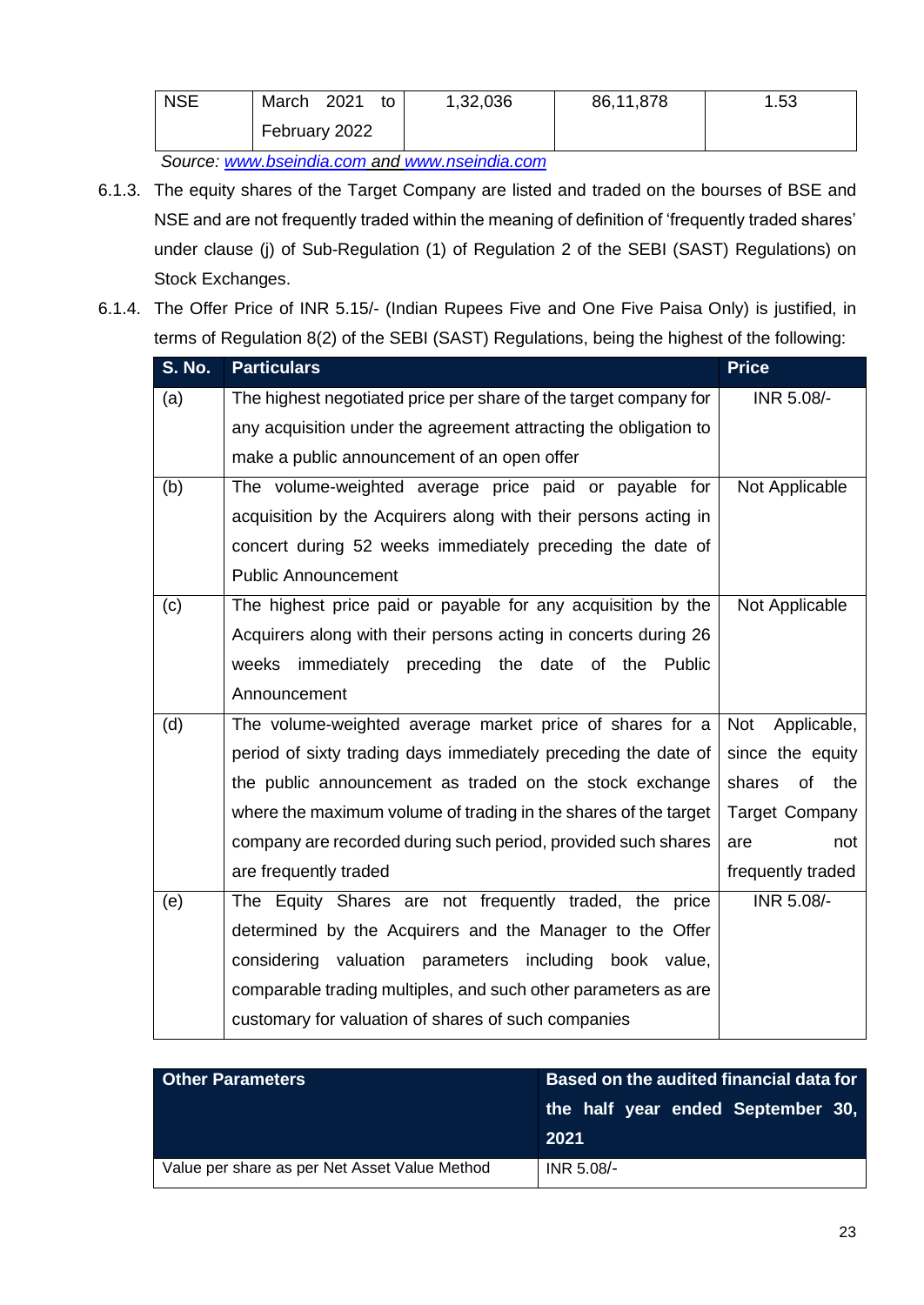| <b>NSE</b>                                                                                                       | 2021<br>March<br>to | 1,32,036 | 86,11,878 | 1.53 |  |  |
|------------------------------------------------------------------------------------------------------------------|---------------------|----------|-----------|------|--|--|
|                                                                                                                  | February 2022       |          |           |      |  |  |
| As a more considered to sell a final the second construction of the second and the second selling and the second |                     |          |           |      |  |  |

*Source: [www.bseindia.com](http://www.bseindia.com/) and [www.nseindia.com](http://www.nseindia.com/)*

- 6.1.3. The equity shares of the Target Company are listed and traded on the bourses of BSE and NSE and are not frequently traded within the meaning of definition of 'frequently traded shares' under clause (j) of Sub-Regulation (1) of Regulation 2 of the SEBI (SAST) Regulations) on Stock Exchanges.
- 6.1.4. The Offer Price of INR 5.15/- (Indian Rupees Five and One Five Paisa Only) is justified, in terms of Regulation 8(2) of the SEBI (SAST) Regulations, being the highest of the following:

| <b>S. No.</b> | <b>Particulars</b>                                               | <b>Price</b>              |
|---------------|------------------------------------------------------------------|---------------------------|
| (a)           | The highest negotiated price per share of the target company for | INR 5.08/-                |
|               | any acquisition under the agreement attracting the obligation to |                           |
|               | make a public announcement of an open offer                      |                           |
| (b)           | The volume-weighted average price paid or payable for            | Not Applicable            |
|               | acquisition by the Acquirers along with their persons acting in  |                           |
|               | concert during 52 weeks immediately preceding the date of        |                           |
|               | <b>Public Announcement</b>                                       |                           |
| (c)           | The highest price paid or payable for any acquisition by the     | Not Applicable            |
|               | Acquirers along with their persons acting in concerts during 26  |                           |
|               | weeks immediately preceding the date of the Public               |                           |
|               | Announcement                                                     |                           |
| (d)           | The volume-weighted average market price of shares for a         | Applicable,<br><b>Not</b> |
|               | period of sixty trading days immediately preceding the date of   | since the equity          |
|               | the public announcement as traded on the stock exchange          | shares of<br>the          |
|               | where the maximum volume of trading in the shares of the target  | <b>Target Company</b>     |
|               | company are recorded during such period, provided such shares    | are<br>not                |
|               | are frequently traded                                            | frequently traded         |
| (e)           | The Equity Shares are not frequently traded, the price           | INR 5.08/-                |
|               | determined by the Acquirers and the Manager to the Offer         |                           |
|               | considering valuation parameters including<br>book value,        |                           |
|               | comparable trading multiples, and such other parameters as are   |                           |
|               | customary for valuation of shares of such companies              |                           |

| <b>Other Parameters</b>                       | Based on the audited financial data for   |  |  |  |  |
|-----------------------------------------------|-------------------------------------------|--|--|--|--|
|                                               | the half year ended September 30,<br>2021 |  |  |  |  |
| Value per share as per Net Asset Value Method | INR 5.08/-                                |  |  |  |  |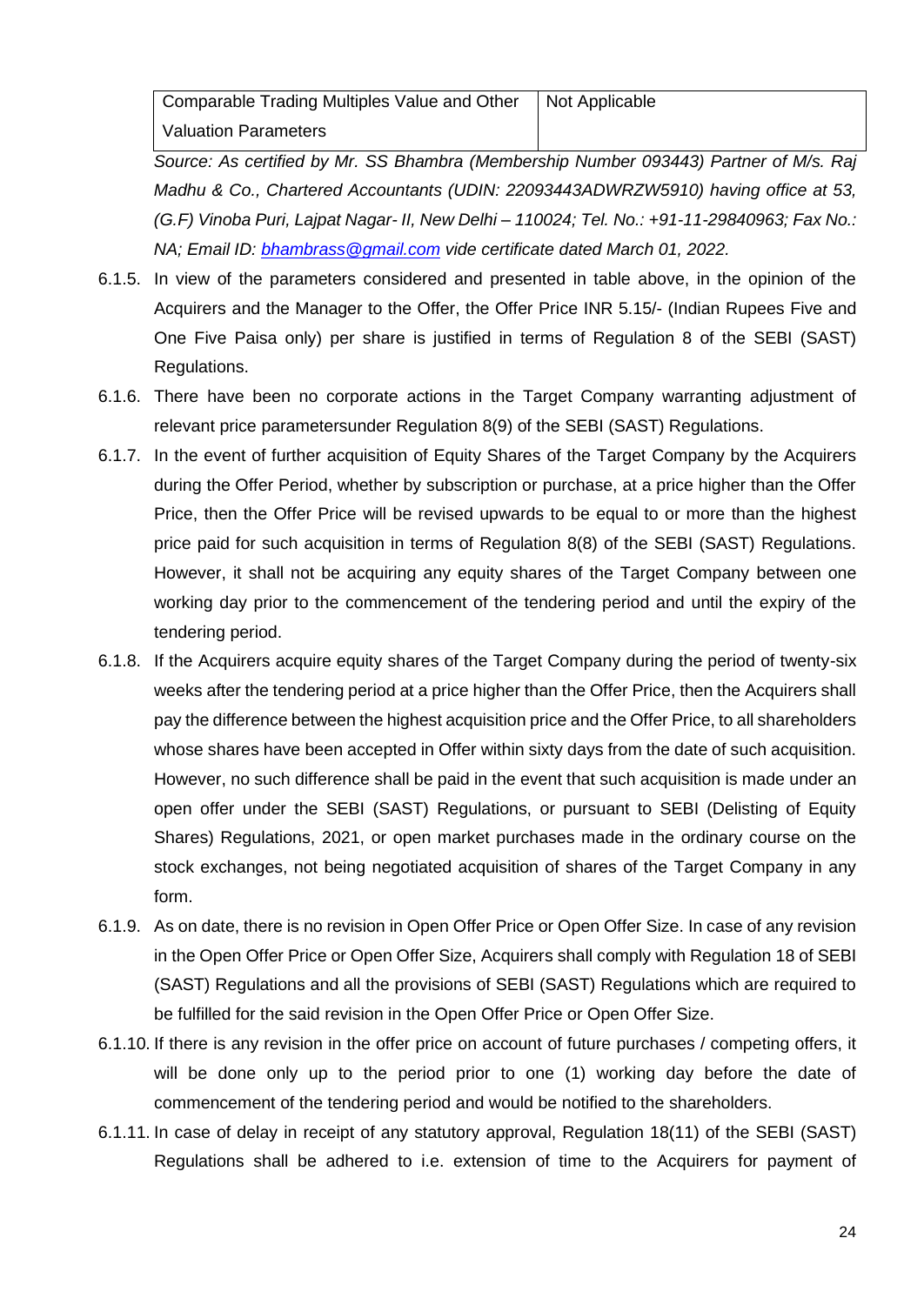Comparable Trading Multiples Value and Other Valuation Parameters Not Applicable

*Source: As certified by Mr. SS Bhambra (Membership Number 093443) Partner of M/s. Raj Madhu & Co., Chartered Accountants (UDIN: 22093443ADWRZW5910) having office at 53, (G.F) Vinoba Puri, Lajpat Nagar- II, New Delhi – 110024; Tel. No.: +91-11-29840963; Fax No.: NA; Email ID: [bhambrass@gmail.com](file:///C:/Users/Nitin/Downloads/bhambrass@gmail.com) vide certificate dated March 01, 2022.*

- 6.1.5. In view of the parameters considered and presented in table above, in the opinion of the Acquirers and the Manager to the Offer, the Offer Price INR 5.15/- (Indian Rupees Five and One Five Paisa only) per share is justified in terms of Regulation 8 of the SEBI (SAST) Regulations.
- 6.1.6. There have been no corporate actions in the Target Company warranting adjustment of relevant price parametersunder Regulation 8(9) of the SEBI (SAST) Regulations.
- 6.1.7. In the event of further acquisition of Equity Shares of the Target Company by the Acquirers during the Offer Period, whether by subscription or purchase, at a price higher than the Offer Price, then the Offer Price will be revised upwards to be equal to or more than the highest price paid for such acquisition in terms of Regulation 8(8) of the SEBI (SAST) Regulations. However, it shall not be acquiring any equity shares of the Target Company between one working day prior to the commencement of the tendering period and until the expiry of the tendering period.
- 6.1.8. If the Acquirers acquire equity shares of the Target Company during the period of twenty-six weeks after the tendering period at a price higher than the Offer Price, then the Acquirers shall pay the difference between the highest acquisition price and the Offer Price, to all shareholders whose shares have been accepted in Offer within sixty days from the date of such acquisition. However, no such difference shall be paid in the event that such acquisition is made under an open offer under the SEBI (SAST) Regulations, or pursuant to SEBI (Delisting of Equity Shares) Regulations, 2021, or open market purchases made in the ordinary course on the stock exchanges, not being negotiated acquisition of shares of the Target Company in any form.
- 6.1.9. As on date, there is no revision in Open Offer Price or Open Offer Size. In case of any revision in the Open Offer Price or Open Offer Size, Acquirers shall comply with Regulation 18 of SEBI (SAST) Regulations and all the provisions of SEBI (SAST) Regulations which are required to be fulfilled for the said revision in the Open Offer Price or Open Offer Size.
- 6.1.10. If there is any revision in the offer price on account of future purchases / competing offers, it will be done only up to the period prior to one (1) working day before the date of commencement of the tendering period and would be notified to the shareholders.
- 6.1.11. In case of delay in receipt of any statutory approval, Regulation 18(11) of the SEBI (SAST) Regulations shall be adhered to i.e. extension of time to the Acquirers for payment of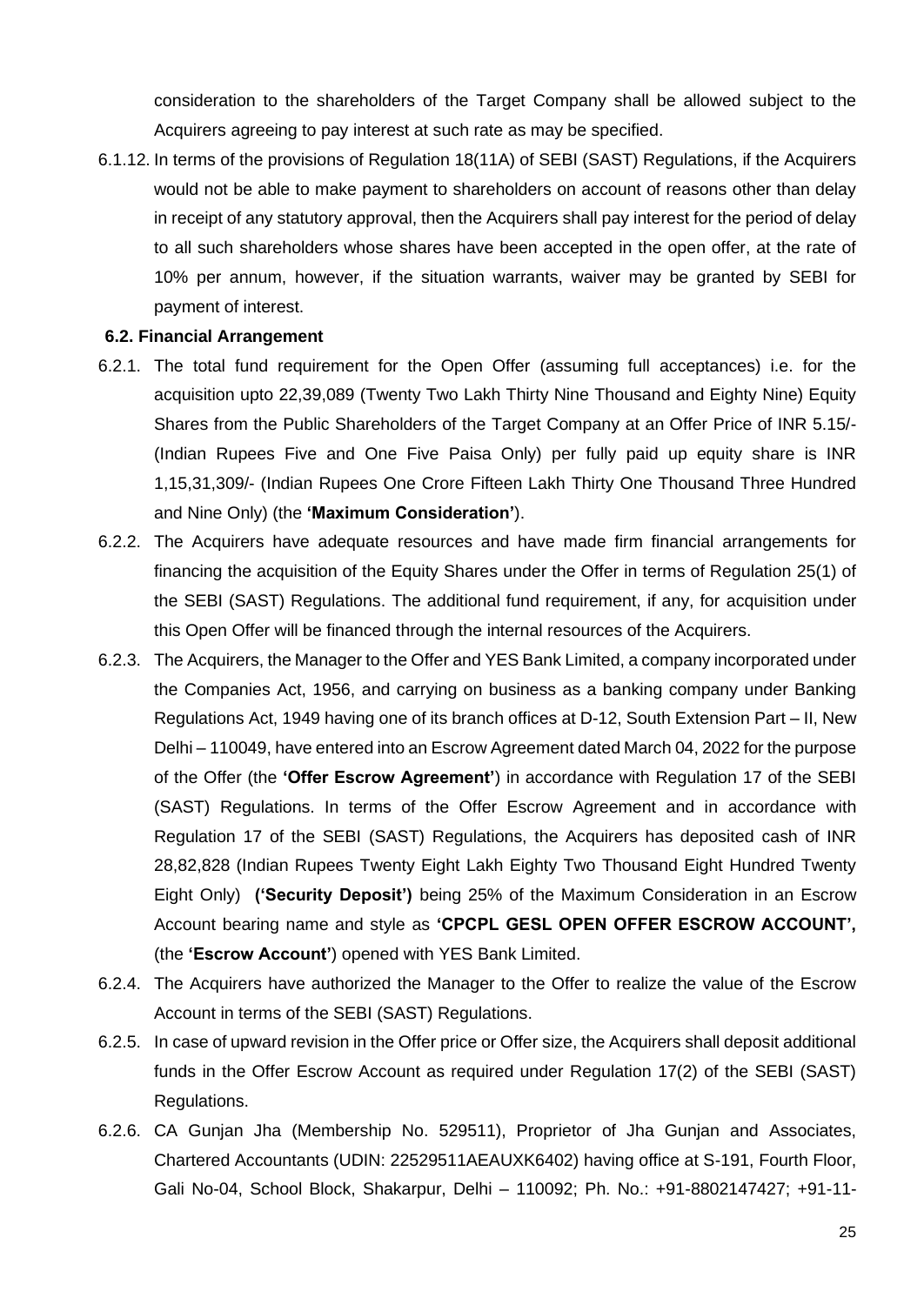consideration to the shareholders of the Target Company shall be allowed subject to the Acquirers agreeing to pay interest at such rate as may be specified.

6.1.12. In terms of the provisions of Regulation 18(11A) of SEBI (SAST) Regulations, if the Acquirers would not be able to make payment to shareholders on account of reasons other than delay in receipt of any statutory approval, then the Acquirers shall pay interest for the period of delay to all such shareholders whose shares have been accepted in the open offer, at the rate of 10% per annum, however, if the situation warrants, waiver may be granted by SEBI for payment of interest.

#### **6.2. Financial Arrangement**

- 6.2.1. The total fund requirement for the Open Offer (assuming full acceptances) i.e. for the acquisition upto 22,39,089 (Twenty Two Lakh Thirty Nine Thousand and Eighty Nine) Equity Shares from the Public Shareholders of the Target Company at an Offer Price of INR 5.15/- (Indian Rupees Five and One Five Paisa Only) per fully paid up equity share is INR 1,15,31,309/- (Indian Rupees One Crore Fifteen Lakh Thirty One Thousand Three Hundred and Nine Only) (the **'Maximum Consideration'**).
- 6.2.2. The Acquirers have adequate resources and have made firm financial arrangements for financing the acquisition of the Equity Shares under the Offer in terms of Regulation 25(1) of the SEBI (SAST) Regulations. The additional fund requirement, if any, for acquisition under this Open Offer will be financed through the internal resources of the Acquirers.
- 6.2.3. The Acquirers, the Manager to the Offer and YES Bank Limited, a company incorporated under the Companies Act, 1956, and carrying on business as a banking company under Banking Regulations Act, 1949 having one of its branch offices at D-12, South Extension Part – II, New Delhi – 110049, have entered into an Escrow Agreement dated March 04, 2022 for the purpose of the Offer (the **'Offer Escrow Agreement'**) in accordance with Regulation 17 of the SEBI (SAST) Regulations. In terms of the Offer Escrow Agreement and in accordance with Regulation 17 of the SEBI (SAST) Regulations, the Acquirers has deposited cash of INR 28,82,828 (Indian Rupees Twenty Eight Lakh Eighty Two Thousand Eight Hundred Twenty Eight Only) **('Security Deposit')** being 25% of the Maximum Consideration in an Escrow Account bearing name and style as **'CPCPL GESL OPEN OFFER ESCROW ACCOUNT',** (the **'Escrow Account'**) opened with YES Bank Limited.
- 6.2.4. The Acquirers have authorized the Manager to the Offer to realize the value of the Escrow Account in terms of the SEBI (SAST) Regulations.
- 6.2.5. In case of upward revision in the Offer price or Offer size, the Acquirers shall deposit additional funds in the Offer Escrow Account as required under Regulation 17(2) of the SEBI (SAST) Regulations.
- 6.2.6. CA Gunjan Jha (Membership No. 529511), Proprietor of Jha Gunjan and Associates, Chartered Accountants (UDIN: 22529511AEAUXK6402) having office at S-191, Fourth Floor, Gali No-04, School Block, Shakarpur, Delhi – 110092; Ph. No.: +91-8802147427; +91-11-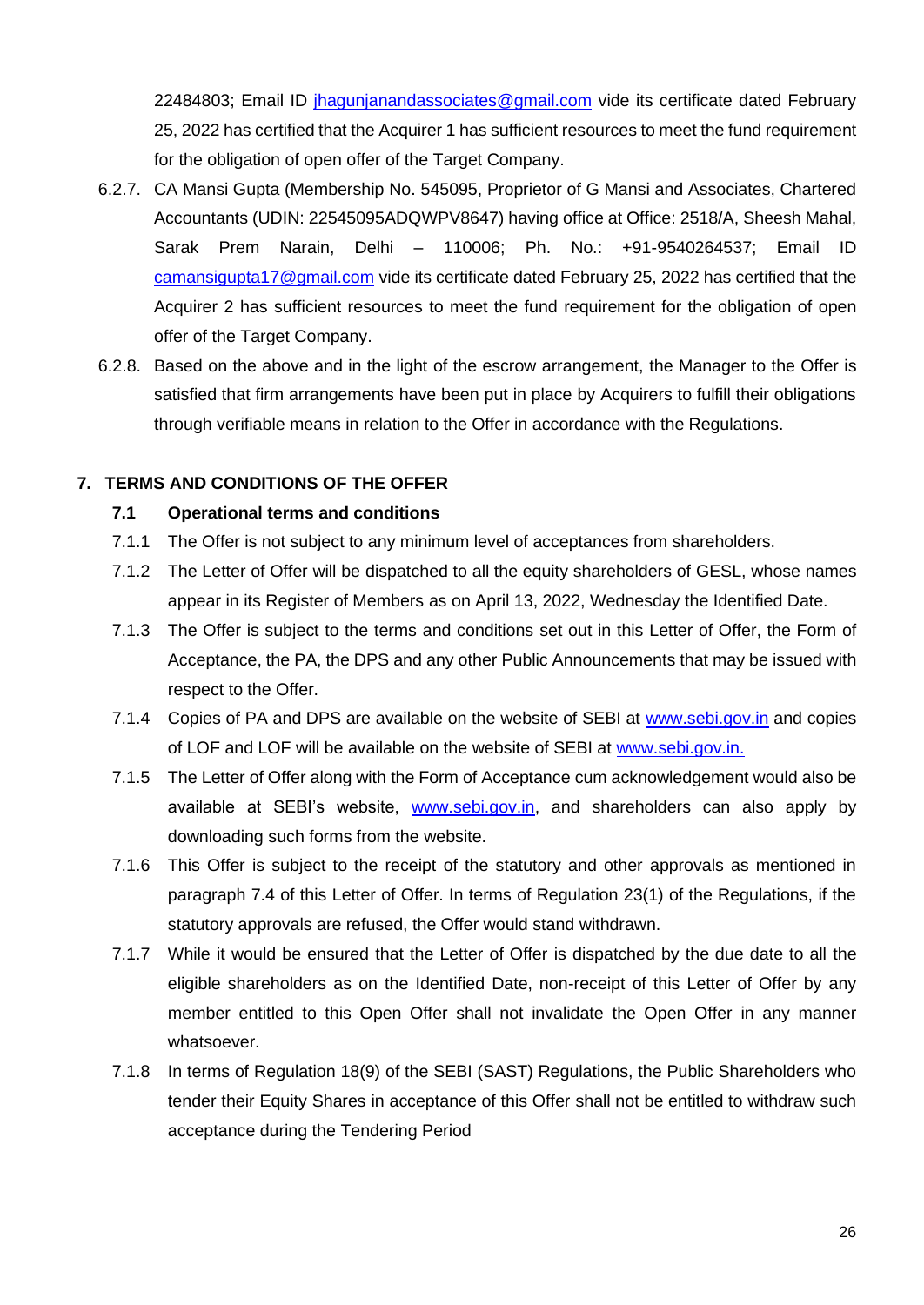22484803; Email ID [jhagunjanandassociates@gmail.com](file:///C:/Users/Nitin/Downloads/jhagunjanandassociates@gmail.com) vide its certificate dated February 25, 2022 has certified that the Acquirer 1 has sufficient resources to meet the fund requirement for the obligation of open offer of the Target Company.

- 6.2.7. CA Mansi Gupta (Membership No. 545095, Proprietor of G Mansi and Associates, Chartered Accountants (UDIN: 22545095ADQWPV8647) having office at Office: 2518/A, Sheesh Mahal, Sarak Prem Narain, Delhi – 110006; Ph. No.: +91-9540264537; Email ID [camansigupta17@gmail.com](mailto:camansigupta17@gmail.com) vide its certificate dated February 25, 2022 has certified that the Acquirer 2 has sufficient resources to meet the fund requirement for the obligation of open offer of the Target Company.
- 6.2.8. Based on the above and in the light of the escrow arrangement, the Manager to the Offer is satisfied that firm arrangements have been put in place by Acquirers to fulfill their obligations through verifiable means in relation to the Offer in accordance with the Regulations.

## **7. TERMS AND CONDITIONS OF THE OFFER**

## **7.1 Operational terms and conditions**

- 7.1.1 The Offer is not subject to any minimum level of acceptances from shareholders.
- 7.1.2 The Letter of Offer will be dispatched to all the equity shareholders of GESL, whose names appear in its Register of Members as on April 13, 2022, Wednesday the Identified Date.
- 7.1.3 The Offer is subject to the terms and conditions set out in this Letter of Offer, the Form of Acceptance, the PA, the DPS and any other Public Announcements that may be issued with respect to the Offer.
- 7.1.4 Copies of PA and DPS are available on the website of SEBI at [www.sebi.gov.in](file:///C:/Users/Nitin/Downloads/www.sebi.gov.in) and copies of LOF and LOF will be available on the website of SEBI at [www.sebi.gov.in.](file:///C:/Users/Nitin/Downloads/www.sebi.gov.in)
- 7.1.5 The Letter of Offer along with the Form of Acceptance cum acknowledgement would also be available at SEBI's website, [www.sebi.gov.in,](http://www.sebi.gov.in/) and shareholders can also apply by downloading such forms from the website.
- 7.1.6 This Offer is subject to the receipt of the statutory and other approvals as mentioned in paragraph 7.4 of this Letter of Offer. In terms of Regulation 23(1) of the Regulations, if the statutory approvals are refused, the Offer would stand withdrawn.
- 7.1.7 While it would be ensured that the Letter of Offer is dispatched by the due date to all the eligible shareholders as on the Identified Date, non-receipt of this Letter of Offer by any member entitled to this Open Offer shall not invalidate the Open Offer in any manner whatsoever.
- 7.1.8 In terms of Regulation 18(9) of the SEBI (SAST) Regulations, the Public Shareholders who tender their Equity Shares in acceptance of this Offer shall not be entitled to withdraw such acceptance during the Tendering Period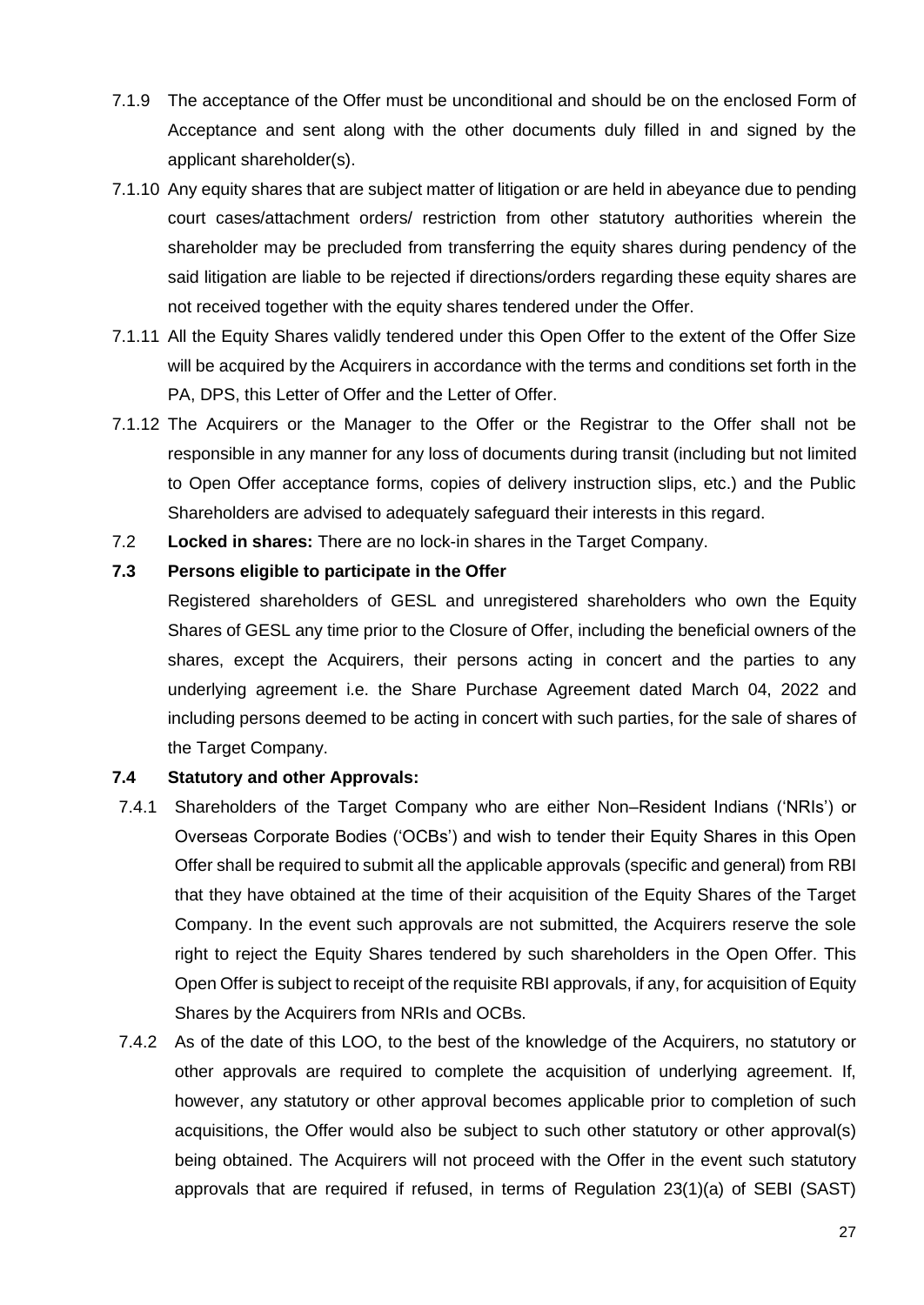- 7.1.9 The acceptance of the Offer must be unconditional and should be on the enclosed Form of Acceptance and sent along with the other documents duly filled in and signed by the applicant shareholder(s).
- 7.1.10 Any equity shares that are subject matter of litigation or are held in abeyance due to pending court cases/attachment orders/ restriction from other statutory authorities wherein the shareholder may be precluded from transferring the equity shares during pendency of the said litigation are liable to be rejected if directions/orders regarding these equity shares are not received together with the equity shares tendered under the Offer.
- 7.1.11 All the Equity Shares validly tendered under this Open Offer to the extent of the Offer Size will be acquired by the Acquirers in accordance with the terms and conditions set forth in the PA, DPS, this Letter of Offer and the Letter of Offer.
- 7.1.12 The Acquirers or the Manager to the Offer or the Registrar to the Offer shall not be responsible in any manner for any loss of documents during transit (including but not limited to Open Offer acceptance forms, copies of delivery instruction slips, etc.) and the Public Shareholders are advised to adequately safeguard their interests in this regard.
- 7.2 **Locked in shares:** There are no lock-in shares in the Target Company.

#### **7.3 Persons eligible to participate in the Offer**

Registered shareholders of GESL and unregistered shareholders who own the Equity Shares of GESL any time prior to the Closure of Offer, including the beneficial owners of the shares, except the Acquirers, their persons acting in concert and the parties to any underlying agreement i.e. the Share Purchase Agreement dated March 04, 2022 and including persons deemed to be acting in concert with such parties, for the sale of shares of the Target Company.

## **7.4 Statutory and other Approvals:**

- 7.4.1 Shareholders of the Target Company who are either Non–Resident Indians ('NRIs') or Overseas Corporate Bodies ('OCBs') and wish to tender their Equity Shares in this Open Offer shall be required to submit all the applicable approvals (specific and general) from RBI that they have obtained at the time of their acquisition of the Equity Shares of the Target Company. In the event such approvals are not submitted, the Acquirers reserve the sole right to reject the Equity Shares tendered by such shareholders in the Open Offer. This Open Offer is subject to receipt of the requisite RBI approvals, if any, for acquisition of Equity Shares by the Acquirers from NRIs and OCBs.
- 7.4.2 As of the date of this LOO, to the best of the knowledge of the Acquirers, no statutory or other approvals are required to complete the acquisition of underlying agreement. If, however, any statutory or other approval becomes applicable prior to completion of such acquisitions, the Offer would also be subject to such other statutory or other approval(s) being obtained. The Acquirers will not proceed with the Offer in the event such statutory approvals that are required if refused, in terms of Regulation 23(1)(a) of SEBI (SAST)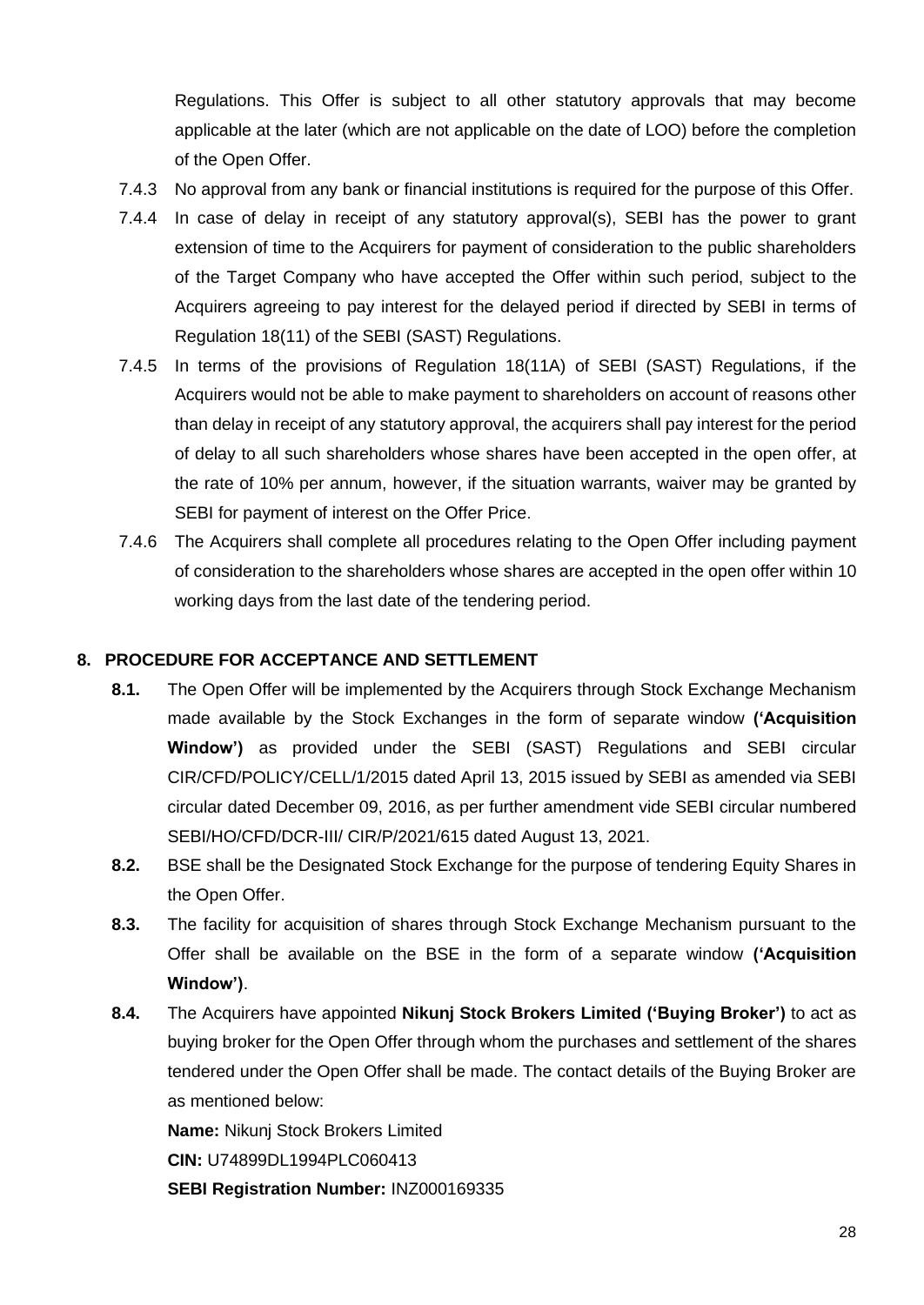Regulations. This Offer is subject to all other statutory approvals that may become applicable at the later (which are not applicable on the date of LOO) before the completion of the Open Offer.

- 7.4.3 No approval from any bank or financial institutions is required for the purpose of this Offer.
- 7.4.4 In case of delay in receipt of any statutory approval(s), SEBI has the power to grant extension of time to the Acquirers for payment of consideration to the public shareholders of the Target Company who have accepted the Offer within such period, subject to the Acquirers agreeing to pay interest for the delayed period if directed by SEBI in terms of Regulation 18(11) of the SEBI (SAST) Regulations.
- 7.4.5 In terms of the provisions of Regulation 18(11A) of SEBI (SAST) Regulations, if the Acquirers would not be able to make payment to shareholders on account of reasons other than delay in receipt of any statutory approval, the acquirers shall pay interest for the period of delay to all such shareholders whose shares have been accepted in the open offer, at the rate of 10% per annum, however, if the situation warrants, waiver may be granted by SEBI for payment of interest on the Offer Price.
- 7.4.6 The Acquirers shall complete all procedures relating to the Open Offer including payment of consideration to the shareholders whose shares are accepted in the open offer within 10 working days from the last date of the tendering period.

#### **8. PROCEDURE FOR ACCEPTANCE AND SETTLEMENT**

- **8.1.** The Open Offer will be implemented by the Acquirers through Stock Exchange Mechanism made available by the Stock Exchanges in the form of separate window **('Acquisition Window')** as provided under the SEBI (SAST) Regulations and SEBI circular CIR/CFD/POLICY/CELL/1/2015 dated April 13, 2015 issued by SEBI as amended via SEBI circular dated December 09, 2016, as per further amendment vide SEBI circular numbered SEBI/HO/CFD/DCR-III/ CIR/P/2021/615 dated August 13, 2021.
- **8.2.** BSE shall be the Designated Stock Exchange for the purpose of tendering Equity Shares in the Open Offer.
- **8.3.** The facility for acquisition of shares through Stock Exchange Mechanism pursuant to the Offer shall be available on the BSE in the form of a separate window **('Acquisition Window')**.
- **8.4.** The Acquirers have appointed **Nikunj Stock Brokers Limited ('Buying Broker')** to act as buying broker for the Open Offer through whom the purchases and settlement of the shares tendered under the Open Offer shall be made. The contact details of the Buying Broker are as mentioned below:

**Name:** Nikunj Stock Brokers Limited

**CIN:** U74899DL1994PLC060413

**SEBI Registration Number:** INZ000169335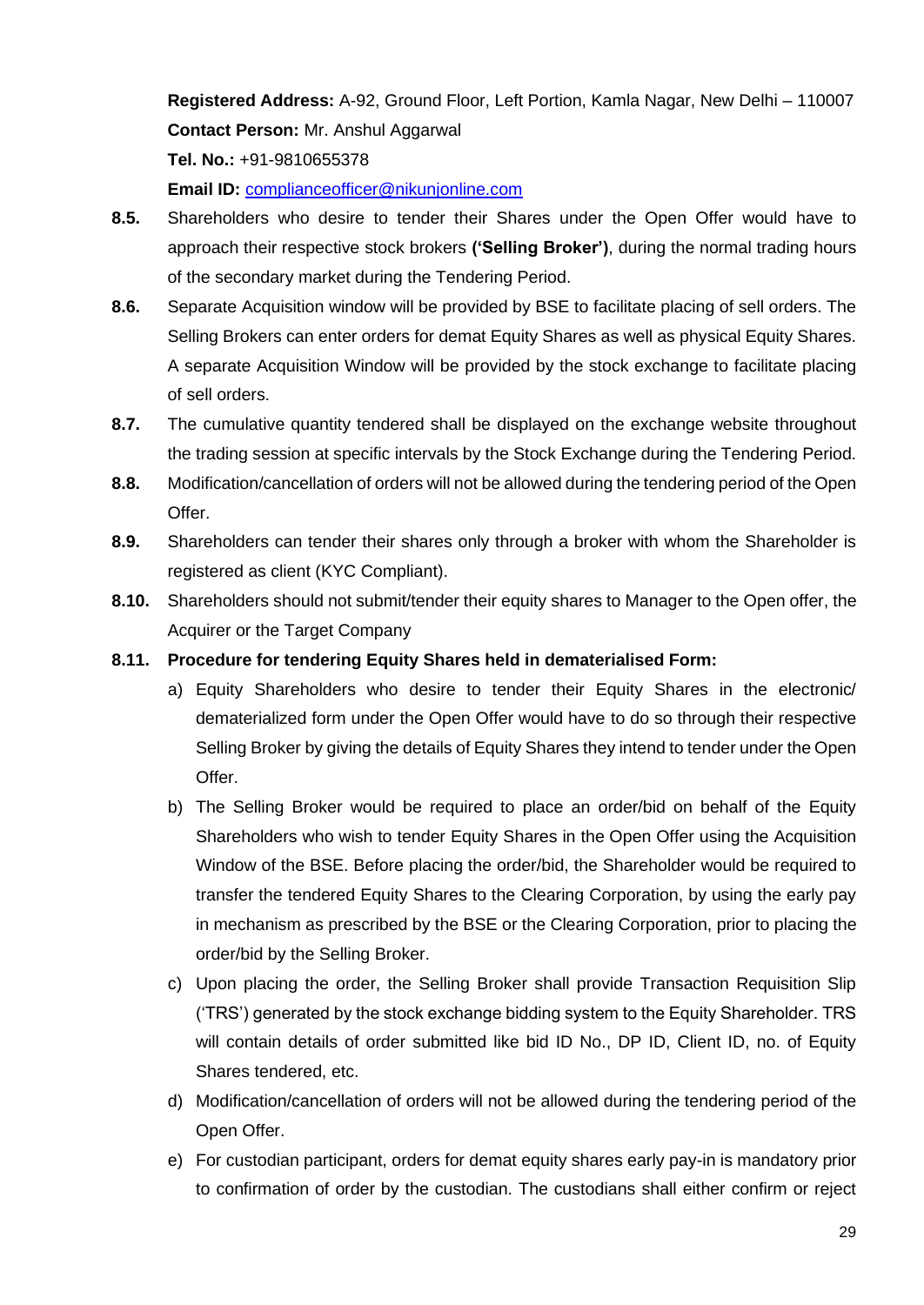**Registered Address:** A-92, Ground Floor, Left Portion, Kamla Nagar, New Delhi – 110007 **Contact Person:** Mr. Anshul Aggarwal

**Tel. No.:** +91-9810655378

**Email ID:** [complianceofficer@nikunjonline.com](mailto:complianceofficer@nikunjonline.com)

- **8.5.** Shareholders who desire to tender their Shares under the Open Offer would have to approach their respective stock brokers **('Selling Broker')**, during the normal trading hours of the secondary market during the Tendering Period.
- **8.6.** Separate Acquisition window will be provided by BSE to facilitate placing of sell orders. The Selling Brokers can enter orders for demat Equity Shares as well as physical Equity Shares. A separate Acquisition Window will be provided by the stock exchange to facilitate placing of sell orders.
- **8.7.** The cumulative quantity tendered shall be displayed on the exchange website throughout the trading session at specific intervals by the Stock Exchange during the Tendering Period.
- **8.8.** Modification/cancellation of orders will not be allowed during the tendering period of the Open Offer.
- **8.9.** Shareholders can tender their shares only through a broker with whom the Shareholder is registered as client (KYC Compliant).
- **8.10.** Shareholders should not submit/tender their equity shares to Manager to the Open offer, the Acquirer or the Target Company
- **8.11. Procedure for tendering Equity Shares held in dematerialised Form:**
	- a) Equity Shareholders who desire to tender their Equity Shares in the electronic/ dematerialized form under the Open Offer would have to do so through their respective Selling Broker by giving the details of Equity Shares they intend to tender under the Open Offer.
	- b) The Selling Broker would be required to place an order/bid on behalf of the Equity Shareholders who wish to tender Equity Shares in the Open Offer using the Acquisition Window of the BSE. Before placing the order/bid, the Shareholder would be required to transfer the tendered Equity Shares to the Clearing Corporation, by using the early pay in mechanism as prescribed by the BSE or the Clearing Corporation, prior to placing the order/bid by the Selling Broker.
	- c) Upon placing the order, the Selling Broker shall provide Transaction Requisition Slip ('TRS') generated by the stock exchange bidding system to the Equity Shareholder. TRS will contain details of order submitted like bid ID No., DP ID, Client ID, no. of Equity Shares tendered, etc.
	- d) Modification/cancellation of orders will not be allowed during the tendering period of the Open Offer.
	- e) For custodian participant, orders for demat equity shares early pay-in is mandatory prior to confirmation of order by the custodian. The custodians shall either confirm or reject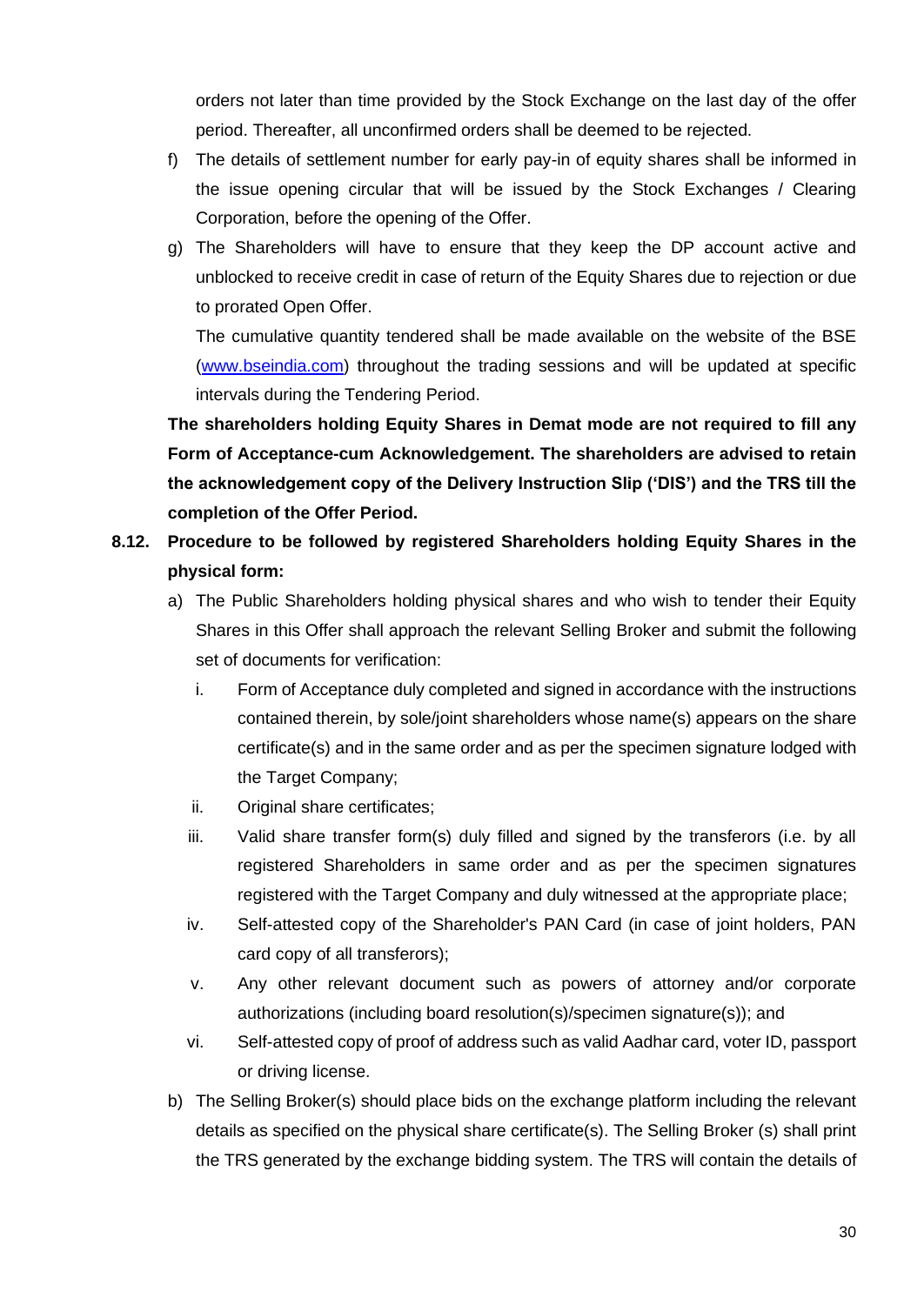orders not later than time provided by the Stock Exchange on the last day of the offer period. Thereafter, all unconfirmed orders shall be deemed to be rejected.

- f) The details of settlement number for early pay-in of equity shares shall be informed in the issue opening circular that will be issued by the Stock Exchanges / Clearing Corporation, before the opening of the Offer.
- g) The Shareholders will have to ensure that they keep the DP account active and unblocked to receive credit in case of return of the Equity Shares due to rejection or due to prorated Open Offer.

The cumulative quantity tendered shall be made available on the website of the BSE [\(www.bseindia.com\)](http://www.bseindia.com/) throughout the trading sessions and will be updated at specific intervals during the Tendering Period.

**The shareholders holding Equity Shares in Demat mode are not required to fill any Form of Acceptance-cum Acknowledgement. The shareholders are advised to retain the acknowledgement copy of the Delivery Instruction Slip ('DIS') and the TRS till the completion of the Offer Period.**

# **8.12. Procedure to be followed by registered Shareholders holding Equity Shares in the physical form:**

- a) The Public Shareholders holding physical shares and who wish to tender their Equity Shares in this Offer shall approach the relevant Selling Broker and submit the following set of documents for verification:
	- i. Form of Acceptance duly completed and signed in accordance with the instructions contained therein, by sole/joint shareholders whose name(s) appears on the share certificate(s) and in the same order and as per the specimen signature lodged with the Target Company;
	- ii. Original share certificates;
	- iii. Valid share transfer form(s) duly filled and signed by the transferors (i.e. by all registered Shareholders in same order and as per the specimen signatures registered with the Target Company and duly witnessed at the appropriate place;
	- iv. Self-attested copy of the Shareholder's PAN Card (in case of joint holders, PAN card copy of all transferors);
	- v. Any other relevant document such as powers of attorney and/or corporate authorizations (including board resolution(s)/specimen signature(s)); and
	- vi. Self-attested copy of proof of address such as valid Aadhar card, voter ID, passport or driving license.
- b) The Selling Broker(s) should place bids on the exchange platform including the relevant details as specified on the physical share certificate(s). The Selling Broker (s) shall print the TRS generated by the exchange bidding system. The TRS will contain the details of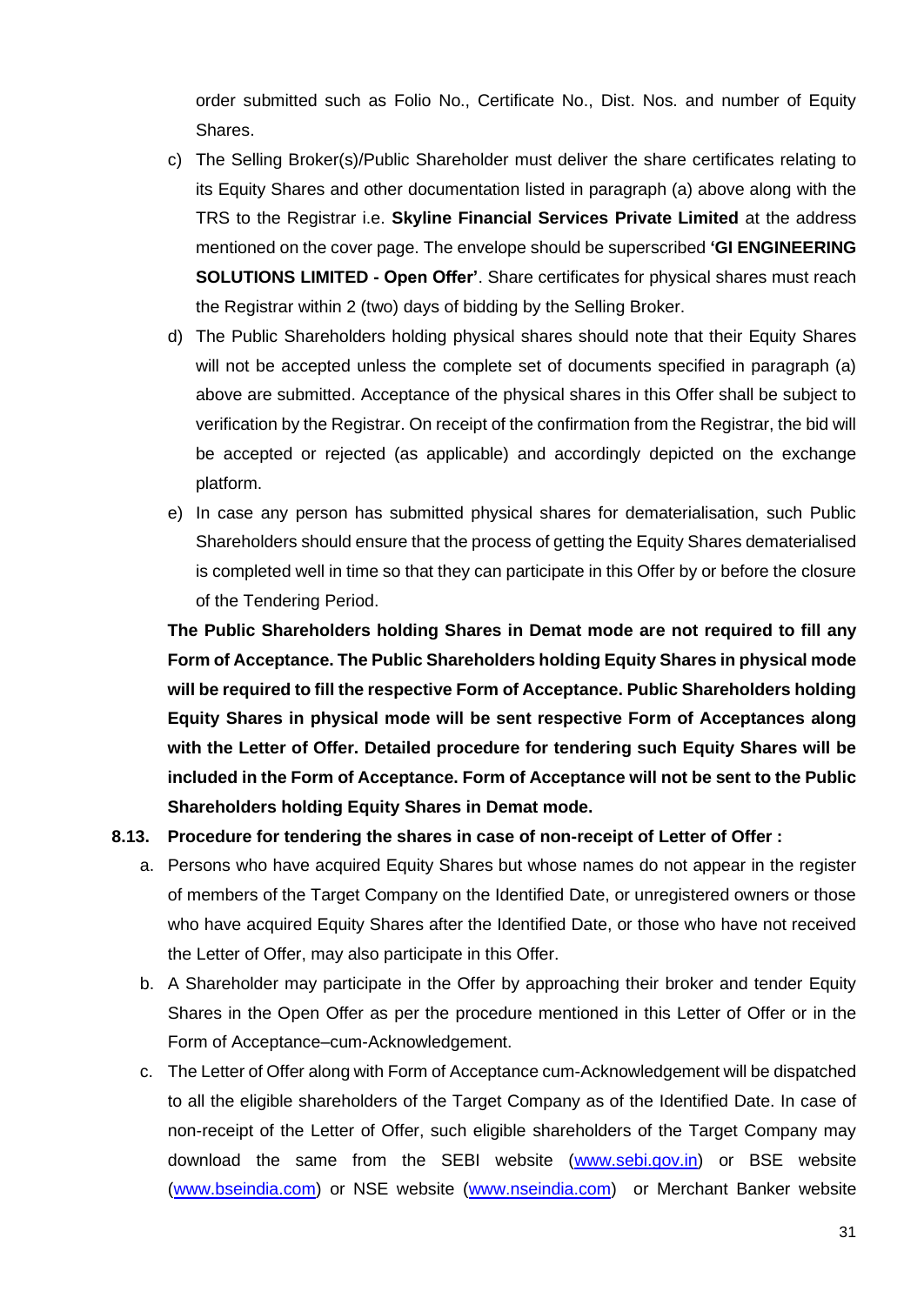order submitted such as Folio No., Certificate No., Dist. Nos. and number of Equity Shares.

- c) The Selling Broker(s)/Public Shareholder must deliver the share certificates relating to its Equity Shares and other documentation listed in paragraph (a) above along with the TRS to the Registrar i.e. **Skyline Financial Services Private Limited** at the address mentioned on the cover page. The envelope should be superscribed **'GI ENGINEERING SOLUTIONS LIMITED - Open Offer'**. Share certificates for physical shares must reach the Registrar within 2 (two) days of bidding by the Selling Broker.
- d) The Public Shareholders holding physical shares should note that their Equity Shares will not be accepted unless the complete set of documents specified in paragraph (a) above are submitted. Acceptance of the physical shares in this Offer shall be subject to verification by the Registrar. On receipt of the confirmation from the Registrar, the bid will be accepted or rejected (as applicable) and accordingly depicted on the exchange platform.
- e) In case any person has submitted physical shares for dematerialisation, such Public Shareholders should ensure that the process of getting the Equity Shares dematerialised is completed well in time so that they can participate in this Offer by or before the closure of the Tendering Period.

**The Public Shareholders holding Shares in Demat mode are not required to fill any Form of Acceptance. The Public Shareholders holding Equity Shares in physical mode will be required to fill the respective Form of Acceptance. Public Shareholders holding Equity Shares in physical mode will be sent respective Form of Acceptances along with the Letter of Offer. Detailed procedure for tendering such Equity Shares will be included in the Form of Acceptance. Form of Acceptance will not be sent to the Public Shareholders holding Equity Shares in Demat mode.**

#### **8.13. Procedure for tendering the shares in case of non-receipt of Letter of Offer :**

- a. Persons who have acquired Equity Shares but whose names do not appear in the register of members of the Target Company on the Identified Date, or unregistered owners or those who have acquired Equity Shares after the Identified Date, or those who have not received the Letter of Offer, may also participate in this Offer.
- b. A Shareholder may participate in the Offer by approaching their broker and tender Equity Shares in the Open Offer as per the procedure mentioned in this Letter of Offer or in the Form of Acceptance–cum-Acknowledgement.
- c. The Letter of Offer along with Form of Acceptance cum-Acknowledgement will be dispatched to all the eligible shareholders of the Target Company as of the Identified Date. In case of non-receipt of the Letter of Offer, such eligible shareholders of the Target Company may download the same from the SEBI website [\(www.sebi.gov.in\)](http://www.sebi.gov.in/) or BSE website [\(www.bseindia.com\)](http://www.bseindia.com/) or NSE website [\(www.nseindia.com\)](http://www.nseindia.com/) or Merchant Banker website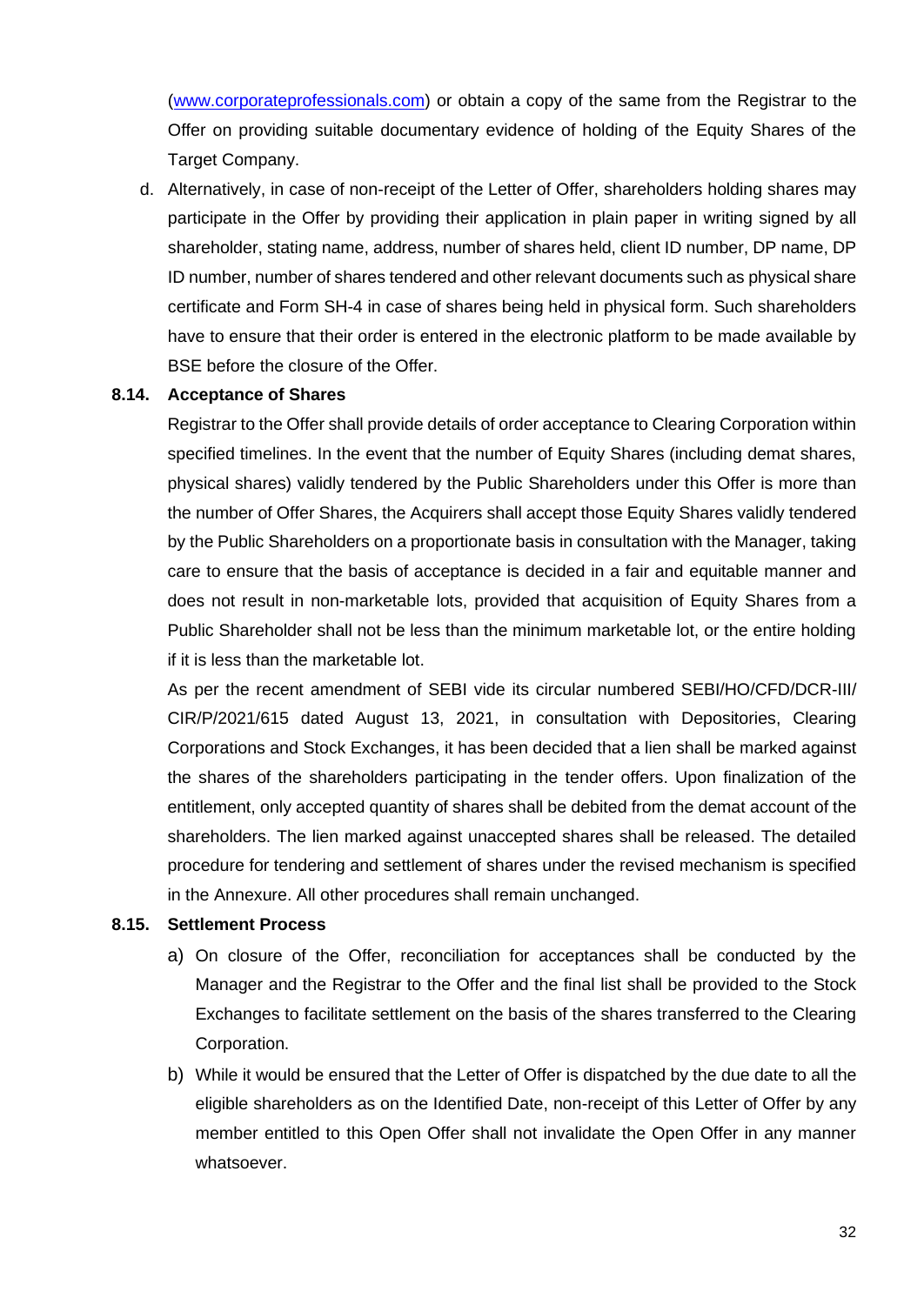[\(www.corporateprofessionals.com\)](http://www.corporateprofessionals.com/) or obtain a copy of the same from the Registrar to the Offer on providing suitable documentary evidence of holding of the Equity Shares of the Target Company.

d. Alternatively, in case of non-receipt of the Letter of Offer, shareholders holding shares may participate in the Offer by providing their application in plain paper in writing signed by all shareholder, stating name, address, number of shares held, client ID number, DP name, DP ID number, number of shares tendered and other relevant documents such as physical share certificate and Form SH-4 in case of shares being held in physical form. Such shareholders have to ensure that their order is entered in the electronic platform to be made available by BSE before the closure of the Offer.

#### **8.14. Acceptance of Shares**

Registrar to the Offer shall provide details of order acceptance to Clearing Corporation within specified timelines. In the event that the number of Equity Shares (including demat shares, physical shares) validly tendered by the Public Shareholders under this Offer is more than the number of Offer Shares, the Acquirers shall accept those Equity Shares validly tendered by the Public Shareholders on a proportionate basis in consultation with the Manager, taking care to ensure that the basis of acceptance is decided in a fair and equitable manner and does not result in non-marketable lots, provided that acquisition of Equity Shares from a Public Shareholder shall not be less than the minimum marketable lot, or the entire holding if it is less than the marketable lot.

As per the recent amendment of SEBI vide its circular numbered SEBI/HO/CFD/DCR-III/ CIR/P/2021/615 dated August 13, 2021, in consultation with Depositories, Clearing Corporations and Stock Exchanges, it has been decided that a lien shall be marked against the shares of the shareholders participating in the tender offers. Upon finalization of the entitlement, only accepted quantity of shares shall be debited from the demat account of the shareholders. The lien marked against unaccepted shares shall be released. The detailed procedure for tendering and settlement of shares under the revised mechanism is specified in the Annexure. All other procedures shall remain unchanged.

#### **8.15. Settlement Process**

- a) On closure of the Offer, reconciliation for acceptances shall be conducted by the Manager and the Registrar to the Offer and the final list shall be provided to the Stock Exchanges to facilitate settlement on the basis of the shares transferred to the Clearing Corporation.
- b) While it would be ensured that the Letter of Offer is dispatched by the due date to all the eligible shareholders as on the Identified Date, non-receipt of this Letter of Offer by any member entitled to this Open Offer shall not invalidate the Open Offer in any manner whatsoever.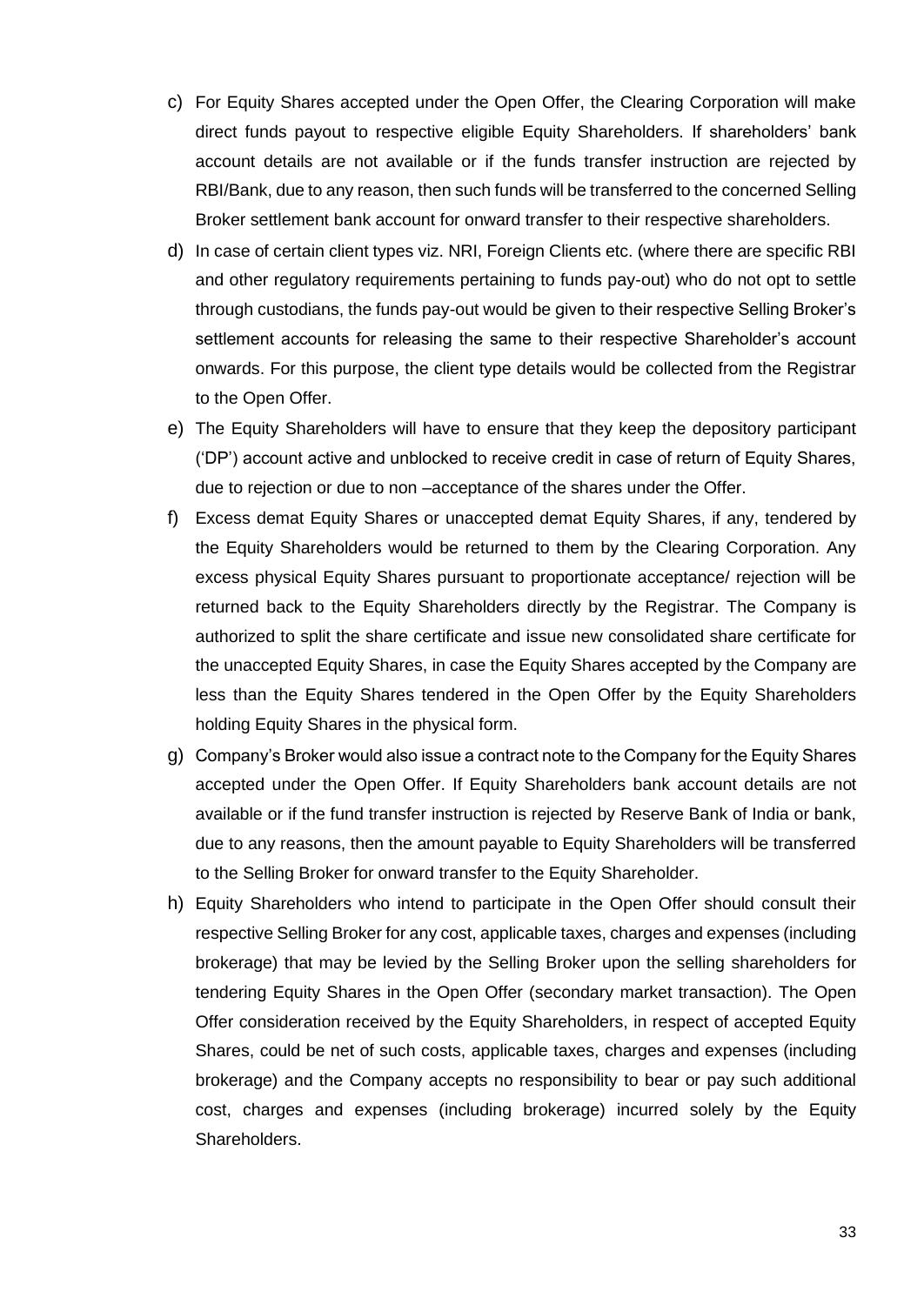- c) For Equity Shares accepted under the Open Offer, the Clearing Corporation will make direct funds payout to respective eligible Equity Shareholders. If shareholders' bank account details are not available or if the funds transfer instruction are rejected by RBI/Bank, due to any reason, then such funds will be transferred to the concerned Selling Broker settlement bank account for onward transfer to their respective shareholders.
- d) In case of certain client types viz. NRI, Foreign Clients etc. (where there are specific RBI and other regulatory requirements pertaining to funds pay-out) who do not opt to settle through custodians, the funds pay-out would be given to their respective Selling Broker's settlement accounts for releasing the same to their respective Shareholder's account onwards. For this purpose, the client type details would be collected from the Registrar to the Open Offer.
- e) The Equity Shareholders will have to ensure that they keep the depository participant ('DP') account active and unblocked to receive credit in case of return of Equity Shares, due to rejection or due to non –acceptance of the shares under the Offer.
- f) Excess demat Equity Shares or unaccepted demat Equity Shares, if any, tendered by the Equity Shareholders would be returned to them by the Clearing Corporation. Any excess physical Equity Shares pursuant to proportionate acceptance/ rejection will be returned back to the Equity Shareholders directly by the Registrar. The Company is authorized to split the share certificate and issue new consolidated share certificate for the unaccepted Equity Shares, in case the Equity Shares accepted by the Company are less than the Equity Shares tendered in the Open Offer by the Equity Shareholders holding Equity Shares in the physical form.
- g) Company's Broker would also issue a contract note to the Company for the Equity Shares accepted under the Open Offer. If Equity Shareholders bank account details are not available or if the fund transfer instruction is rejected by Reserve Bank of India or bank, due to any reasons, then the amount payable to Equity Shareholders will be transferred to the Selling Broker for onward transfer to the Equity Shareholder.
- h) Equity Shareholders who intend to participate in the Open Offer should consult their respective Selling Broker for any cost, applicable taxes, charges and expenses (including brokerage) that may be levied by the Selling Broker upon the selling shareholders for tendering Equity Shares in the Open Offer (secondary market transaction). The Open Offer consideration received by the Equity Shareholders, in respect of accepted Equity Shares, could be net of such costs, applicable taxes, charges and expenses (including brokerage) and the Company accepts no responsibility to bear or pay such additional cost, charges and expenses (including brokerage) incurred solely by the Equity Shareholders.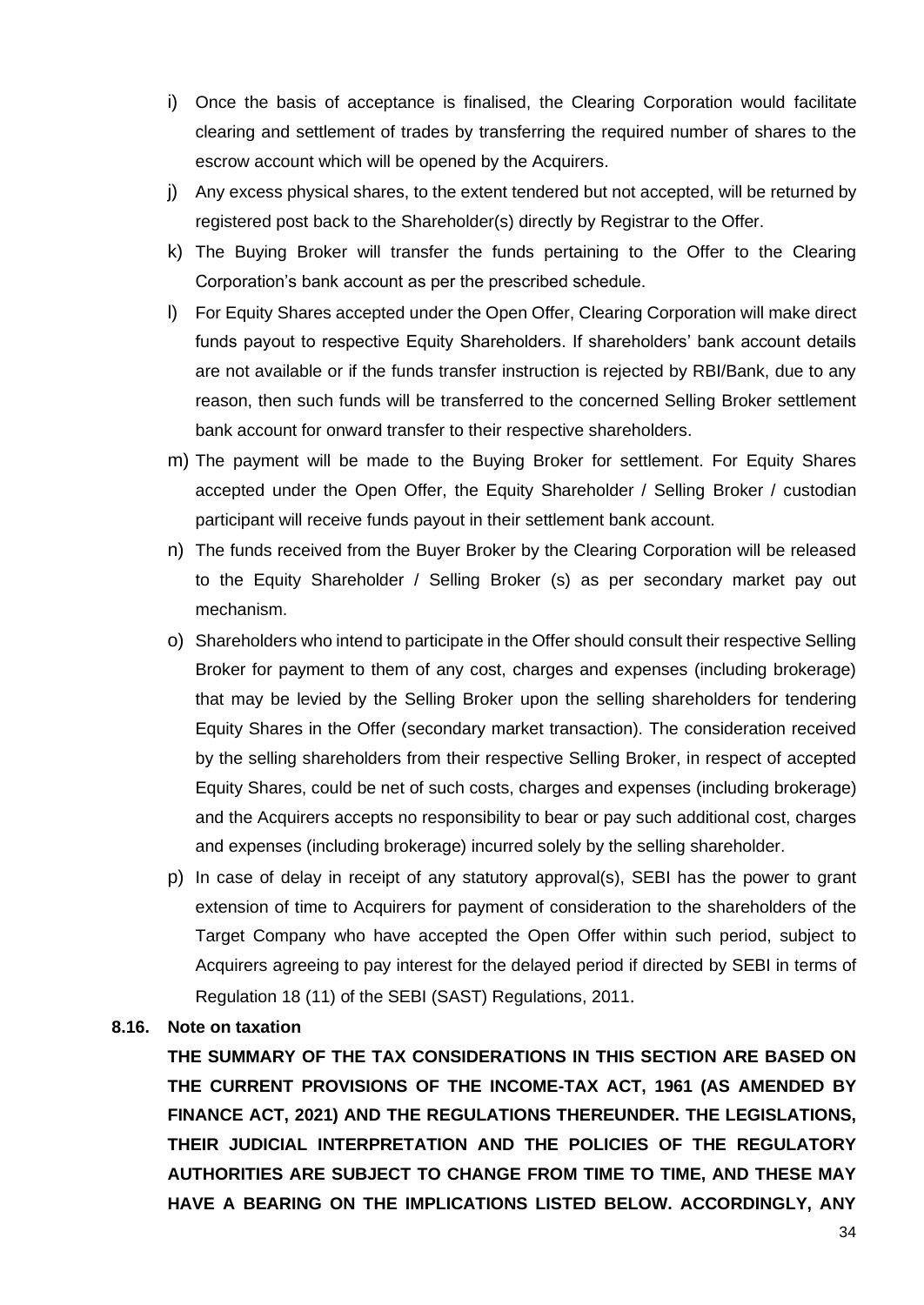- i) Once the basis of acceptance is finalised, the Clearing Corporation would facilitate clearing and settlement of trades by transferring the required number of shares to the escrow account which will be opened by the Acquirers.
- j) Any excess physical shares, to the extent tendered but not accepted, will be returned by registered post back to the Shareholder(s) directly by Registrar to the Offer.
- k) The Buying Broker will transfer the funds pertaining to the Offer to the Clearing Corporation's bank account as per the prescribed schedule.
- l) For Equity Shares accepted under the Open Offer, Clearing Corporation will make direct funds payout to respective Equity Shareholders. If shareholders' bank account details are not available or if the funds transfer instruction is rejected by RBI/Bank, due to any reason, then such funds will be transferred to the concerned Selling Broker settlement bank account for onward transfer to their respective shareholders.
- m) The payment will be made to the Buying Broker for settlement. For Equity Shares accepted under the Open Offer, the Equity Shareholder / Selling Broker / custodian participant will receive funds payout in their settlement bank account.
- n) The funds received from the Buyer Broker by the Clearing Corporation will be released to the Equity Shareholder / Selling Broker (s) as per secondary market pay out mechanism.
- o) Shareholders who intend to participate in the Offer should consult their respective Selling Broker for payment to them of any cost, charges and expenses (including brokerage) that may be levied by the Selling Broker upon the selling shareholders for tendering Equity Shares in the Offer (secondary market transaction). The consideration received by the selling shareholders from their respective Selling Broker, in respect of accepted Equity Shares, could be net of such costs, charges and expenses (including brokerage) and the Acquirers accepts no responsibility to bear or pay such additional cost, charges and expenses (including brokerage) incurred solely by the selling shareholder.
- p) In case of delay in receipt of any statutory approval(s), SEBI has the power to grant extension of time to Acquirers for payment of consideration to the shareholders of the Target Company who have accepted the Open Offer within such period, subject to Acquirers agreeing to pay interest for the delayed period if directed by SEBI in terms of Regulation 18 (11) of the SEBI (SAST) Regulations, 2011.

#### **8.16. Note on taxation**

**THE SUMMARY OF THE TAX CONSIDERATIONS IN THIS SECTION ARE BASED ON THE CURRENT PROVISIONS OF THE INCOME-TAX ACT, 1961 (AS AMENDED BY FINANCE ACT, 2021) AND THE REGULATIONS THEREUNDER. THE LEGISLATIONS, THEIR JUDICIAL INTERPRETATION AND THE POLICIES OF THE REGULATORY AUTHORITIES ARE SUBJECT TO CHANGE FROM TIME TO TIME, AND THESE MAY HAVE A BEARING ON THE IMPLICATIONS LISTED BELOW. ACCORDINGLY, ANY**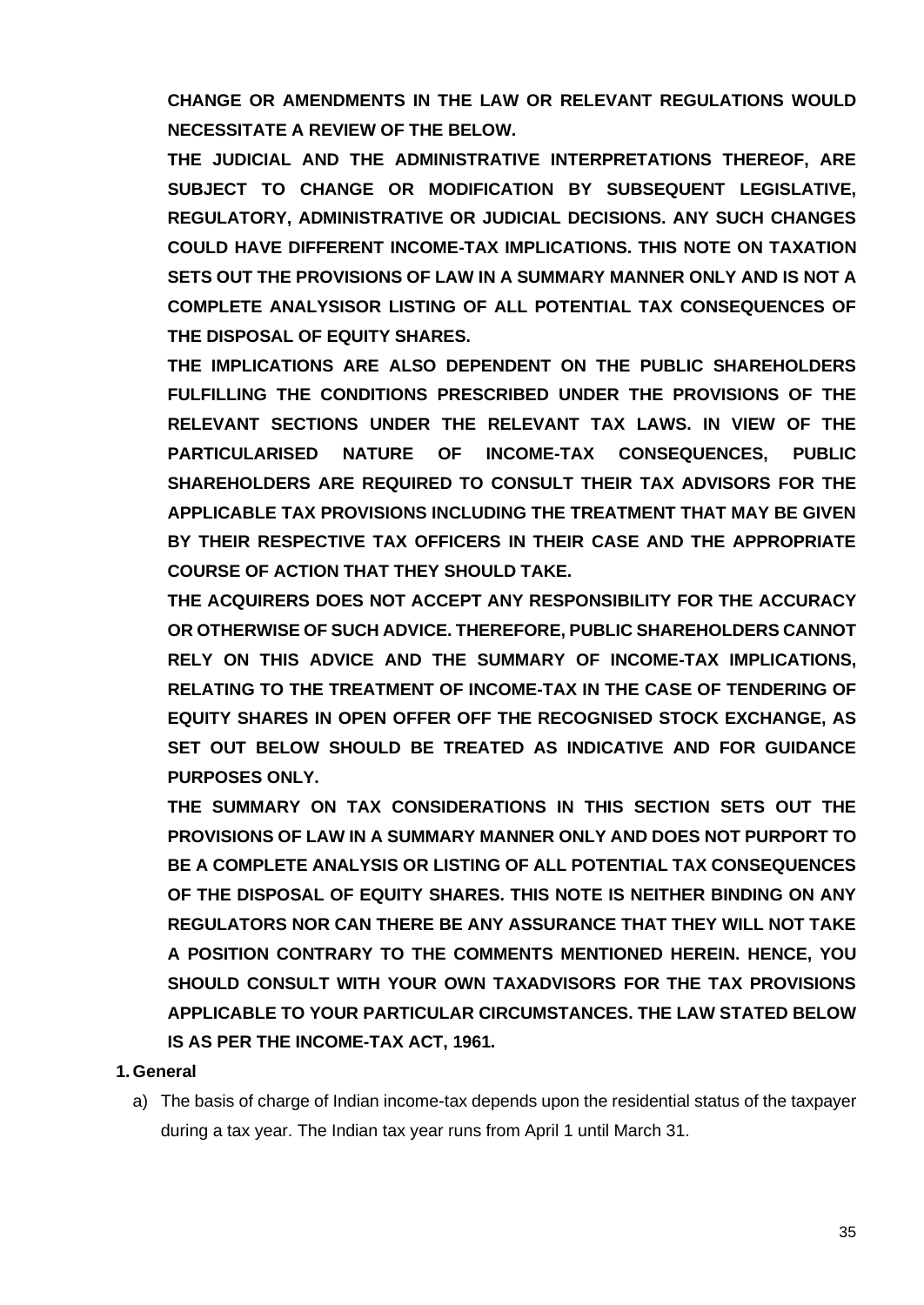**CHANGE OR AMENDMENTS IN THE LAW OR RELEVANT REGULATIONS WOULD NECESSITATE A REVIEW OF THE BELOW.** 

**THE JUDICIAL AND THE ADMINISTRATIVE INTERPRETATIONS THEREOF, ARE SUBJECT TO CHANGE OR MODIFICATION BY SUBSEQUENT LEGISLATIVE, REGULATORY, ADMINISTRATIVE OR JUDICIAL DECISIONS. ANY SUCH CHANGES COULD HAVE DIFFERENT INCOME-TAX IMPLICATIONS. THIS NOTE ON TAXATION SETS OUT THE PROVISIONS OF LAW IN A SUMMARY MANNER ONLY AND IS NOT A COMPLETE ANALYSISOR LISTING OF ALL POTENTIAL TAX CONSEQUENCES OF THE DISPOSAL OF EQUITY SHARES.** 

**THE IMPLICATIONS ARE ALSO DEPENDENT ON THE PUBLIC SHAREHOLDERS FULFILLING THE CONDITIONS PRESCRIBED UNDER THE PROVISIONS OF THE RELEVANT SECTIONS UNDER THE RELEVANT TAX LAWS. IN VIEW OF THE PARTICULARISED NATURE OF INCOME-TAX CONSEQUENCES, PUBLIC SHAREHOLDERS ARE REQUIRED TO CONSULT THEIR TAX ADVISORS FOR THE APPLICABLE TAX PROVISIONS INCLUDING THE TREATMENT THAT MAY BE GIVEN BY THEIR RESPECTIVE TAX OFFICERS IN THEIR CASE AND THE APPROPRIATE COURSE OF ACTION THAT THEY SHOULD TAKE.** 

**THE ACQUIRERS DOES NOT ACCEPT ANY RESPONSIBILITY FOR THE ACCURACY OR OTHERWISE OF SUCH ADVICE. THEREFORE, PUBLIC SHAREHOLDERS CANNOT RELY ON THIS ADVICE AND THE SUMMARY OF INCOME-TAX IMPLICATIONS, RELATING TO THE TREATMENT OF INCOME-TAX IN THE CASE OF TENDERING OF EQUITY SHARES IN OPEN OFFER OFF THE RECOGNISED STOCK EXCHANGE, AS SET OUT BELOW SHOULD BE TREATED AS INDICATIVE AND FOR GUIDANCE PURPOSES ONLY.** 

**THE SUMMARY ON TAX CONSIDERATIONS IN THIS SECTION SETS OUT THE PROVISIONS OF LAW IN A SUMMARY MANNER ONLY AND DOES NOT PURPORT TO BE A COMPLETE ANALYSIS OR LISTING OF ALL POTENTIAL TAX CONSEQUENCES OF THE DISPOSAL OF EQUITY SHARES. THIS NOTE IS NEITHER BINDING ON ANY REGULATORS NOR CAN THERE BE ANY ASSURANCE THAT THEY WILL NOT TAKE A POSITION CONTRARY TO THE COMMENTS MENTIONED HEREIN. HENCE, YOU SHOULD CONSULT WITH YOUR OWN TAXADVISORS FOR THE TAX PROVISIONS APPLICABLE TO YOUR PARTICULAR CIRCUMSTANCES. THE LAW STATED BELOW IS AS PER THE INCOME-TAX ACT, 1961.**

## **1. General**

a) The basis of charge of Indian income-tax depends upon the residential status of the taxpayer during a tax year. The Indian tax year runs from April 1 until March 31.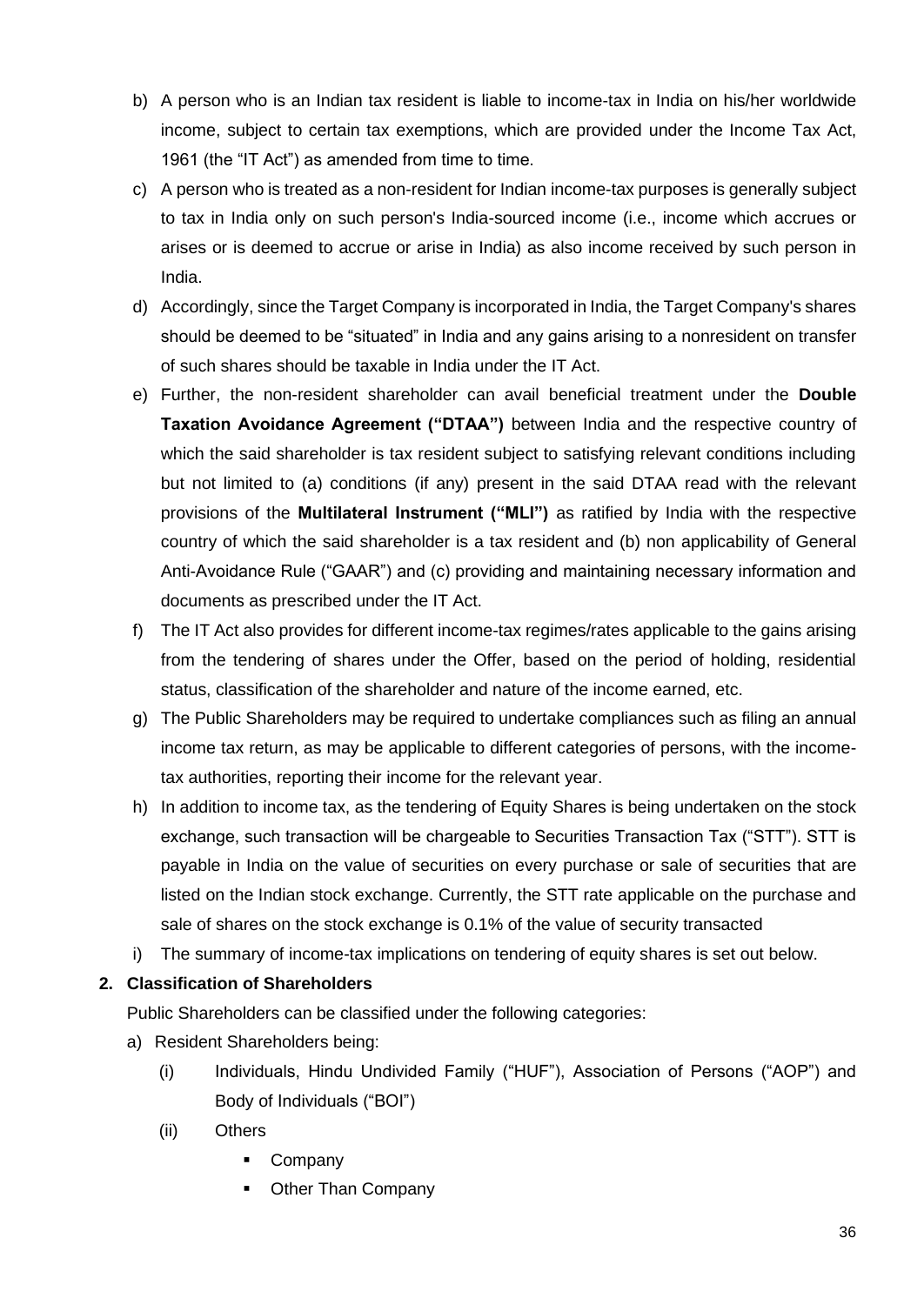- b) A person who is an Indian tax resident is liable to income-tax in India on his/her worldwide income, subject to certain tax exemptions, which are provided under the Income Tax Act, 1961 (the "IT Act") as amended from time to time.
- c) A person who is treated as a non-resident for Indian income-tax purposes is generally subject to tax in India only on such person's India-sourced income (i.e., income which accrues or arises or is deemed to accrue or arise in India) as also income received by such person in India.
- d) Accordingly, since the Target Company is incorporated in India, the Target Company's shares should be deemed to be "situated" in India and any gains arising to a nonresident on transfer of such shares should be taxable in India under the IT Act.
- e) Further, the non-resident shareholder can avail beneficial treatment under the **Double Taxation Avoidance Agreement ("DTAA")** between India and the respective country of which the said shareholder is tax resident subject to satisfying relevant conditions including but not limited to (a) conditions (if any) present in the said DTAA read with the relevant provisions of the **Multilateral Instrument ("MLI")** as ratified by India with the respective country of which the said shareholder is a tax resident and (b) non applicability of General Anti-Avoidance Rule ("GAAR") and (c) providing and maintaining necessary information and documents as prescribed under the IT Act.
- f) The IT Act also provides for different income-tax regimes/rates applicable to the gains arising from the tendering of shares under the Offer, based on the period of holding, residential status, classification of the shareholder and nature of the income earned, etc.
- g) The Public Shareholders may be required to undertake compliances such as filing an annual income tax return, as may be applicable to different categories of persons, with the incometax authorities, reporting their income for the relevant year.
- h) In addition to income tax, as the tendering of Equity Shares is being undertaken on the stock exchange, such transaction will be chargeable to Securities Transaction Tax ("STT"). STT is payable in India on the value of securities on every purchase or sale of securities that are listed on the Indian stock exchange. Currently, the STT rate applicable on the purchase and sale of shares on the stock exchange is 0.1% of the value of security transacted
- i) The summary of income-tax implications on tendering of equity shares is set out below.

## **2. Classification of Shareholders**

Public Shareholders can be classified under the following categories:

- a) Resident Shareholders being:
	- (i) Individuals, Hindu Undivided Family ("HUF"), Association of Persons ("AOP") and Body of Individuals ("BOI")
	- (ii) Others
		- Company
		- Other Than Company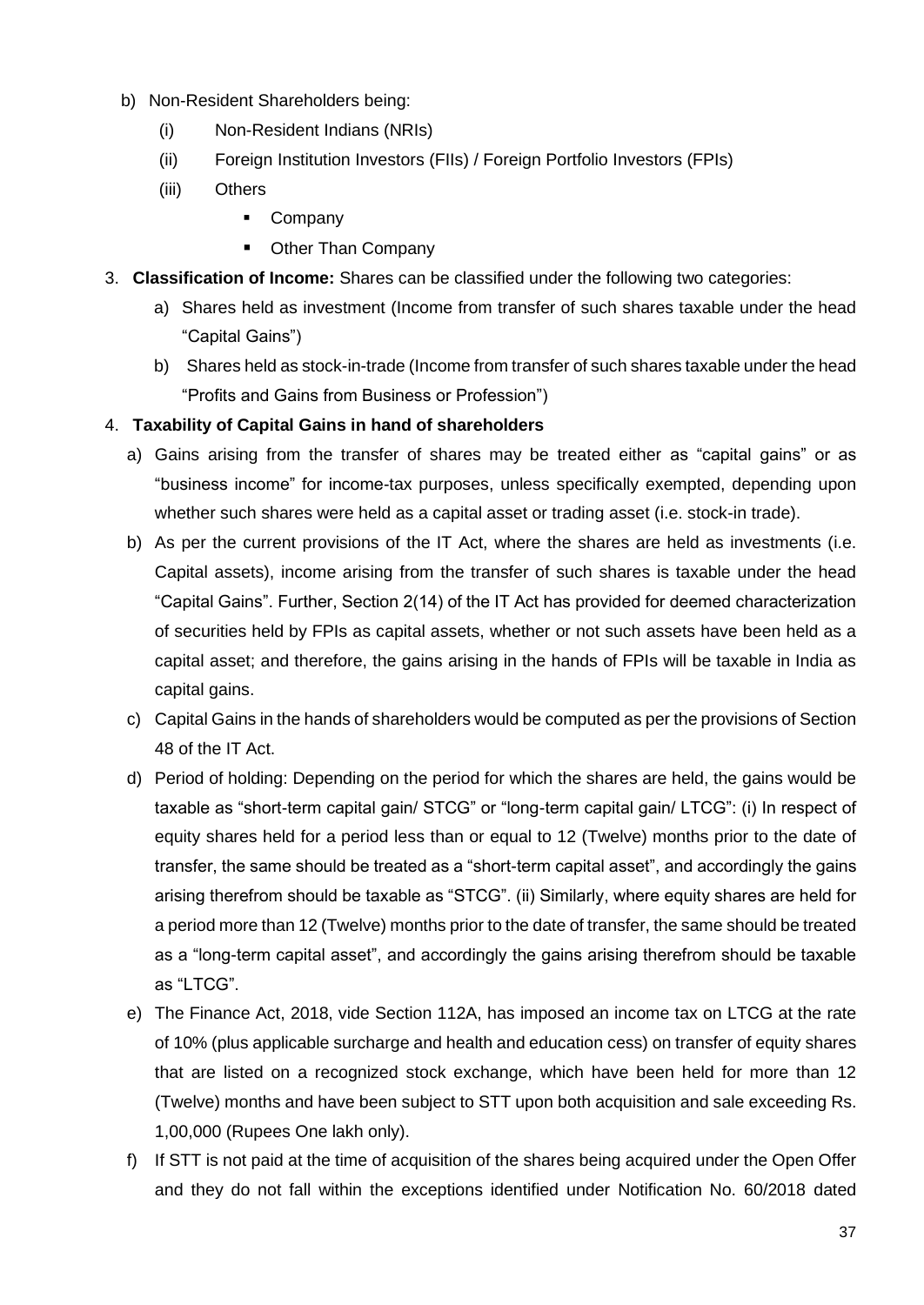- b) Non-Resident Shareholders being:
	- (i) Non-Resident Indians (NRIs)
	- (ii) Foreign Institution Investors (FIIs) / Foreign Portfolio Investors (FPIs)
	- (iii) Others
		- Company
		- Other Than Company
- 3. **Classification of Income:** Shares can be classified under the following two categories:
	- a) Shares held as investment (Income from transfer of such shares taxable under the head "Capital Gains")
	- b) Shares held as stock-in-trade (Income from transfer of such shares taxable under the head "Profits and Gains from Business or Profession")

## 4. **Taxability of Capital Gains in hand of shareholders**

- a) Gains arising from the transfer of shares may be treated either as "capital gains" or as "business income" for income-tax purposes, unless specifically exempted, depending upon whether such shares were held as a capital asset or trading asset (i.e. stock-in trade).
- b) As per the current provisions of the IT Act, where the shares are held as investments (i.e. Capital assets), income arising from the transfer of such shares is taxable under the head "Capital Gains". Further, Section 2(14) of the IT Act has provided for deemed characterization of securities held by FPIs as capital assets, whether or not such assets have been held as a capital asset; and therefore, the gains arising in the hands of FPIs will be taxable in India as capital gains.
- c) Capital Gains in the hands of shareholders would be computed as per the provisions of Section 48 of the IT Act.
- d) Period of holding: Depending on the period for which the shares are held, the gains would be taxable as "short-term capital gain/ STCG" or "long-term capital gain/ LTCG": (i) In respect of equity shares held for a period less than or equal to 12 (Twelve) months prior to the date of transfer, the same should be treated as a "short-term capital asset", and accordingly the gains arising therefrom should be taxable as "STCG". (ii) Similarly, where equity shares are held for a period more than 12 (Twelve) months prior to the date of transfer, the same should be treated as a "long-term capital asset", and accordingly the gains arising therefrom should be taxable as "LTCG".
- e) The Finance Act, 2018, vide Section 112A, has imposed an income tax on LTCG at the rate of 10% (plus applicable surcharge and health and education cess) on transfer of equity shares that are listed on a recognized stock exchange, which have been held for more than 12 (Twelve) months and have been subject to STT upon both acquisition and sale exceeding Rs. 1,00,000 (Rupees One lakh only).
- f) If STT is not paid at the time of acquisition of the shares being acquired under the Open Offer and they do not fall within the exceptions identified under Notification No. 60/2018 dated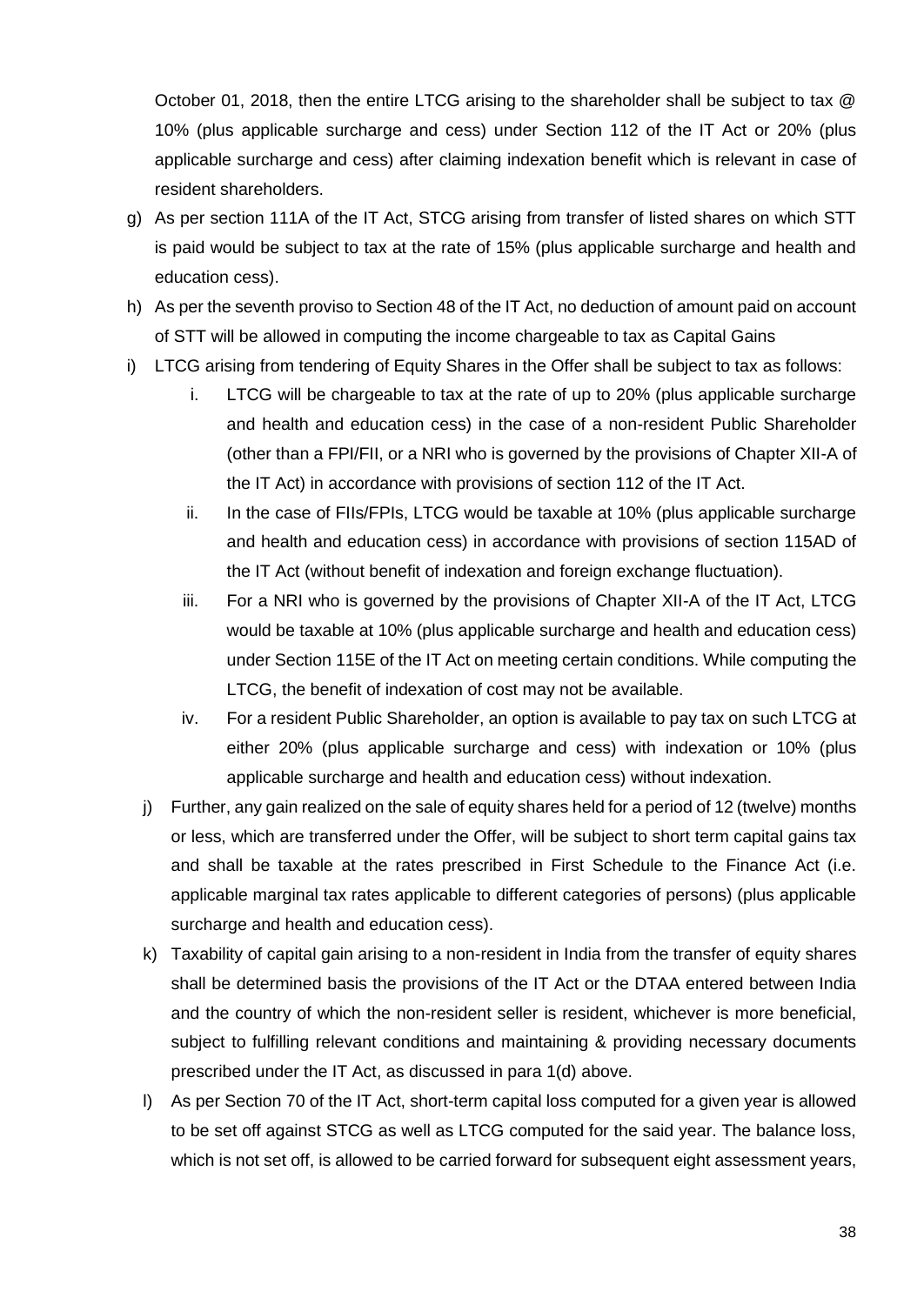October 01, 2018, then the entire LTCG arising to the shareholder shall be subject to tax @ 10% (plus applicable surcharge and cess) under Section 112 of the IT Act or 20% (plus applicable surcharge and cess) after claiming indexation benefit which is relevant in case of resident shareholders.

- g) As per section 111A of the IT Act, STCG arising from transfer of listed shares on which STT is paid would be subject to tax at the rate of 15% (plus applicable surcharge and health and education cess).
- h) As per the seventh proviso to Section 48 of the IT Act, no deduction of amount paid on account of STT will be allowed in computing the income chargeable to tax as Capital Gains
- i) LTCG arising from tendering of Equity Shares in the Offer shall be subject to tax as follows:
	- i. LTCG will be chargeable to tax at the rate of up to 20% (plus applicable surcharge and health and education cess) in the case of a non-resident Public Shareholder (other than a FPI/FII, or a NRI who is governed by the provisions of Chapter XII-A of the IT Act) in accordance with provisions of section 112 of the IT Act.
	- ii. In the case of FIIs/FPIs, LTCG would be taxable at 10% (plus applicable surcharge and health and education cess) in accordance with provisions of section 115AD of the IT Act (without benefit of indexation and foreign exchange fluctuation).
	- iii. For a NRI who is governed by the provisions of Chapter XII-A of the IT Act, LTCG would be taxable at 10% (plus applicable surcharge and health and education cess) under Section 115E of the IT Act on meeting certain conditions. While computing the LTCG, the benefit of indexation of cost may not be available.
	- iv. For a resident Public Shareholder, an option is available to pay tax on such LTCG at either 20% (plus applicable surcharge and cess) with indexation or 10% (plus applicable surcharge and health and education cess) without indexation.
	- j) Further, any gain realized on the sale of equity shares held for a period of 12 (twelve) months or less, which are transferred under the Offer, will be subject to short term capital gains tax and shall be taxable at the rates prescribed in First Schedule to the Finance Act (i.e. applicable marginal tax rates applicable to different categories of persons) (plus applicable surcharge and health and education cess).
	- k) Taxability of capital gain arising to a non-resident in India from the transfer of equity shares shall be determined basis the provisions of the IT Act or the DTAA entered between India and the country of which the non-resident seller is resident, whichever is more beneficial, subject to fulfilling relevant conditions and maintaining & providing necessary documents prescribed under the IT Act, as discussed in para 1(d) above.
	- l) As per Section 70 of the IT Act, short-term capital loss computed for a given year is allowed to be set off against STCG as well as LTCG computed for the said year. The balance loss, which is not set off, is allowed to be carried forward for subsequent eight assessment years,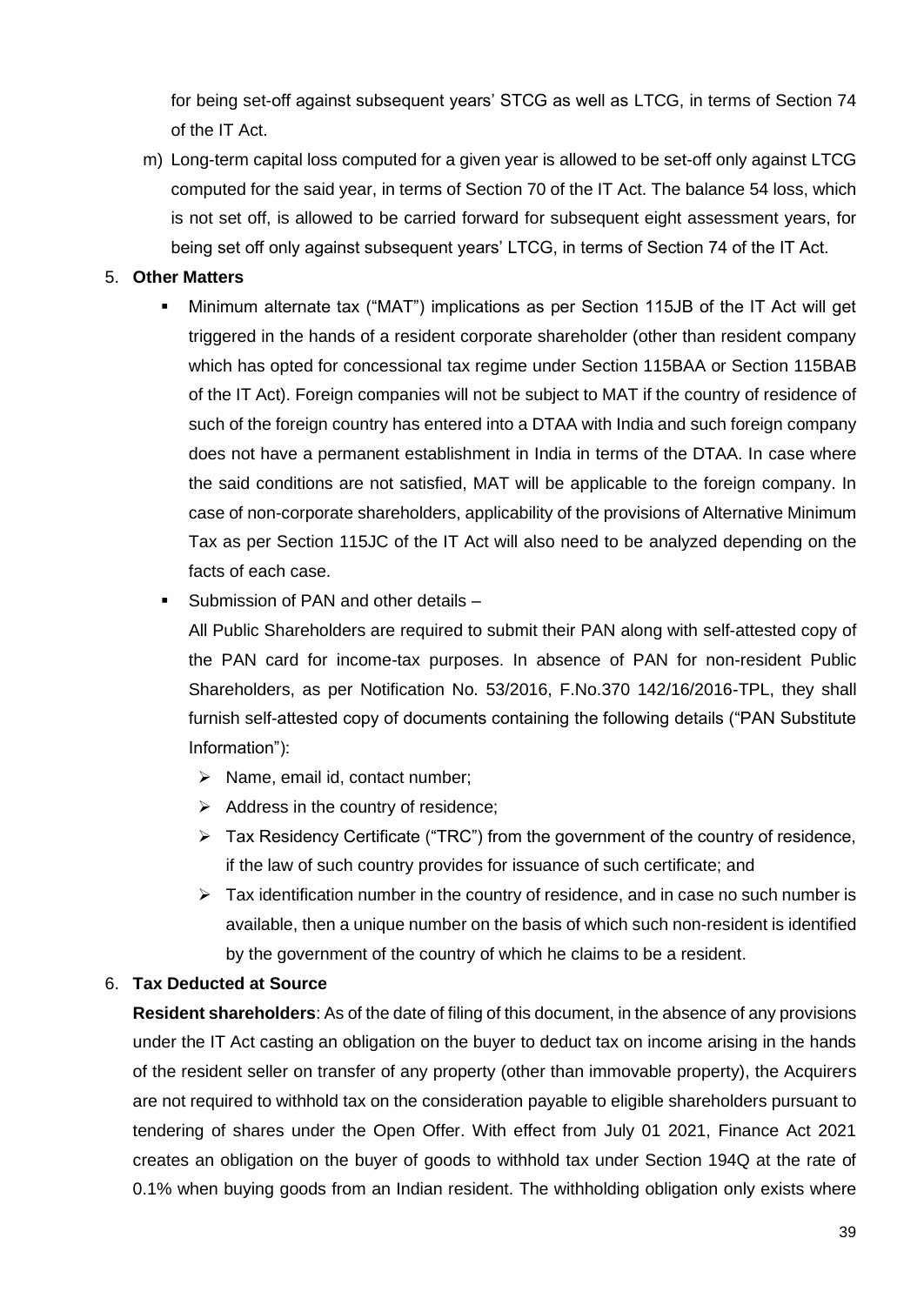for being set-off against subsequent years' STCG as well as LTCG, in terms of Section 74 of the IT Act.

m) Long-term capital loss computed for a given year is allowed to be set-off only against LTCG computed for the said year, in terms of Section 70 of the IT Act. The balance 54 loss, which is not set off, is allowed to be carried forward for subsequent eight assessment years, for being set off only against subsequent years' LTCG, in terms of Section 74 of the IT Act.

## 5. **Other Matters**

- Minimum alternate tax ("MAT") implications as per Section 115JB of the IT Act will get triggered in the hands of a resident corporate shareholder (other than resident company which has opted for concessional tax regime under Section 115BAA or Section 115BAB of the IT Act). Foreign companies will not be subject to MAT if the country of residence of such of the foreign country has entered into a DTAA with India and such foreign company does not have a permanent establishment in India in terms of the DTAA. In case where the said conditions are not satisfied, MAT will be applicable to the foreign company. In case of non-corporate shareholders, applicability of the provisions of Alternative Minimum Tax as per Section 115JC of the IT Act will also need to be analyzed depending on the facts of each case.
- Submission of PAN and other details –

All Public Shareholders are required to submit their PAN along with self-attested copy of the PAN card for income-tax purposes. In absence of PAN for non-resident Public Shareholders, as per Notification No. 53/2016, F.No.370 142/16/2016-TPL, they shall furnish self-attested copy of documents containing the following details ("PAN Substitute Information"):

- ➢ Name, email id, contact number;
- ➢ Address in the country of residence;
- ➢ Tax Residency Certificate ("TRC") from the government of the country of residence, if the law of such country provides for issuance of such certificate; and
- $\triangleright$  Tax identification number in the country of residence, and in case no such number is available, then a unique number on the basis of which such non-resident is identified by the government of the country of which he claims to be a resident.

#### 6. **Tax Deducted at Source**

**Resident shareholders**: As of the date of filing of this document, in the absence of any provisions under the IT Act casting an obligation on the buyer to deduct tax on income arising in the hands of the resident seller on transfer of any property (other than immovable property), the Acquirers are not required to withhold tax on the consideration payable to eligible shareholders pursuant to tendering of shares under the Open Offer. With effect from July 01 2021, Finance Act 2021 creates an obligation on the buyer of goods to withhold tax under Section 194Q at the rate of 0.1% when buying goods from an Indian resident. The withholding obligation only exists where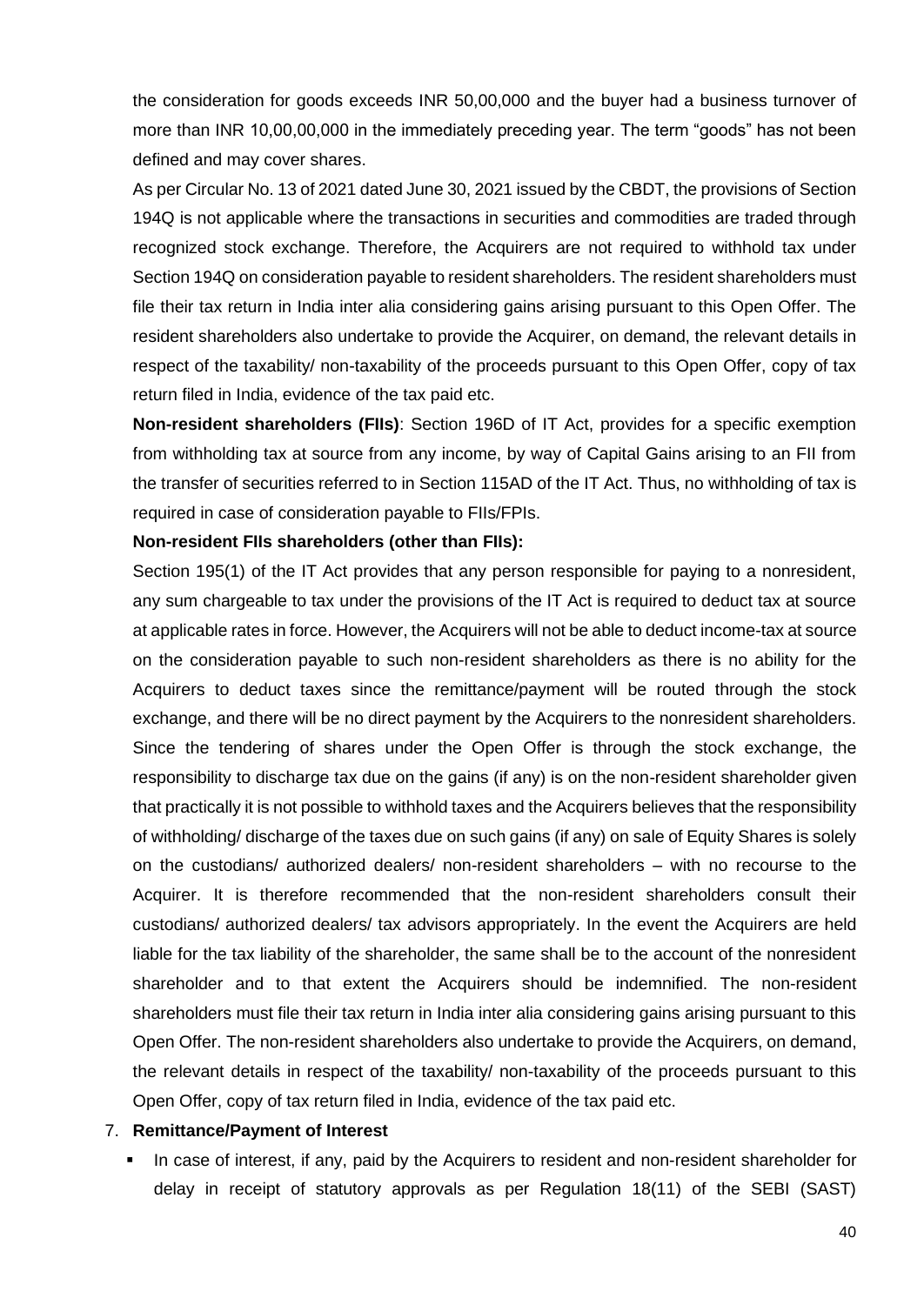the consideration for goods exceeds INR 50,00,000 and the buyer had a business turnover of more than INR 10,00,00,000 in the immediately preceding year. The term "goods" has not been defined and may cover shares.

As per Circular No. 13 of 2021 dated June 30, 2021 issued by the CBDT, the provisions of Section 194Q is not applicable where the transactions in securities and commodities are traded through recognized stock exchange. Therefore, the Acquirers are not required to withhold tax under Section 194Q on consideration payable to resident shareholders. The resident shareholders must file their tax return in India inter alia considering gains arising pursuant to this Open Offer. The resident shareholders also undertake to provide the Acquirer, on demand, the relevant details in respect of the taxability/ non-taxability of the proceeds pursuant to this Open Offer, copy of tax return filed in India, evidence of the tax paid etc.

**Non-resident shareholders (FIIs)**: Section 196D of IT Act, provides for a specific exemption from withholding tax at source from any income, by way of Capital Gains arising to an FII from the transfer of securities referred to in Section 115AD of the IT Act. Thus, no withholding of tax is required in case of consideration payable to FIIs/FPIs.

#### **Non-resident FIIs shareholders (other than FIIs):**

Section 195(1) of the IT Act provides that any person responsible for paying to a nonresident, any sum chargeable to tax under the provisions of the IT Act is required to deduct tax at source at applicable rates in force. However, the Acquirers will not be able to deduct income-tax at source on the consideration payable to such non-resident shareholders as there is no ability for the Acquirers to deduct taxes since the remittance/payment will be routed through the stock exchange, and there will be no direct payment by the Acquirers to the nonresident shareholders. Since the tendering of shares under the Open Offer is through the stock exchange, the responsibility to discharge tax due on the gains (if any) is on the non-resident shareholder given that practically it is not possible to withhold taxes and the Acquirers believes that the responsibility of withholding/ discharge of the taxes due on such gains (if any) on sale of Equity Shares is solely on the custodians/ authorized dealers/ non-resident shareholders – with no recourse to the Acquirer. It is therefore recommended that the non-resident shareholders consult their custodians/ authorized dealers/ tax advisors appropriately. In the event the Acquirers are held liable for the tax liability of the shareholder, the same shall be to the account of the nonresident shareholder and to that extent the Acquirers should be indemnified. The non-resident shareholders must file their tax return in India inter alia considering gains arising pursuant to this Open Offer. The non-resident shareholders also undertake to provide the Acquirers, on demand, the relevant details in respect of the taxability/ non-taxability of the proceeds pursuant to this Open Offer, copy of tax return filed in India, evidence of the tax paid etc.

#### 7. **Remittance/Payment of Interest**

**.** In case of interest, if any, paid by the Acquirers to resident and non-resident shareholder for delay in receipt of statutory approvals as per Regulation 18(11) of the SEBI (SAST)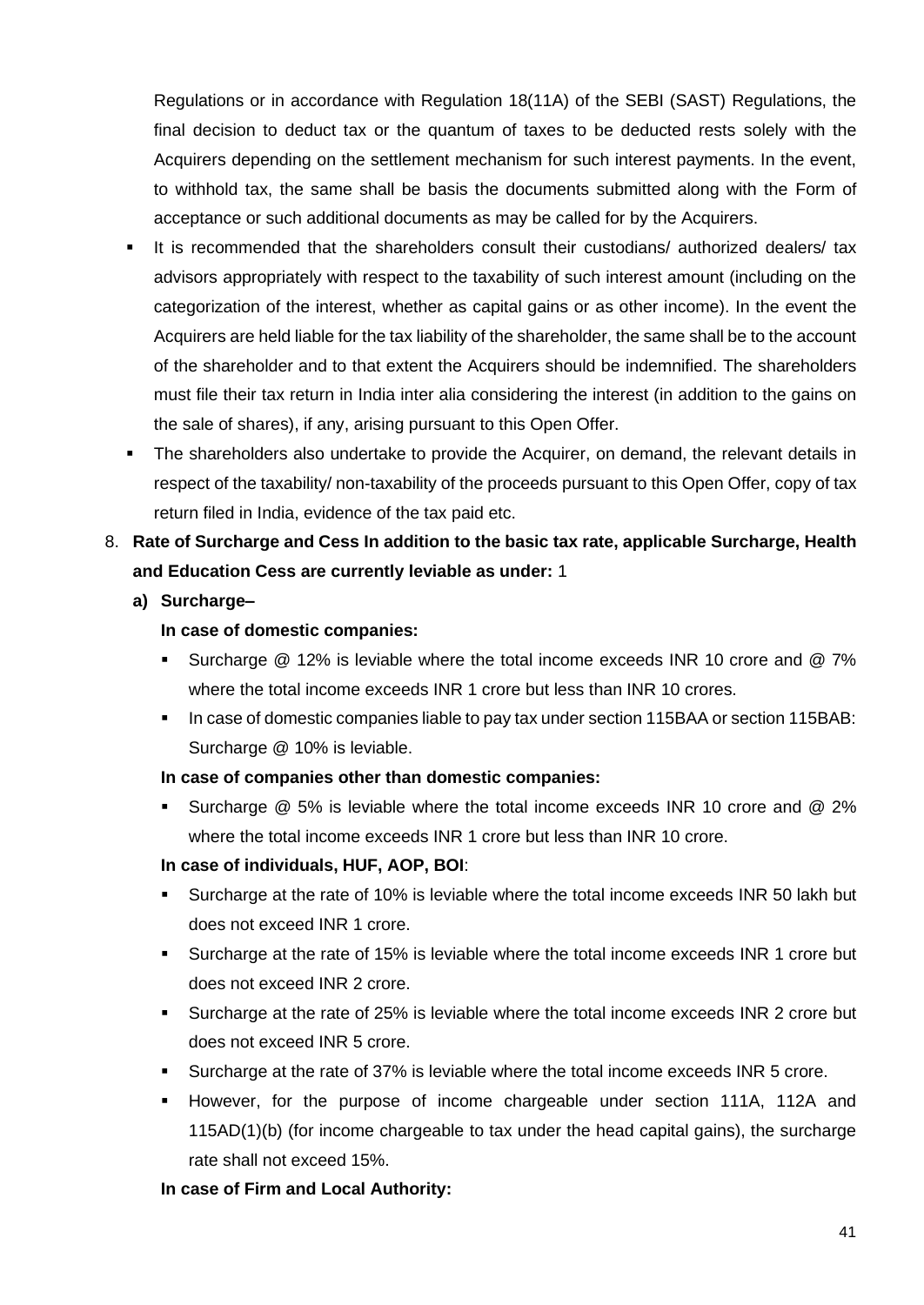Regulations or in accordance with Regulation 18(11A) of the SEBI (SAST) Regulations, the final decision to deduct tax or the quantum of taxes to be deducted rests solely with the Acquirers depending on the settlement mechanism for such interest payments. In the event, to withhold tax, the same shall be basis the documents submitted along with the Form of acceptance or such additional documents as may be called for by the Acquirers.

- It is recommended that the shareholders consult their custodians/ authorized dealers/ tax advisors appropriately with respect to the taxability of such interest amount (including on the categorization of the interest, whether as capital gains or as other income). In the event the Acquirers are held liable for the tax liability of the shareholder, the same shall be to the account of the shareholder and to that extent the Acquirers should be indemnified. The shareholders must file their tax return in India inter alia considering the interest (in addition to the gains on the sale of shares), if any, arising pursuant to this Open Offer.
- **•** The shareholders also undertake to provide the Acquirer, on demand, the relevant details in respect of the taxability/ non-taxability of the proceeds pursuant to this Open Offer, copy of tax return filed in India, evidence of the tax paid etc.
- 8. **Rate of Surcharge and Cess In addition to the basic tax rate, applicable Surcharge, Health and Education Cess are currently leviable as under:** 1
	- **a) Surcharge–**

#### **In case of domestic companies:**

- Surcharge @ 12% is leviable where the total income exceeds INR 10 crore and @ 7% where the total income exceeds INR 1 crore but less than INR 10 crores.
- In case of domestic companies liable to pay tax under section 115BAA or section 115BAB: Surcharge @ 10% is leviable.

#### **In case of companies other than domestic companies:**

▪ Surcharge @ 5% is leviable where the total income exceeds INR 10 crore and @ 2% where the total income exceeds INR 1 crore but less than INR 10 crore.

## **In case of individuals, HUF, AOP, BOI**:

- Surcharge at the rate of 10% is leviable where the total income exceeds INR 50 lakh but does not exceed INR 1 crore.
- Surcharge at the rate of 15% is leviable where the total income exceeds INR 1 crore but does not exceed INR 2 crore.
- Surcharge at the rate of 25% is leviable where the total income exceeds INR 2 crore but does not exceed INR 5 crore.
- Surcharge at the rate of 37% is leviable where the total income exceeds INR 5 crore.
- However, for the purpose of income chargeable under section 111A, 112A and 115AD(1)(b) (for income chargeable to tax under the head capital gains), the surcharge rate shall not exceed 15%.

#### **In case of Firm and Local Authority:**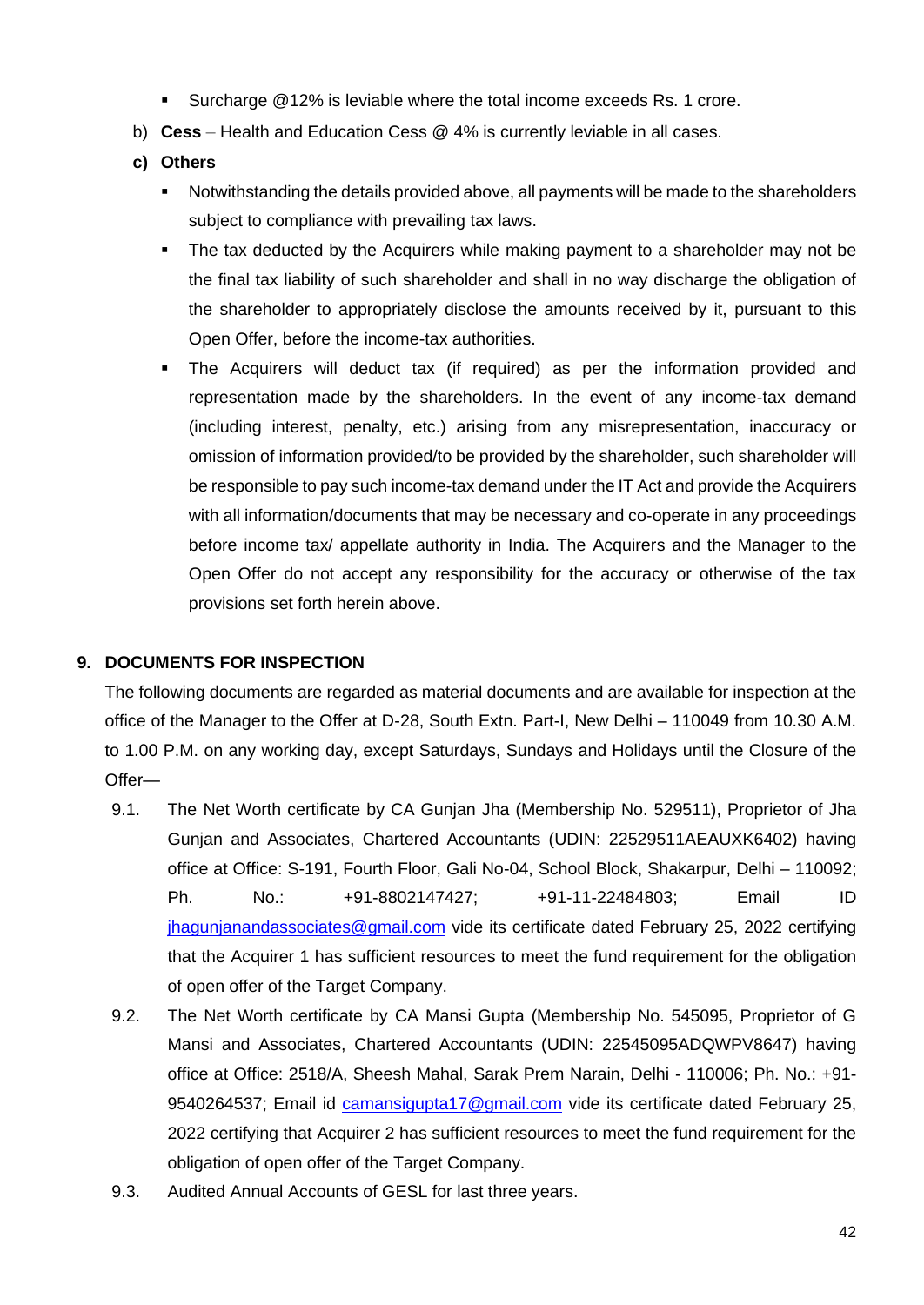- Surcharge @12% is leviable where the total income exceeds Rs. 1 crore.
- b) **Cess** Health and Education Cess @ 4% is currently leviable in all cases.
- **c) Others** 
	- Notwithstanding the details provided above, all payments will be made to the shareholders subject to compliance with prevailing tax laws.
	- **•** The tax deducted by the Acquirers while making payment to a shareholder may not be the final tax liability of such shareholder and shall in no way discharge the obligation of the shareholder to appropriately disclose the amounts received by it, pursuant to this Open Offer, before the income-tax authorities.
	- The Acquirers will deduct tax (if required) as per the information provided and representation made by the shareholders. In the event of any income-tax demand (including interest, penalty, etc.) arising from any misrepresentation, inaccuracy or omission of information provided/to be provided by the shareholder, such shareholder will be responsible to pay such income-tax demand under the IT Act and provide the Acquirers with all information/documents that may be necessary and co-operate in any proceedings before income tax/ appellate authority in India. The Acquirers and the Manager to the Open Offer do not accept any responsibility for the accuracy or otherwise of the tax provisions set forth herein above.

#### **9. DOCUMENTS FOR INSPECTION**

The following documents are regarded as material documents and are available for inspection at the office of the Manager to the Offer at D-28, South Extn. Part-I, New Delhi – 110049 from 10.30 A.M. to 1.00 P.M. on any working day, except Saturdays, Sundays and Holidays until the Closure of the Offer—

- 9.1. The Net Worth certificate by CA Gunjan Jha (Membership No. 529511), Proprietor of Jha Gunjan and Associates, Chartered Accountants (UDIN: 22529511AEAUXK6402) having office at Office: S-191, Fourth Floor, Gali No-04, School Block, Shakarpur, Delhi – 110092; Ph. No.: +91-8802147427; +91-11-22484803; Email ID [jhagunjanandassociates@gmail.com](file:///C:/Users/Nitin/Downloads/jhagunjanandassociates@gmail.com) vide its certificate dated February 25, 2022 certifying that the Acquirer 1 has sufficient resources to meet the fund requirement for the obligation of open offer of the Target Company.
- 9.2. The Net Worth certificate by CA Mansi Gupta (Membership No. 545095, Proprietor of G Mansi and Associates, Chartered Accountants (UDIN: 22545095ADQWPV8647) having office at Office: 2518/A, Sheesh Mahal, Sarak Prem Narain, Delhi - 110006; Ph. No.: +91 9540264537; Email id [camansigupta17@gmail.com](mailto:camansigupta17@gmail.com) vide its certificate dated February 25, 2022 certifying that Acquirer 2 has sufficient resources to meet the fund requirement for the obligation of open offer of the Target Company.
- 9.3. Audited Annual Accounts of GESL for last three years.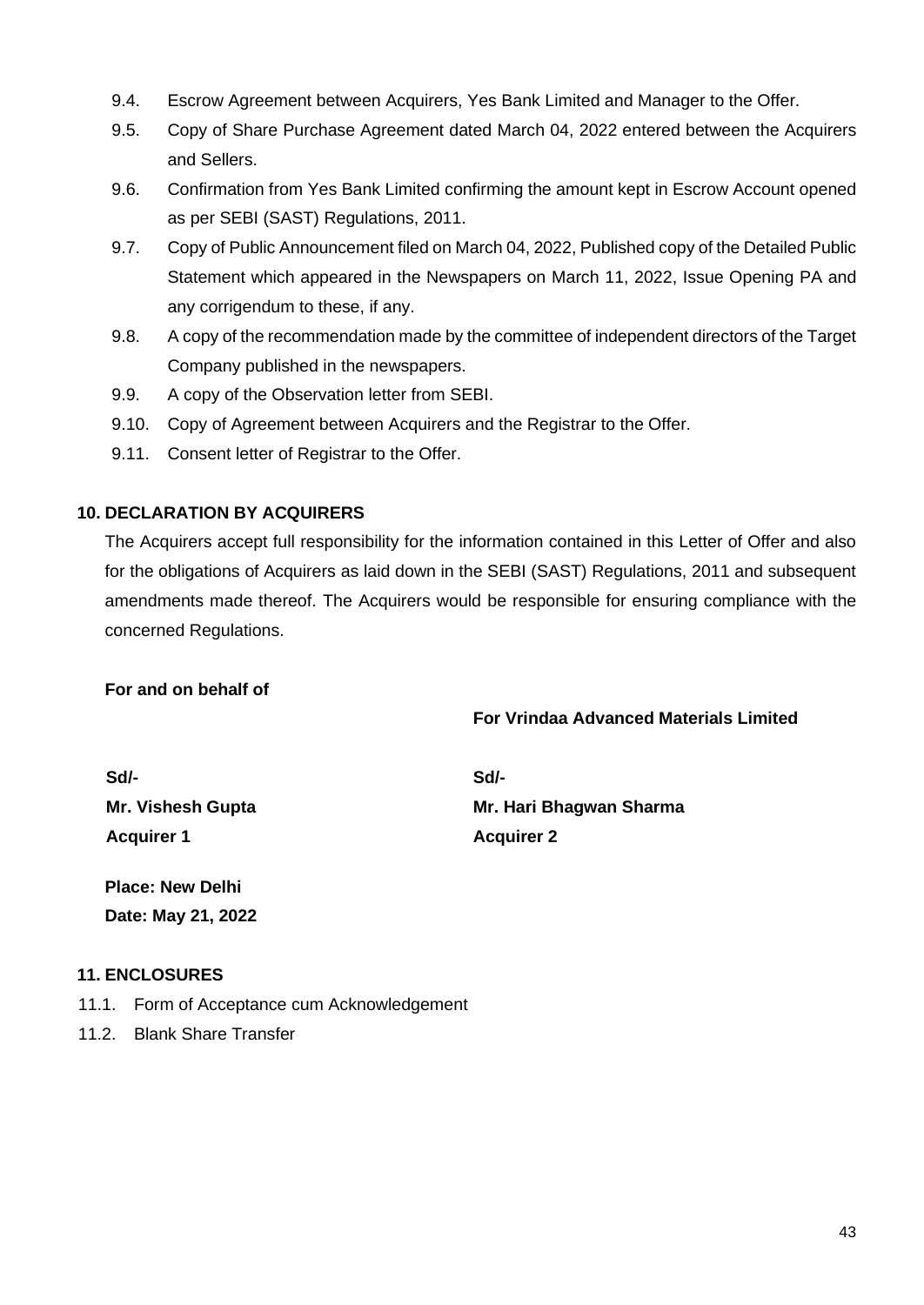- 9.4. Escrow Agreement between Acquirers, Yes Bank Limited and Manager to the Offer.
- 9.5. Copy of Share Purchase Agreement dated March 04, 2022 entered between the Acquirers and Sellers.
- 9.6. Confirmation from Yes Bank Limited confirming the amount kept in Escrow Account opened as per SEBI (SAST) Regulations, 2011.
- 9.7. Copy of Public Announcement filed on March 04, 2022, Published copy of the Detailed Public Statement which appeared in the Newspapers on March 11, 2022, Issue Opening PA and any corrigendum to these, if any.
- 9.8. A copy of the recommendation made by the committee of independent directors of the Target Company published in the newspapers.
- 9.9. A copy of the Observation letter from SEBI.
- 9.10. Copy of Agreement between Acquirers and the Registrar to the Offer.
- 9.11. Consent letter of Registrar to the Offer.

#### **10. DECLARATION BY ACQUIRERS**

The Acquirers accept full responsibility for the information contained in this Letter of Offer and also for the obligations of Acquirers as laid down in the SEBI (SAST) Regulations, 2011 and subsequent amendments made thereof. The Acquirers would be responsible for ensuring compliance with the concerned Regulations.

#### **For and on behalf of**

#### **For Vrindaa Advanced Materials Limited**

| Sd/-                     |  |
|--------------------------|--|
| <b>Mr. Vishesh Gupta</b> |  |
| <b>Acquirer 1</b>        |  |

**Sd/- Mr. Hari Bhagwan Sharma Acquirer 2**

## **Place: New Delhi Date: May 21, 2022**

#### **11. ENCLOSURES**

- 11.1. Form of Acceptance cum Acknowledgement
- 11.2. Blank Share Transfer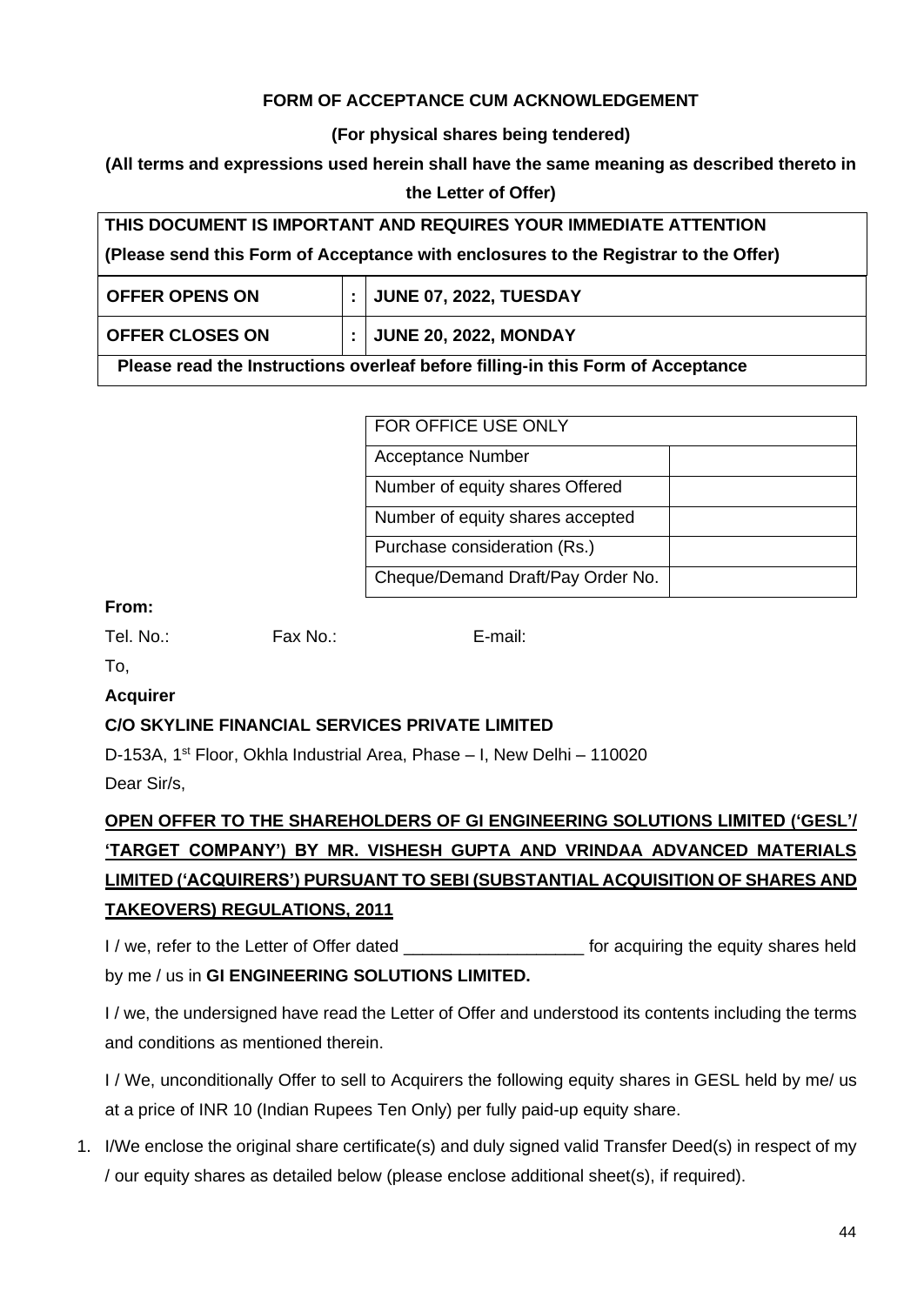## **FORM OF ACCEPTANCE CUM ACKNOWLEDGEMENT**

#### **(For physical shares being tendered)**

## **(All terms and expressions used herein shall have the same meaning as described thereto in**

#### **the Letter of Offer)**

| THIS DOCUMENT IS IMPORTANT AND REQUIRES YOUR IMMEDIATE ATTENTION                    |  |                               |  |  |  |
|-------------------------------------------------------------------------------------|--|-------------------------------|--|--|--|
| (Please send this Form of Acceptance with enclosures to the Registrar to the Offer) |  |                               |  |  |  |
| <b>OFFER OPENS ON</b>                                                               |  | <b>JUNE 07, 2022, TUESDAY</b> |  |  |  |
| <b>OFFER CLOSES ON</b>                                                              |  | <b>JUNE 20, 2022, MONDAY</b>  |  |  |  |
| Please read the Instructions overleaf before filling-in this Form of Acceptance     |  |                               |  |  |  |

| FOR OFFICE USE ONLY               |  |
|-----------------------------------|--|
| <b>Acceptance Number</b>          |  |
| Number of equity shares Offered   |  |
| Number of equity shares accepted  |  |
| Purchase consideration (Rs.)      |  |
| Cheque/Demand Draft/Pay Order No. |  |

#### **From:**

Tel. No.: Fax No.: E-mail:

To,

## **Acquirer**

## **C/O SKYLINE FINANCIAL SERVICES PRIVATE LIMITED**

D-153A, 1<sup>st</sup> Floor, Okhla Industrial Area, Phase – I, New Delhi – 110020

Dear Sir/s,

# **OPEN OFFER TO THE SHAREHOLDERS OF GI ENGINEERING SOLUTIONS LIMITED ('GESL'/ 'TARGET COMPANY') BY MR. VISHESH GUPTA AND VRINDAA ADVANCED MATERIALS LIMITED ('ACQUIRERS') PURSUANT TO SEBI (SUBSTANTIAL ACQUISITION OF SHARES AND TAKEOVERS) REGULATIONS, 2011**

I / we, refer to the Letter of Offer dated **the equiring the equity shares held** by me / us in **GI ENGINEERING SOLUTIONS LIMITED.**

I / we, the undersigned have read the Letter of Offer and understood its contents including the terms and conditions as mentioned therein.

I / We, unconditionally Offer to sell to Acquirers the following equity shares in GESL held by me/ us at a price of INR 10 (Indian Rupees Ten Only) per fully paid-up equity share.

1. I/We enclose the original share certificate(s) and duly signed valid Transfer Deed(s) in respect of my / our equity shares as detailed below (please enclose additional sheet(s), if required).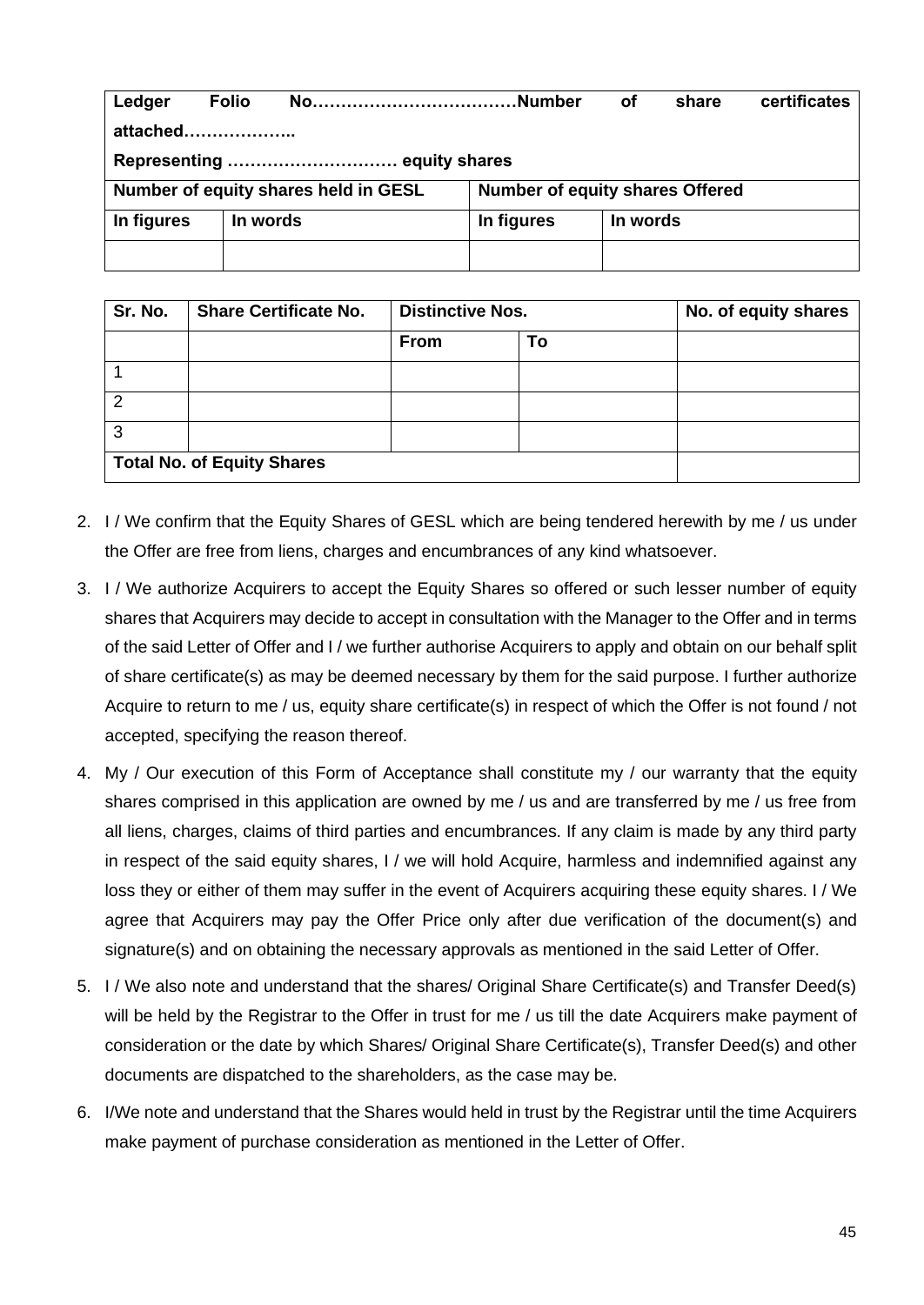| Ledger                               | <b>Folio</b> | NoNumber |                                 | οf       | share | certificates |  |  |  |
|--------------------------------------|--------------|----------|---------------------------------|----------|-------|--------------|--|--|--|
| attached                             |              |          |                                 |          |       |              |  |  |  |
| Representing  equity shares          |              |          |                                 |          |       |              |  |  |  |
| Number of equity shares held in GESL |              |          | Number of equity shares Offered |          |       |              |  |  |  |
| In figures                           | In words     |          | In figures                      | In words |       |              |  |  |  |
|                                      |              |          |                                 |          |       |              |  |  |  |

| Sr. No. | <b>Share Certificate No.</b>      | <b>Distinctive Nos.</b> |    | No. of equity shares |
|---------|-----------------------------------|-------------------------|----|----------------------|
|         |                                   | <b>From</b>             | To |                      |
|         |                                   |                         |    |                      |
|         |                                   |                         |    |                      |
| 3       |                                   |                         |    |                      |
|         | <b>Total No. of Equity Shares</b> |                         |    |                      |

- 2. I / We confirm that the Equity Shares of GESL which are being tendered herewith by me / us under the Offer are free from liens, charges and encumbrances of any kind whatsoever.
- 3. I / We authorize Acquirers to accept the Equity Shares so offered or such lesser number of equity shares that Acquirers may decide to accept in consultation with the Manager to the Offer and in terms of the said Letter of Offer and I / we further authorise Acquirers to apply and obtain on our behalf split of share certificate(s) as may be deemed necessary by them for the said purpose. I further authorize Acquire to return to me / us, equity share certificate(s) in respect of which the Offer is not found / not accepted, specifying the reason thereof.
- 4. My / Our execution of this Form of Acceptance shall constitute my / our warranty that the equity shares comprised in this application are owned by me / us and are transferred by me / us free from all liens, charges, claims of third parties and encumbrances. If any claim is made by any third party in respect of the said equity shares, I / we will hold Acquire, harmless and indemnified against any loss they or either of them may suffer in the event of Acquirers acquiring these equity shares. I / We agree that Acquirers may pay the Offer Price only after due verification of the document(s) and signature(s) and on obtaining the necessary approvals as mentioned in the said Letter of Offer.
- 5. I / We also note and understand that the shares/ Original Share Certificate(s) and Transfer Deed(s) will be held by the Registrar to the Offer in trust for me / us till the date Acquirers make payment of consideration or the date by which Shares/ Original Share Certificate(s), Transfer Deed(s) and other documents are dispatched to the shareholders, as the case may be.
- 6. I/We note and understand that the Shares would held in trust by the Registrar until the time Acquirers make payment of purchase consideration as mentioned in the Letter of Offer.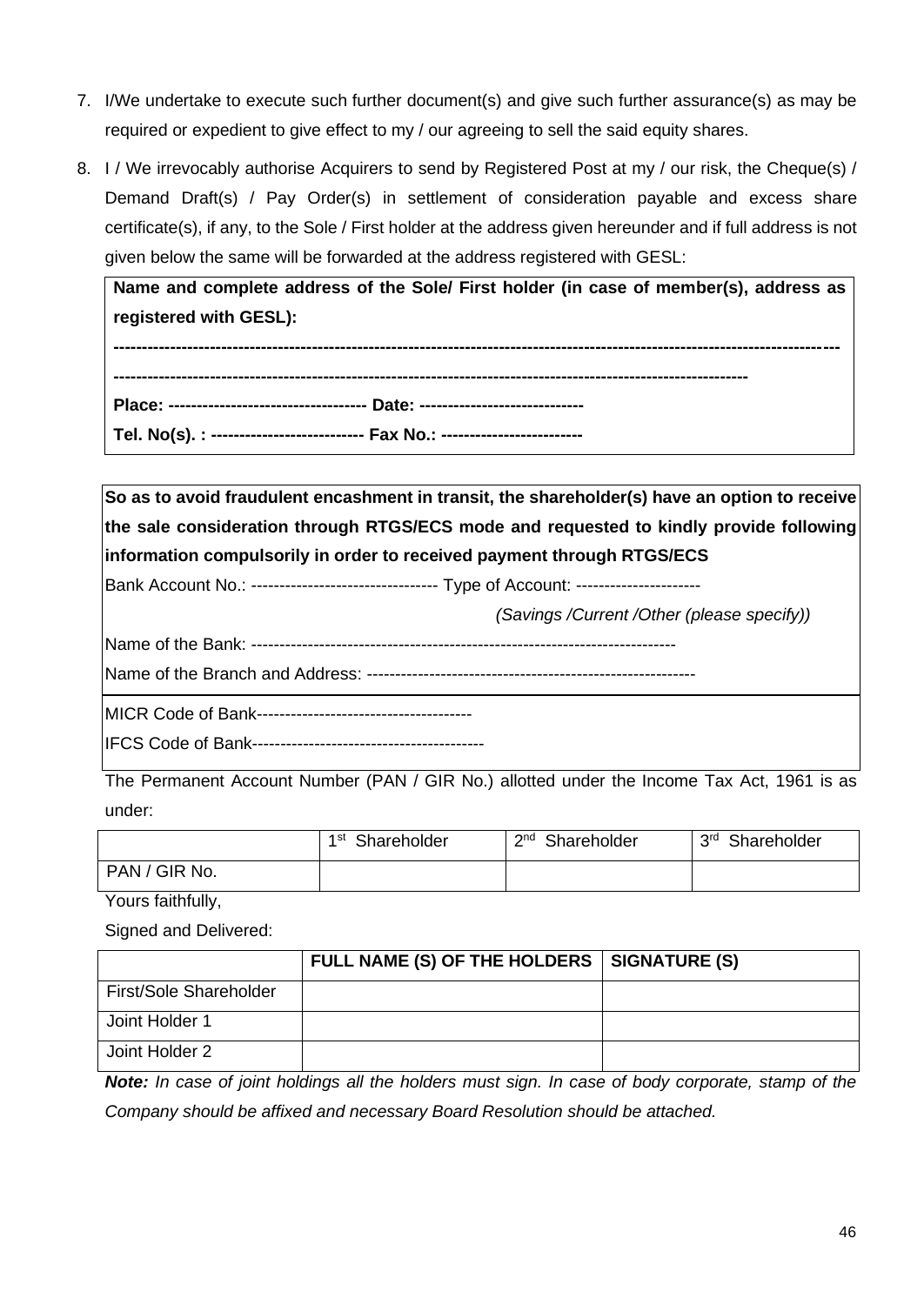- 7. I/We undertake to execute such further document(s) and give such further assurance(s) as may be required or expedient to give effect to my / our agreeing to sell the said equity shares.
- 8. I / We irrevocably authorise Acquirers to send by Registered Post at my / our risk, the Cheque(s) / Demand Draft(s) / Pay Order(s) in settlement of consideration payable and excess share certificate(s), if any, to the Sole / First holder at the address given hereunder and if full address is not given below the same will be forwarded at the address registered with GESL:

**Name and complete address of the Sole/ First holder (in case of member(s), address as registered with GESL):**

**-------------------------------------------------------------------------------------------------------------------------------- ---------------------------------------------------------------------------------------------------------------- Place: ----------------------------------- Date: ----------------------------- Tel. No(s). : --------------------------- Fax No.: -------------------------**

**So as to avoid fraudulent encashment in transit, the shareholder(s) have an option to receive the sale consideration through RTGS/ECS mode and requested to kindly provide following information compulsorily in order to received payment through RTGS/ECS**

Bank Account No.: ----------------------------------- Type of Account: ----------------------

*(Savings /Current /Other (please specify))*

Name of the Bank: ---------------------------------------------------------------------------

Name of the Branch and Address: ----------------------------------------------------------

MICR Code of Bank--------------------------------------

IFCS Code of Bank-----------------------------------------

The Permanent Account Number (PAN / GIR No.) allotted under the Income Tax Act, 1961 is as under:

|               | 1 st        | $\mathsf{C}$ nd | 3 <sup>rd</sup> |
|---------------|-------------|-----------------|-----------------|
|               | Shareholder | Shareholder     | Shareholder     |
| PAN / GIR No. |             |                 |                 |

Yours faithfully,

Signed and Delivered:

|                        | FULL NAME (S) OF THE HOLDERS   SIGNATURE (S) |  |
|------------------------|----------------------------------------------|--|
| First/Sole Shareholder |                                              |  |
| Joint Holder 1         |                                              |  |
| Joint Holder 2         |                                              |  |

*Note: In case of joint holdings all the holders must sign. In case of body corporate, stamp of the Company should be affixed and necessary Board Resolution should be attached.*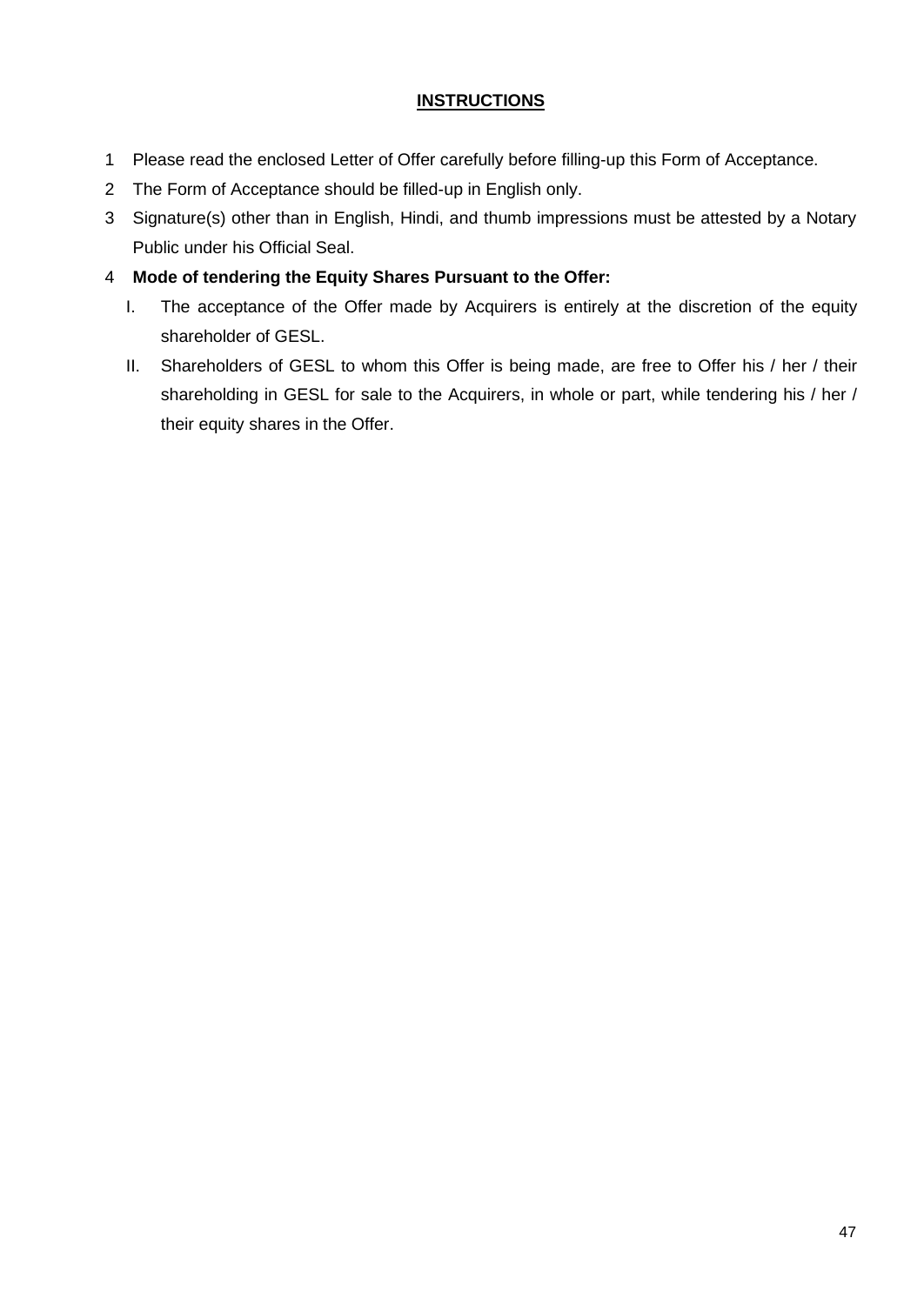## **INSTRUCTIONS**

- 1 Please read the enclosed Letter of Offer carefully before filling-up this Form of Acceptance.
- 2 The Form of Acceptance should be filled-up in English only.
- 3 Signature(s) other than in English, Hindi, and thumb impressions must be attested by a Notary Public under his Official Seal.
- 4 **Mode of tendering the Equity Shares Pursuant to the Offer:**
	- I. The acceptance of the Offer made by Acquirers is entirely at the discretion of the equity shareholder of GESL.
	- II. Shareholders of GESL to whom this Offer is being made, are free to Offer his / her / their shareholding in GESL for sale to the Acquirers, in whole or part, while tendering his / her / their equity shares in the Offer.